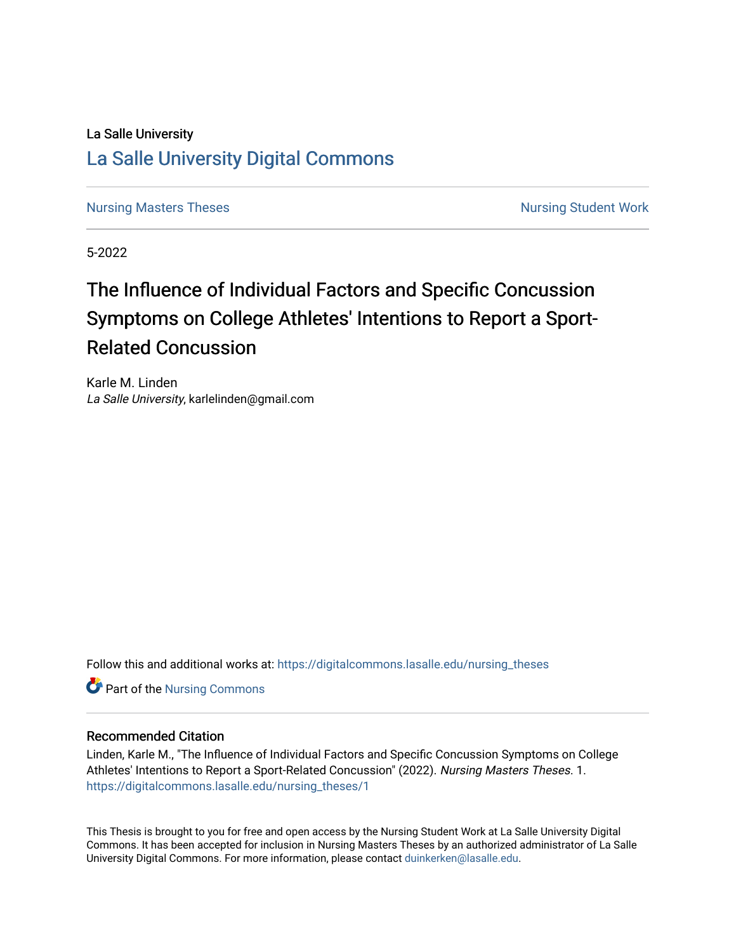# La Salle University [La Salle University Digital Commons](https://digitalcommons.lasalle.edu/)

[Nursing Masters Theses](https://digitalcommons.lasalle.edu/nursing_theses) Nursing Student Work

5-2022

# The Influence of Individual Factors and Specific Concussion Symptoms on College Athletes' Intentions to Report a Sport-Related Concussion

Karle M. Linden La Salle University, karlelinden@gmail.com

Follow this and additional works at: [https://digitalcommons.lasalle.edu/nursing\\_theses](https://digitalcommons.lasalle.edu/nursing_theses?utm_source=digitalcommons.lasalle.edu%2Fnursing_theses%2F1&utm_medium=PDF&utm_campaign=PDFCoverPages) 

**Part of the Nursing Commons** 

# Recommended Citation

Linden, Karle M., "The Influence of Individual Factors and Specific Concussion Symptoms on College Athletes' Intentions to Report a Sport-Related Concussion" (2022). Nursing Masters Theses. 1. [https://digitalcommons.lasalle.edu/nursing\\_theses/1](https://digitalcommons.lasalle.edu/nursing_theses/1?utm_source=digitalcommons.lasalle.edu%2Fnursing_theses%2F1&utm_medium=PDF&utm_campaign=PDFCoverPages) 

This Thesis is brought to you for free and open access by the Nursing Student Work at La Salle University Digital Commons. It has been accepted for inclusion in Nursing Masters Theses by an authorized administrator of La Salle University Digital Commons. For more information, please contact [duinkerken@lasalle.edu](mailto:duinkerken@lasalle.edu).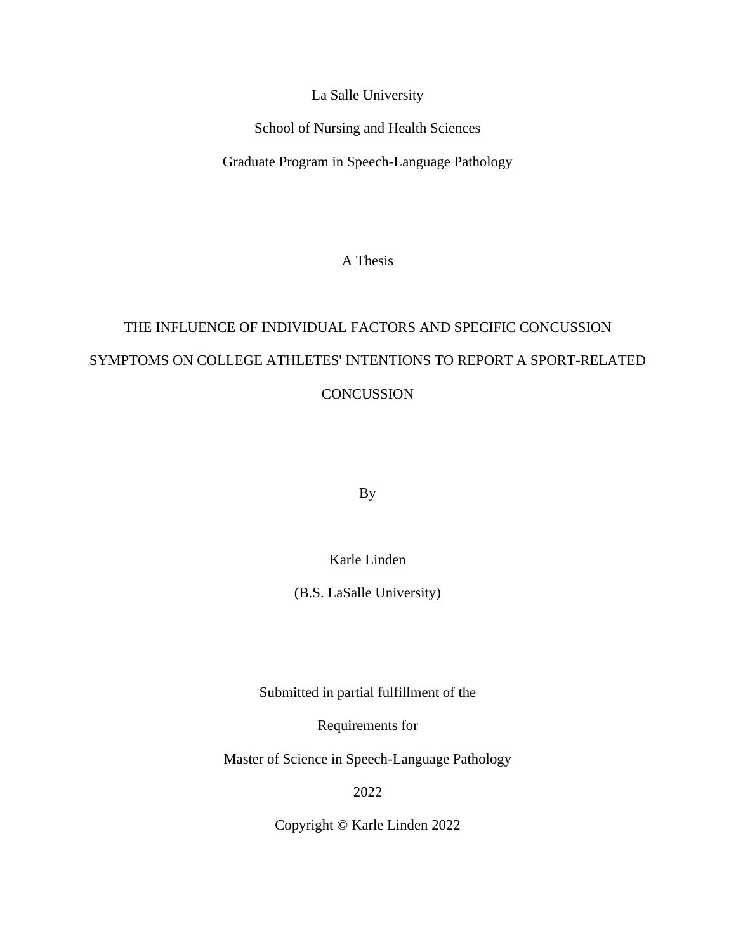La Salle University

School of Nursing and Health Sciences

Graduate Program in Speech-Language Pathology

A Thesis

# THE INFLUENCE OF INDIVIDUAL FACTORS AND SPECIFIC CONCUSSION SYMPTOMS ON COLLEGE ATHLETES' INTENTIONS TO REPORT A SPORT-RELATED **CONCUSSION**

By

Karle Linden

(B.S. LaSalle University)

Submitted in partial fulfillment of the

Requirements for

Master of Science in Speech-Language Pathology

2022

Copyright © Karle Linden 2022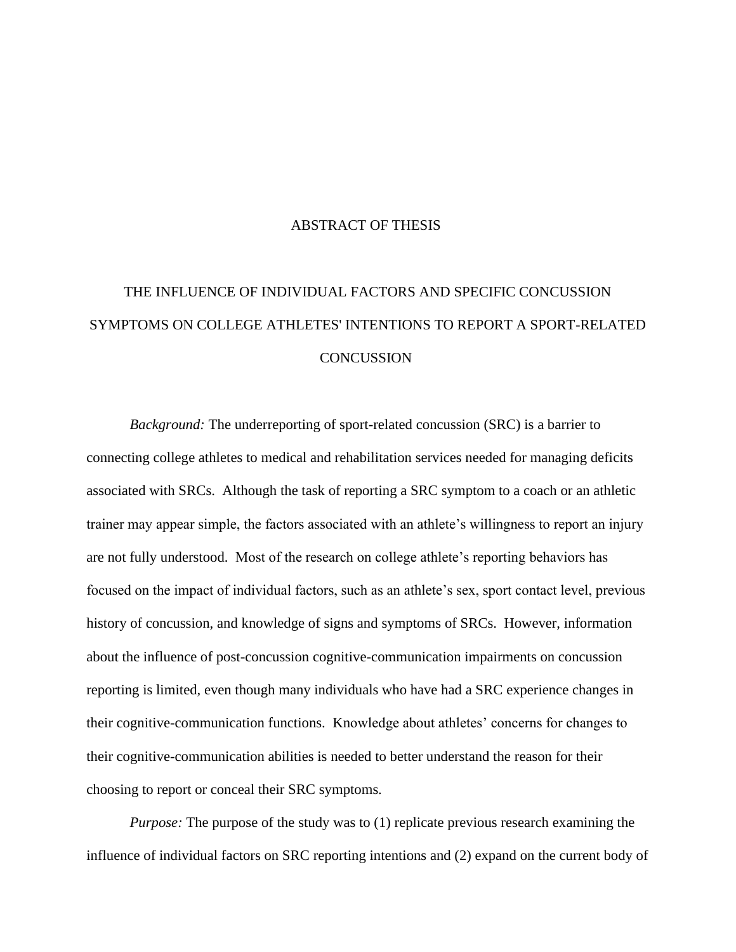# ABSTRACT OF THESIS

# THE INFLUENCE OF INDIVIDUAL FACTORS AND SPECIFIC CONCUSSION SYMPTOMS ON COLLEGE ATHLETES' INTENTIONS TO REPORT A SPORT-RELATED **CONCUSSION**

*Background:* The underreporting of sport-related concussion (SRC) is a barrier to connecting college athletes to medical and rehabilitation services needed for managing deficits associated with SRCs. Although the task of reporting a SRC symptom to a coach or an athletic trainer may appear simple, the factors associated with an athlete's willingness to report an injury are not fully understood. Most of the research on college athlete's reporting behaviors has focused on the impact of individual factors, such as an athlete's sex, sport contact level, previous history of concussion, and knowledge of signs and symptoms of SRCs. However, information about the influence of post-concussion cognitive-communication impairments on concussion reporting is limited, even though many individuals who have had a SRC experience changes in their cognitive-communication functions. Knowledge about athletes' concerns for changes to their cognitive-communication abilities is needed to better understand the reason for their choosing to report or conceal their SRC symptoms.

*Purpose:* The purpose of the study was to (1) replicate previous research examining the influence of individual factors on SRC reporting intentions and (2) expand on the current body of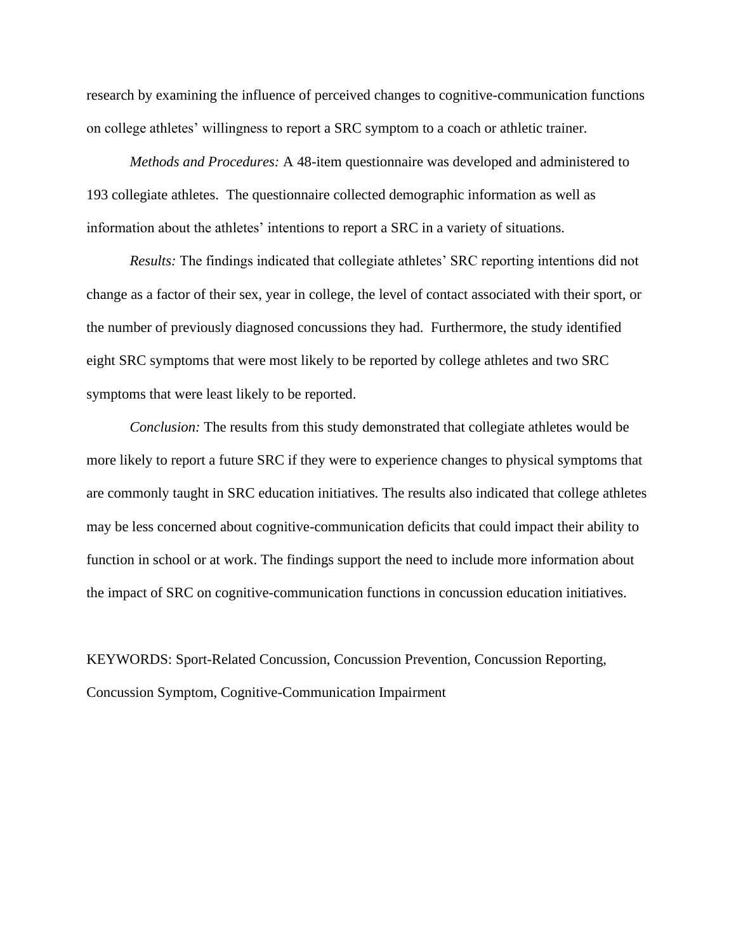research by examining the influence of perceived changes to cognitive-communication functions on college athletes' willingness to report a SRC symptom to a coach or athletic trainer.

*Methods and Procedures:* A 48-item questionnaire was developed and administered to 193 collegiate athletes. The questionnaire collected demographic information as well as information about the athletes' intentions to report a SRC in a variety of situations.

*Results:* The findings indicated that collegiate athletes' SRC reporting intentions did not change as a factor of their sex, year in college, the level of contact associated with their sport, or the number of previously diagnosed concussions they had. Furthermore, the study identified eight SRC symptoms that were most likely to be reported by college athletes and two SRC symptoms that were least likely to be reported.

*Conclusion:* The results from this study demonstrated that collegiate athletes would be more likely to report a future SRC if they were to experience changes to physical symptoms that are commonly taught in SRC education initiatives. The results also indicated that college athletes may be less concerned about cognitive-communication deficits that could impact their ability to function in school or at work. The findings support the need to include more information about the impact of SRC on cognitive-communication functions in concussion education initiatives.

KEYWORDS: Sport-Related Concussion, Concussion Prevention, Concussion Reporting, Concussion Symptom, Cognitive-Communication Impairment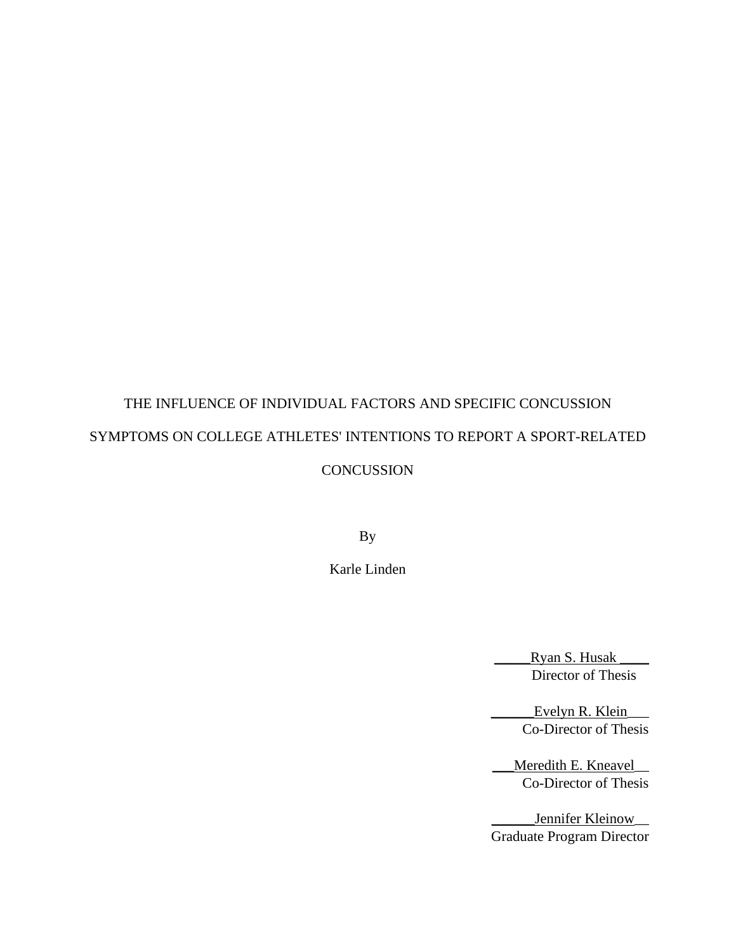# THE INFLUENCE OF INDIVIDUAL FACTORS AND SPECIFIC CONCUSSION SYMPTOMS ON COLLEGE ATHLETES' INTENTIONS TO REPORT A SPORT-RELATED **CONCUSSION**

By

Karle Linden

Ryan S. Husak \_\_\_\_\_\_\_ Director of Thesis

\_\_\_\_\_\_Evelyn R. Klein\_\_\_ Co-Director of Thesis

\_\_Meredith E. Kneavel Co-Director of Thesis

\_Jennifer Kleinow\_\_\_ Graduate Program Director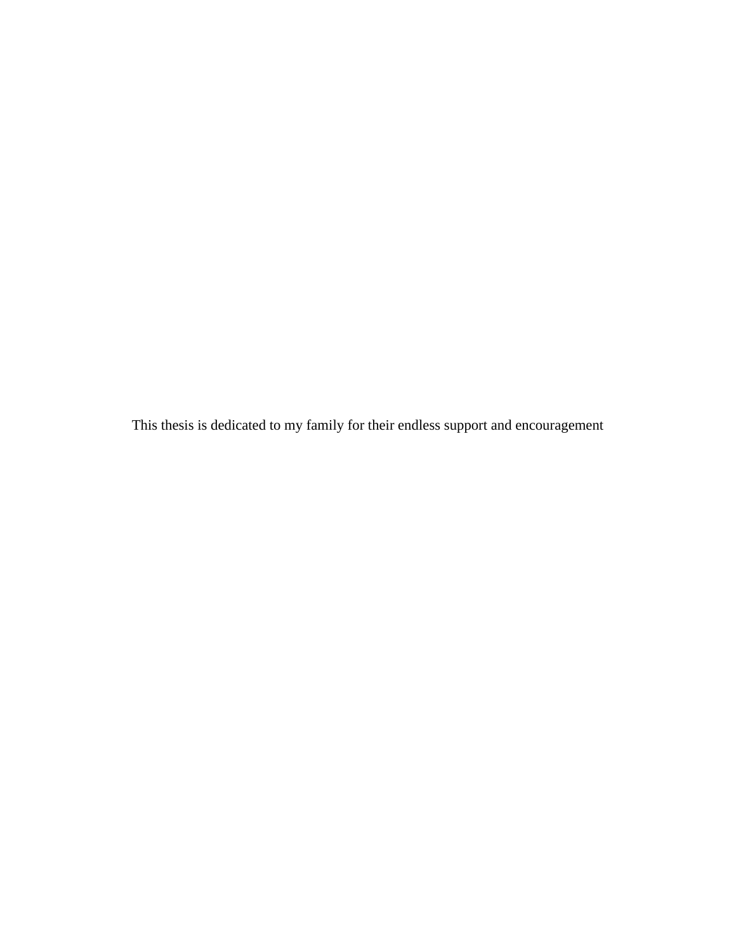This thesis is dedicated to my family for their endless support and encouragement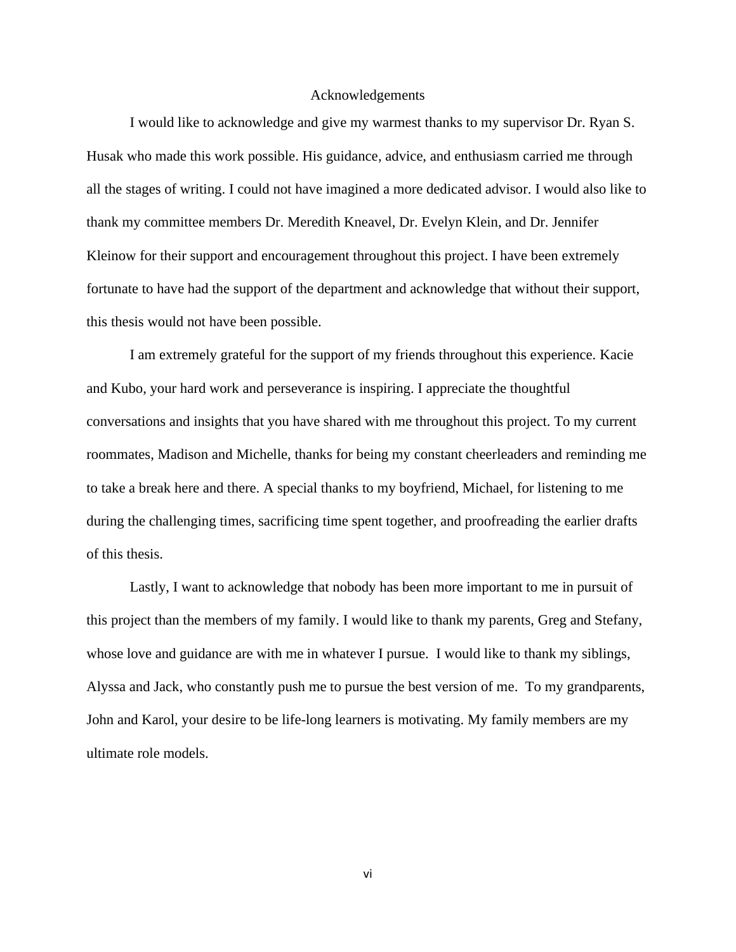### Acknowledgements

I would like to acknowledge and give my warmest thanks to my supervisor Dr. Ryan S. Husak who made this work possible. His guidance, advice, and enthusiasm carried me through all the stages of writing. I could not have imagined a more dedicated advisor. I would also like to thank my committee members Dr. Meredith Kneavel, Dr. Evelyn Klein, and Dr. Jennifer Kleinow for their support and encouragement throughout this project. I have been extremely fortunate to have had the support of the department and acknowledge that without their support, this thesis would not have been possible.

I am extremely grateful for the support of my friends throughout this experience. Kacie and Kubo, your hard work and perseverance is inspiring. I appreciate the thoughtful conversations and insights that you have shared with me throughout this project. To my current roommates, Madison and Michelle, thanks for being my constant cheerleaders and reminding me to take a break here and there. A special thanks to my boyfriend, Michael, for listening to me during the challenging times, sacrificing time spent together, and proofreading the earlier drafts of this thesis.

Lastly, I want to acknowledge that nobody has been more important to me in pursuit of this project than the members of my family. I would like to thank my parents, Greg and Stefany, whose love and guidance are with me in whatever I pursue. I would like to thank my siblings, Alyssa and Jack, who constantly push me to pursue the best version of me. To my grandparents, John and Karol, your desire to be life-long learners is motivating. My family members are my ultimate role models.

vi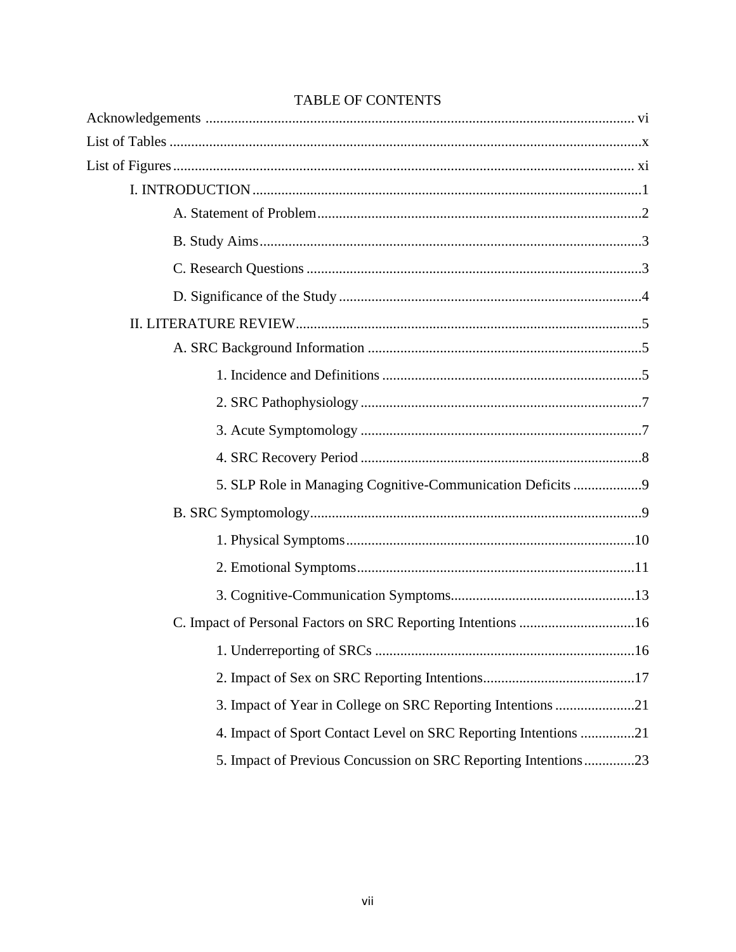| 5. SLP Role in Managing Cognitive-Communication Deficits 9      |
|-----------------------------------------------------------------|
|                                                                 |
|                                                                 |
|                                                                 |
|                                                                 |
|                                                                 |
|                                                                 |
|                                                                 |
| 3. Impact of Year in College on SRC Reporting Intentions 21     |
| 4. Impact of Sport Contact Level on SRC Reporting Intentions 21 |
| 5. Impact of Previous Concussion on SRC Reporting Intentions23  |

# **TABLE OF CONTENTS**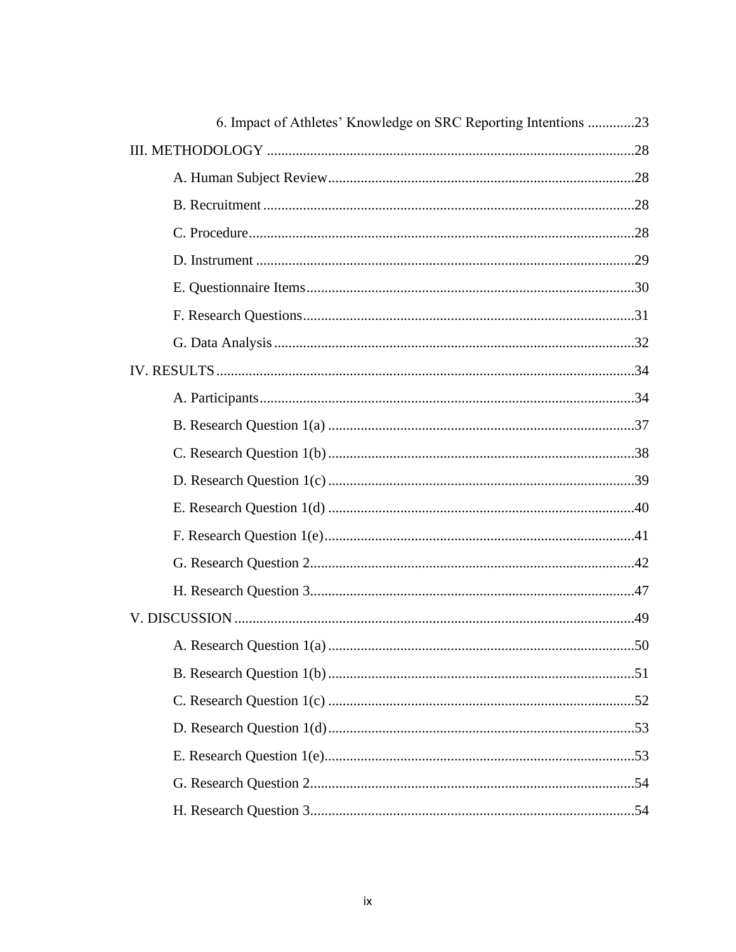| 6. Impact of Athletes' Knowledge on SRC Reporting Intentions 23 |
|-----------------------------------------------------------------|
|                                                                 |
|                                                                 |
|                                                                 |
|                                                                 |
|                                                                 |
|                                                                 |
|                                                                 |
|                                                                 |
|                                                                 |
|                                                                 |
|                                                                 |
|                                                                 |
|                                                                 |
|                                                                 |
|                                                                 |
|                                                                 |
|                                                                 |
|                                                                 |
|                                                                 |
|                                                                 |
|                                                                 |
|                                                                 |
|                                                                 |
|                                                                 |
|                                                                 |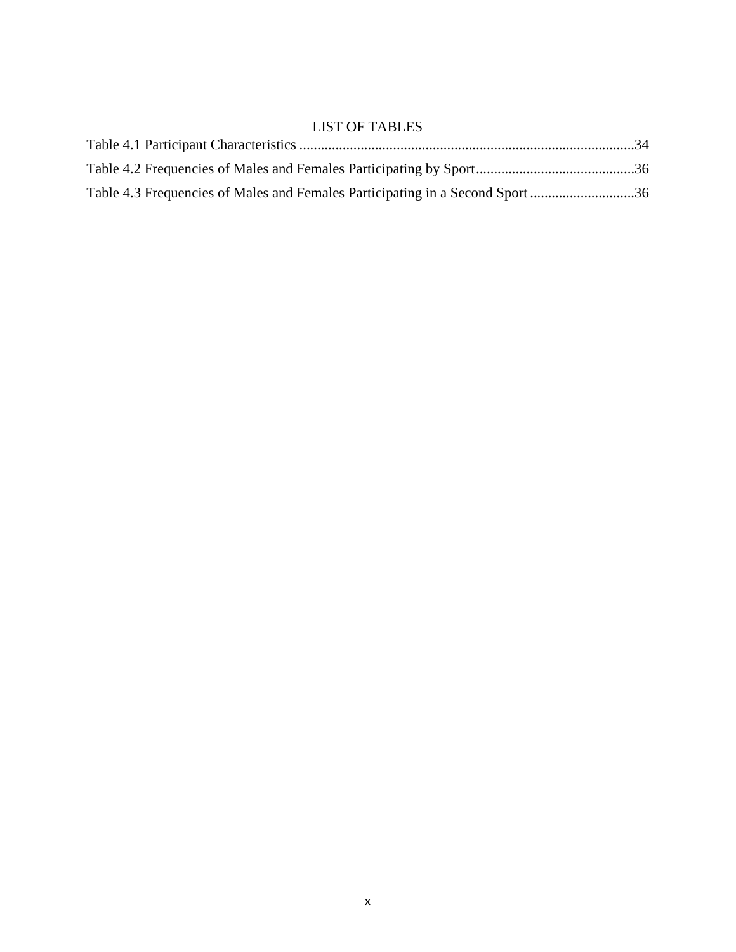# LIST OF TABLES

| Table 4.3 Frequencies of Males and Females Participating in a Second Sport 36 |  |
|-------------------------------------------------------------------------------|--|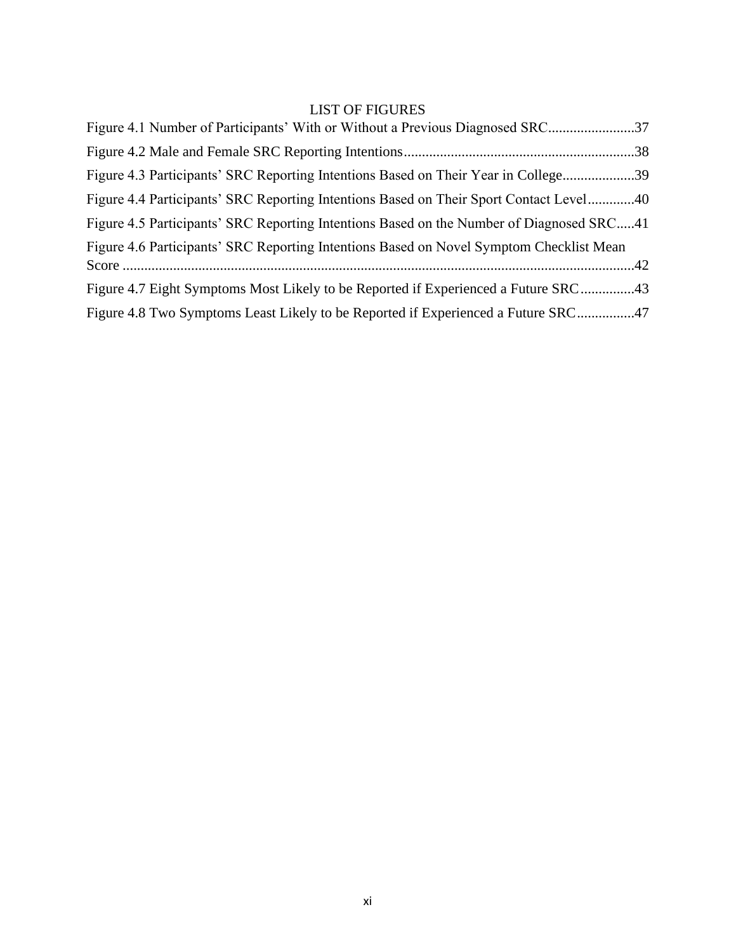# LIST OF FIGURES

| Figure 4.1 Number of Participants' With or Without a Previous Diagnosed SRC              |  |
|------------------------------------------------------------------------------------------|--|
|                                                                                          |  |
| Figure 4.3 Participants' SRC Reporting Intentions Based on Their Year in College39       |  |
| Figure 4.4 Participants' SRC Reporting Intentions Based on Their Sport Contact Level40   |  |
| Figure 4.5 Participants' SRC Reporting Intentions Based on the Number of Diagnosed SRC41 |  |
| Figure 4.6 Participants' SRC Reporting Intentions Based on Novel Symptom Checklist Mean  |  |
|                                                                                          |  |
| Figure 4.7 Eight Symptoms Most Likely to be Reported if Experienced a Future SRC43       |  |
| Figure 4.8 Two Symptoms Least Likely to be Reported if Experienced a Future SRC47        |  |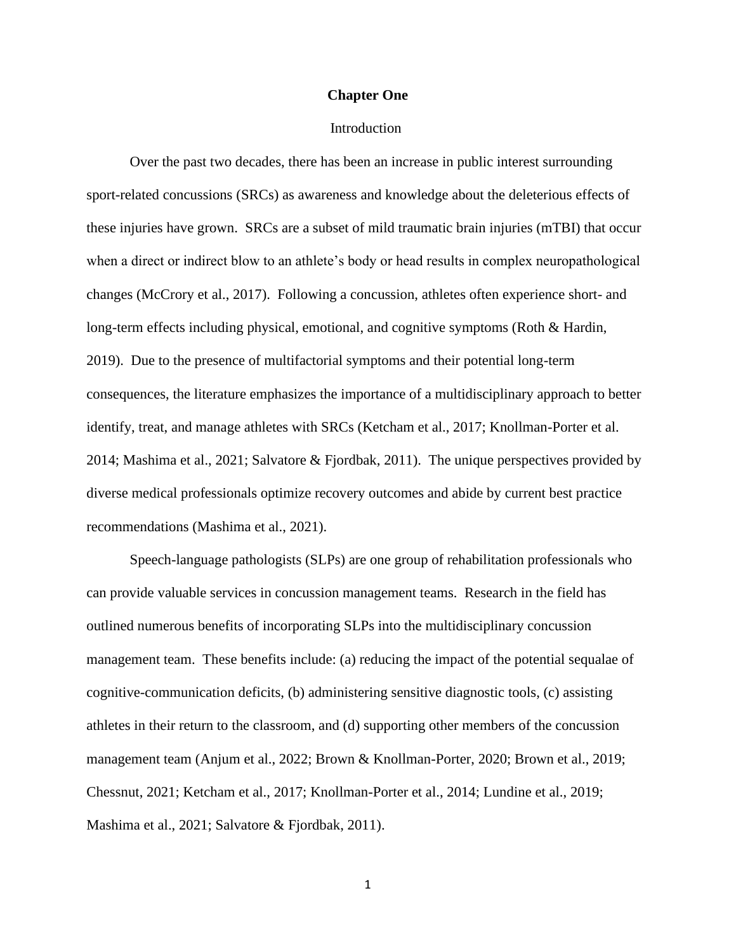#### **Chapter One**

#### Introduction

Over the past two decades, there has been an increase in public interest surrounding sport-related concussions (SRCs) as awareness and knowledge about the deleterious effects of these injuries have grown. SRCs are a subset of mild traumatic brain injuries (mTBI) that occur when a direct or indirect blow to an athlete's body or head results in complex neuropathological changes (McCrory et al., 2017). Following a concussion, athletes often experience short- and long-term effects including physical, emotional, and cognitive symptoms (Roth & Hardin, 2019). Due to the presence of multifactorial symptoms and their potential long-term consequences, the literature emphasizes the importance of a multidisciplinary approach to better identify, treat, and manage athletes with SRCs (Ketcham et al., 2017; Knollman-Porter et al. 2014; Mashima et al., 2021; Salvatore & Fjordbak, 2011). The unique perspectives provided by diverse medical professionals optimize recovery outcomes and abide by current best practice recommendations (Mashima et al., 2021).

Speech-language pathologists (SLPs) are one group of rehabilitation professionals who can provide valuable services in concussion management teams. Research in the field has outlined numerous benefits of incorporating SLPs into the multidisciplinary concussion management team. These benefits include: (a) reducing the impact of the potential sequalae of cognitive-communication deficits, (b) administering sensitive diagnostic tools, (c) assisting athletes in their return to the classroom, and (d) supporting other members of the concussion management team (Anjum et al., 2022; Brown & Knollman-Porter, 2020; Brown et al., 2019; Chessnut, 2021; Ketcham et al., 2017; Knollman-Porter et al., 2014; Lundine et al., 2019; Mashima et al., 2021; Salvatore & Fjordbak, 2011).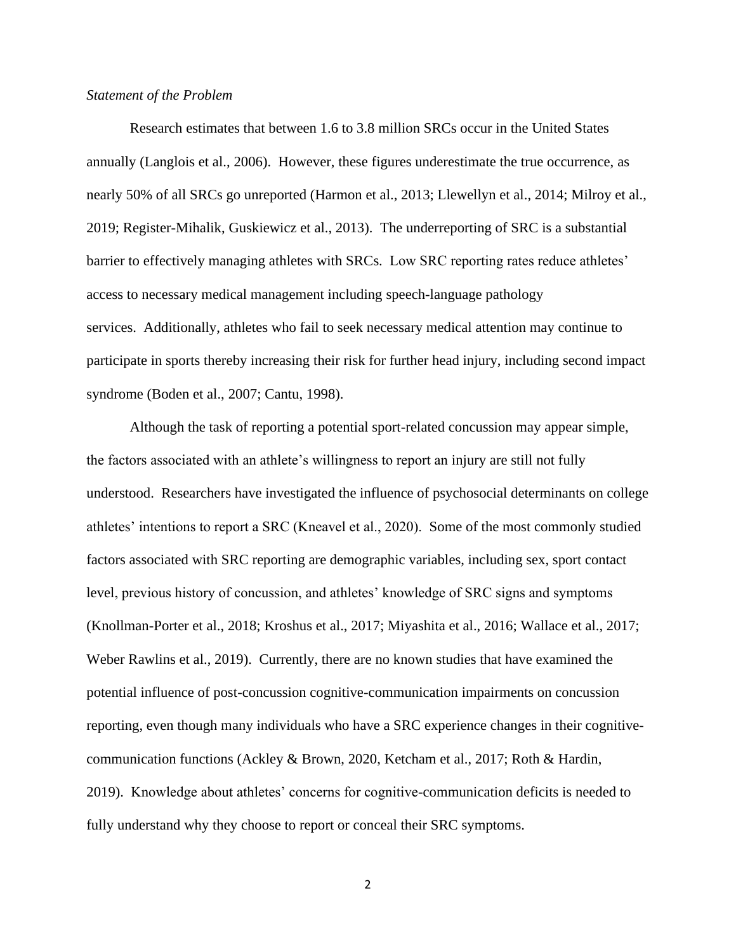## *Statement of the Problem*

Research estimates that between 1.6 to 3.8 million SRCs occur in the United States annually (Langlois et al., 2006). However, these figures underestimate the true occurrence, as nearly 50% of all SRCs go unreported (Harmon et al., 2013; Llewellyn et al., 2014; Milroy et al., 2019; Register-Mihalik, Guskiewicz et al., 2013). The underreporting of SRC is a substantial barrier to effectively managing athletes with SRCs. Low SRC reporting rates reduce athletes' access to necessary medical management including speech-language pathology services. Additionally, athletes who fail to seek necessary medical attention may continue to participate in sports thereby increasing their risk for further head injury, including second impact syndrome (Boden et al., 2007; Cantu, 1998).

Although the task of reporting a potential sport-related concussion may appear simple, the factors associated with an athlete's willingness to report an injury are still not fully understood. Researchers have investigated the influence of psychosocial determinants on college athletes' intentions to report a SRC (Kneavel et al., 2020). Some of the most commonly studied factors associated with SRC reporting are demographic variables, including sex, sport contact level, previous history of concussion, and athletes' knowledge of SRC signs and symptoms (Knollman-Porter et al., 2018; Kroshus et al., 2017; Miyashita et al., 2016; Wallace et al., 2017; Weber Rawlins et al., 2019). Currently, there are no known studies that have examined the potential influence of post-concussion cognitive-communication impairments on concussion reporting, even though many individuals who have a SRC experience changes in their cognitivecommunication functions (Ackley & Brown, 2020, Ketcham et al., 2017; Roth & Hardin, 2019). Knowledge about athletes' concerns for cognitive-communication deficits is needed to fully understand why they choose to report or conceal their SRC symptoms.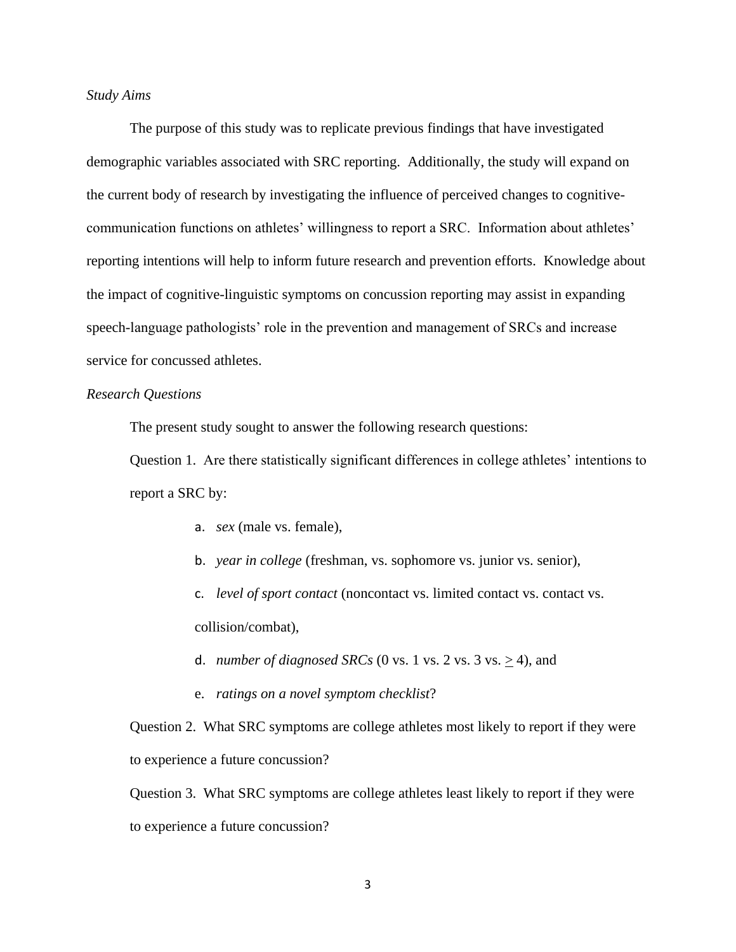## *Study Aims*

The purpose of this study was to replicate previous findings that have investigated demographic variables associated with SRC reporting. Additionally, the study will expand on the current body of research by investigating the influence of perceived changes to cognitivecommunication functions on athletes' willingness to report a SRC. Information about athletes' reporting intentions will help to inform future research and prevention efforts. Knowledge about the impact of cognitive-linguistic symptoms on concussion reporting may assist in expanding speech-language pathologists' role in the prevention and management of SRCs and increase service for concussed athletes.

#### *Research Questions*

The present study sought to answer the following research questions:

Question 1. Are there statistically significant differences in college athletes' intentions to report a SRC by:

- a. *sex* (male vs. female),
- b. *year in college* (freshman, vs. sophomore vs. junior vs. senior),

c. *level of sport contact* (noncontact vs. limited contact vs. contact vs. collision/combat),

- d. *number of diagnosed SRCs* (0 vs. 1 vs. 2 vs. 3 vs.  $\geq$  4), and
- e. *ratings on a novel symptom checklist*?

Question 2. What SRC symptoms are college athletes most likely to report if they were to experience a future concussion?

Question 3. What SRC symptoms are college athletes least likely to report if they were to experience a future concussion?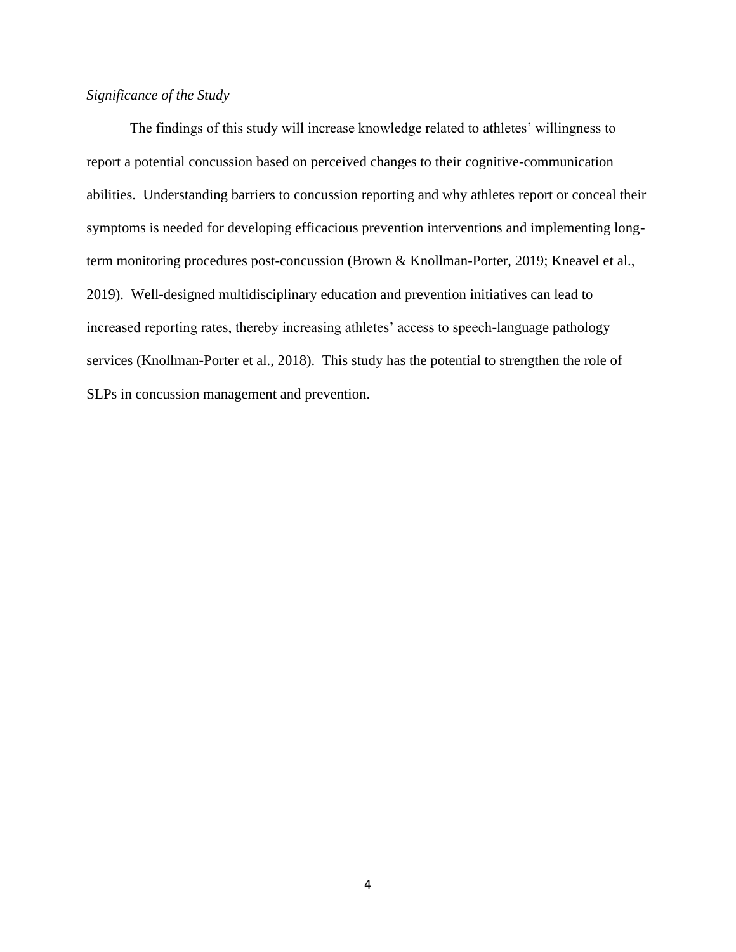# *Significance of the Study*

The findings of this study will increase knowledge related to athletes' willingness to report a potential concussion based on perceived changes to their cognitive-communication abilities. Understanding barriers to concussion reporting and why athletes report or conceal their symptoms is needed for developing efficacious prevention interventions and implementing longterm monitoring procedures post-concussion (Brown & Knollman-Porter, 2019; Kneavel et al., 2019). Well-designed multidisciplinary education and prevention initiatives can lead to increased reporting rates, thereby increasing athletes' access to speech-language pathology services (Knollman-Porter et al., 2018). This study has the potential to strengthen the role of SLPs in concussion management and prevention.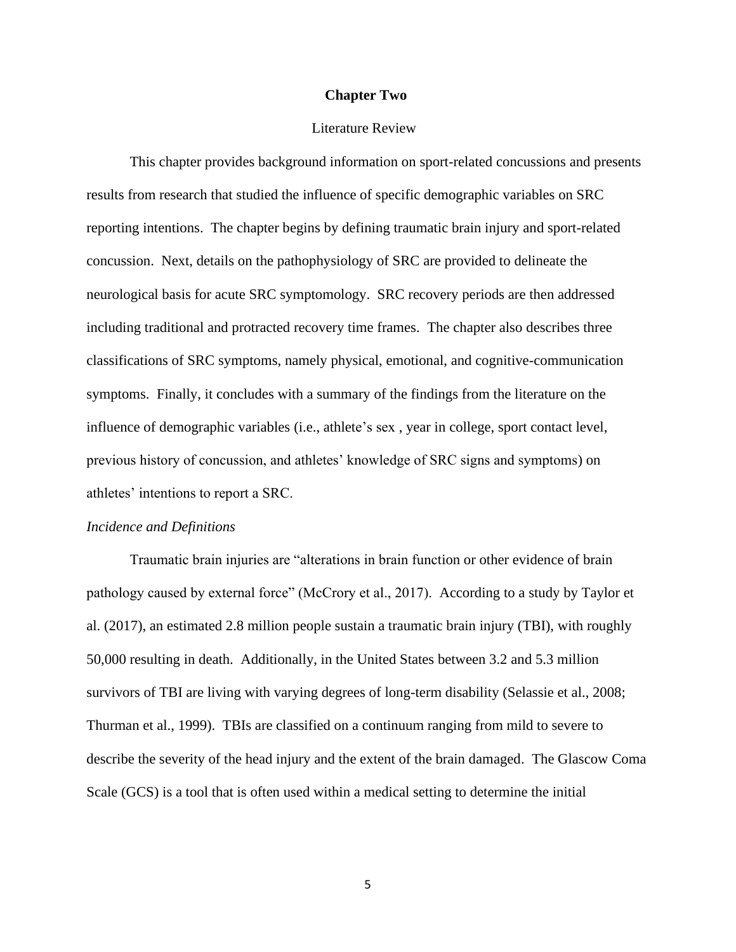#### **Chapter Two**

#### Literature Review

This chapter provides background information on sport-related concussions and presents results from research that studied the influence of specific demographic variables on SRC reporting intentions. The chapter begins by defining traumatic brain injury and sport-related concussion. Next, details on the pathophysiology of SRC are provided to delineate the neurological basis for acute SRC symptomology. SRC recovery periods are then addressed including traditional and protracted recovery time frames. The chapter also describes three classifications of SRC symptoms, namely physical, emotional, and cognitive-communication symptoms. Finally, it concludes with a summary of the findings from the literature on the influence of demographic variables (i.e., athlete's sex , year in college, sport contact level, previous history of concussion, and athletes' knowledge of SRC signs and symptoms) on athletes' intentions to report a SRC.

#### *Incidence and Definitions*

Traumatic brain injuries are "alterations in brain function or other evidence of brain pathology caused by external force" (McCrory et al., 2017). According to a study by Taylor et al. (2017), an estimated 2.8 million people sustain a traumatic brain injury (TBI), with roughly 50,000 resulting in death. Additionally, in the United States between 3.2 and 5.3 million survivors of TBI are living with varying degrees of long-term disability (Selassie et al., 2008; Thurman et al., 1999). TBIs are classified on a continuum ranging from mild to severe to describe the severity of the head injury and the extent of the brain damaged. The Glascow Coma Scale (GCS) is a tool that is often used within a medical setting to determine the initial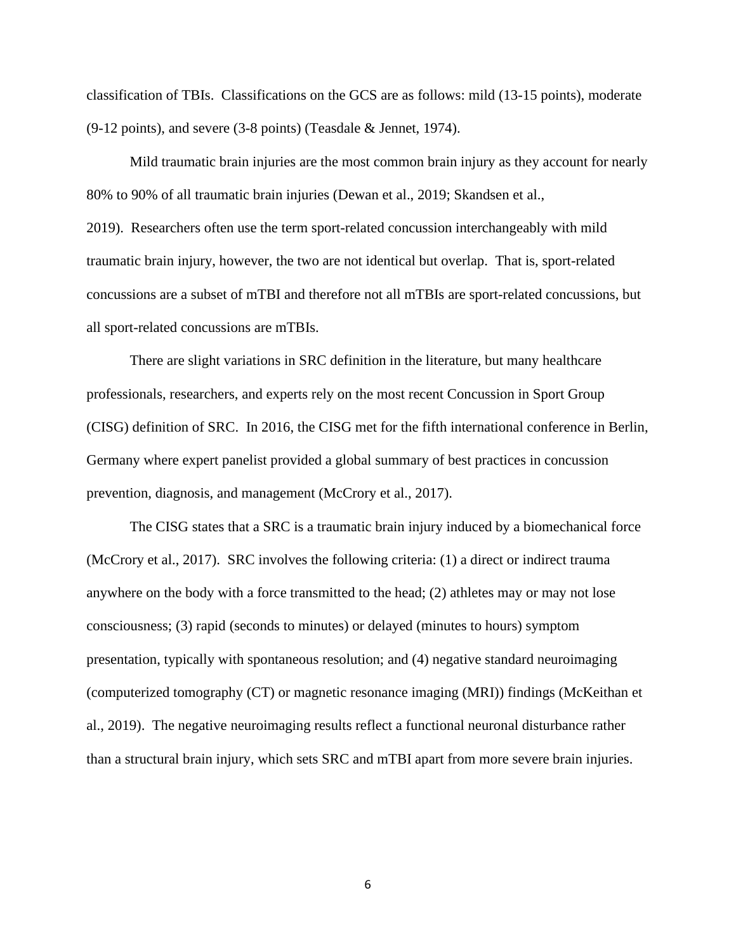classification of TBIs. Classifications on the GCS are as follows: mild (13-15 points), moderate (9-12 points), and severe (3-8 points) (Teasdale & Jennet, 1974).

Mild traumatic brain injuries are the most common brain injury as they account for nearly 80% to 90% of all traumatic brain injuries (Dewan et al., 2019; Skandsen et al., 2019). Researchers often use the term sport-related concussion interchangeably with mild traumatic brain injury, however, the two are not identical but overlap. That is, sport-related concussions are a subset of mTBI and therefore not all mTBIs are sport-related concussions, but

all sport-related concussions are mTBIs.

There are slight variations in SRC definition in the literature, but many healthcare professionals, researchers, and experts rely on the most recent Concussion in Sport Group (CISG) definition of SRC. In 2016, the CISG met for the fifth international conference in Berlin, Germany where expert panelist provided a global summary of best practices in concussion prevention, diagnosis, and management (McCrory et al., 2017).

The CISG states that a SRC is a traumatic brain injury induced by a biomechanical force (McCrory et al., 2017). SRC involves the following criteria: (1) a direct or indirect trauma anywhere on the body with a force transmitted to the head; (2) athletes may or may not lose consciousness; (3) rapid (seconds to minutes) or delayed (minutes to hours) symptom presentation, typically with spontaneous resolution; and (4) negative standard neuroimaging (computerized tomography (CT) or magnetic resonance imaging (MRI)) findings (McKeithan et al., 2019). The negative neuroimaging results reflect a functional neuronal disturbance rather than a structural brain injury, which sets SRC and mTBI apart from more severe brain injuries.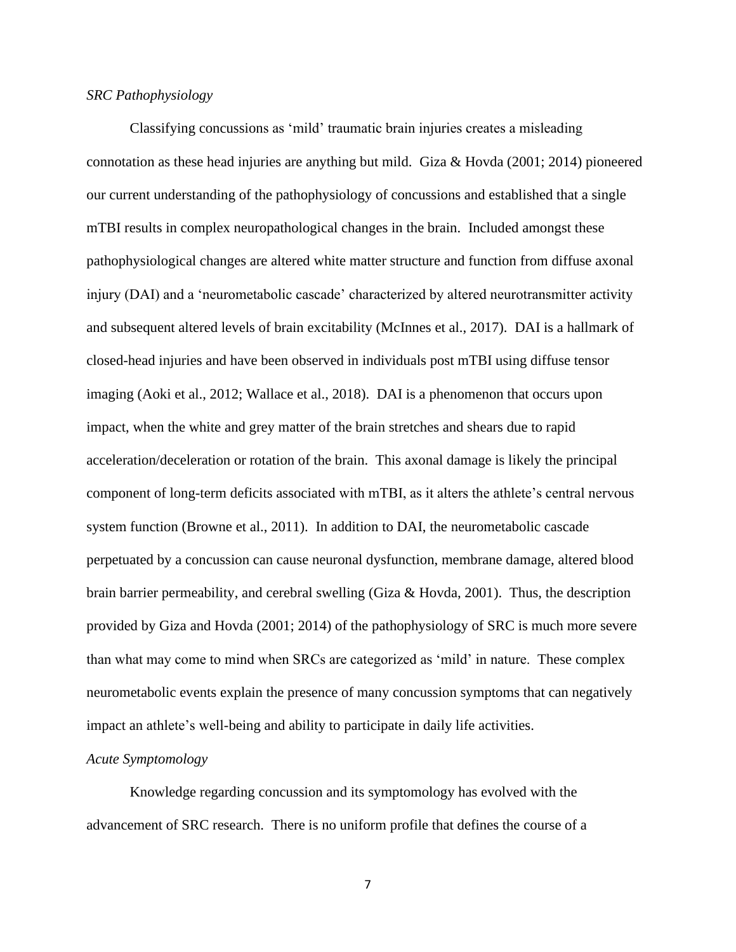#### *SRC Pathophysiology*

Classifying concussions as 'mild' traumatic brain injuries creates a misleading connotation as these head injuries are anything but mild. Giza & Hovda (2001; 2014) pioneered our current understanding of the pathophysiology of concussions and established that a single mTBI results in complex neuropathological changes in the brain. Included amongst these pathophysiological changes are altered white matter structure and function from diffuse axonal injury (DAI) and a 'neurometabolic cascade' characterized by altered neurotransmitter activity and subsequent altered levels of brain excitability (McInnes et al., 2017). DAI is a hallmark of closed-head injuries and have been observed in individuals post mTBI using diffuse tensor imaging (Aoki et al., 2012; Wallace et al., 2018). DAI is a phenomenon that occurs upon impact, when the white and grey matter of the brain stretches and shears due to rapid acceleration/deceleration or rotation of the brain. This axonal damage is likely the principal component of long-term deficits associated with mTBI, as it alters the athlete's central nervous system function (Browne et al., 2011). In addition to DAI, the neurometabolic cascade perpetuated by a concussion can cause neuronal dysfunction, membrane damage, altered blood brain barrier permeability, and cerebral swelling (Giza & Hovda, 2001). Thus, the description provided by Giza and Hovda (2001; 2014) of the pathophysiology of SRC is much more severe than what may come to mind when SRCs are categorized as 'mild' in nature. These complex neurometabolic events explain the presence of many concussion symptoms that can negatively impact an athlete's well-being and ability to participate in daily life activities.

#### *Acute Symptomology*

Knowledge regarding concussion and its symptomology has evolved with the advancement of SRC research. There is no uniform profile that defines the course of a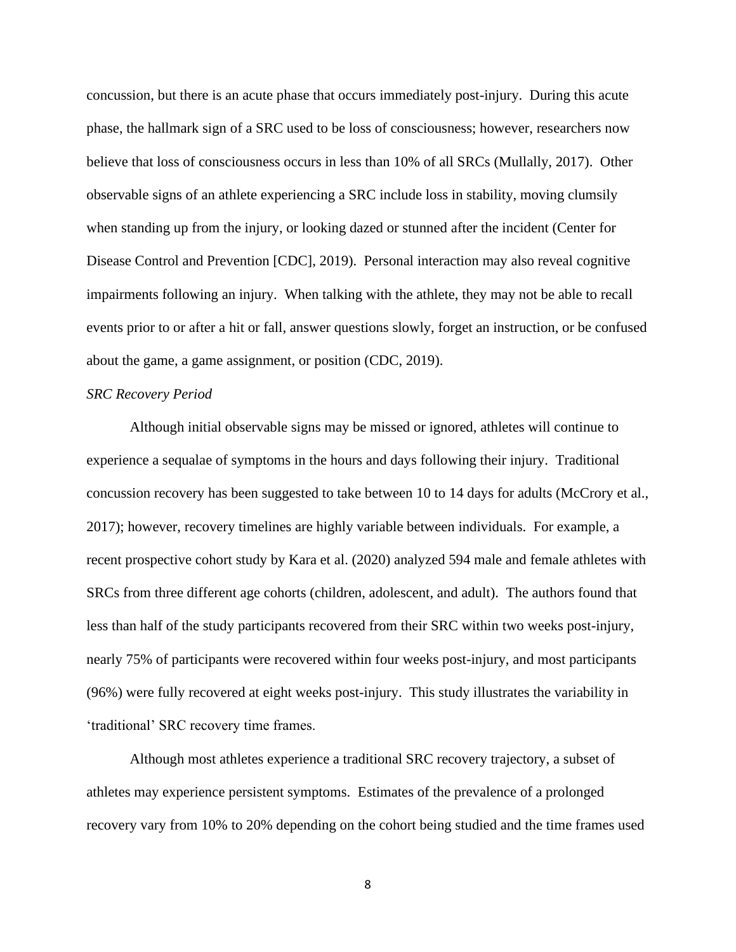concussion, but there is an acute phase that occurs immediately post-injury. During this acute phase, the hallmark sign of a SRC used to be loss of consciousness; however, researchers now believe that loss of consciousness occurs in less than 10% of all SRCs (Mullally, 2017). Other observable signs of an athlete experiencing a SRC include loss in stability, moving clumsily when standing up from the injury, or looking dazed or stunned after the incident (Center for Disease Control and Prevention [CDC], 2019). Personal interaction may also reveal cognitive impairments following an injury. When talking with the athlete, they may not be able to recall events prior to or after a hit or fall, answer questions slowly, forget an instruction, or be confused about the game, a game assignment, or position (CDC, 2019).

#### *SRC Recovery Period*

Although initial observable signs may be missed or ignored, athletes will continue to experience a sequalae of symptoms in the hours and days following their injury. Traditional concussion recovery has been suggested to take between 10 to 14 days for adults (McCrory et al., 2017); however, recovery timelines are highly variable between individuals. For example, a recent prospective cohort study by Kara et al. (2020) analyzed 594 male and female athletes with SRCs from three different age cohorts (children, adolescent, and adult). The authors found that less than half of the study participants recovered from their SRC within two weeks post-injury, nearly 75% of participants were recovered within four weeks post-injury, and most participants (96%) were fully recovered at eight weeks post-injury. This study illustrates the variability in 'traditional' SRC recovery time frames.

Although most athletes experience a traditional SRC recovery trajectory, a subset of athletes may experience persistent symptoms. Estimates of the prevalence of a prolonged recovery vary from 10% to 20% depending on the cohort being studied and the time frames used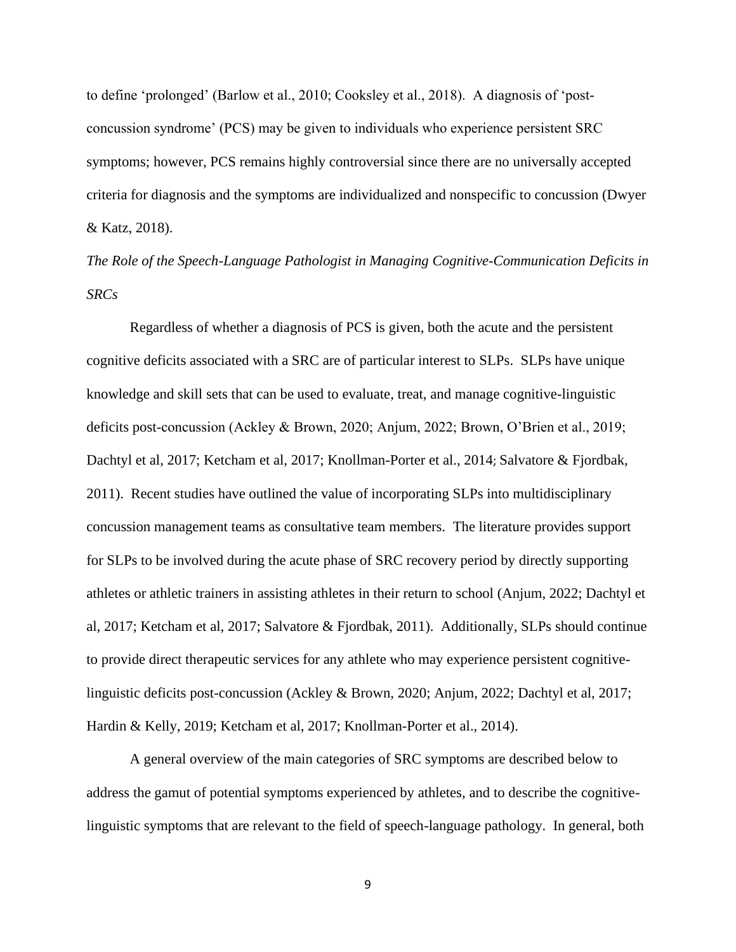to define 'prolonged' (Barlow et al., 2010; Cooksley et al., 2018). A diagnosis of 'postconcussion syndrome' (PCS) may be given to individuals who experience persistent SRC symptoms; however, PCS remains highly controversial since there are no universally accepted criteria for diagnosis and the symptoms are individualized and nonspecific to concussion (Dwyer & Katz, 2018).

*The Role of the Speech-Language Pathologist in Managing Cognitive-Communication Deficits in SRCs*

Regardless of whether a diagnosis of PCS is given, both the acute and the persistent cognitive deficits associated with a SRC are of particular interest to SLPs. SLPs have unique knowledge and skill sets that can be used to evaluate, treat, and manage cognitive-linguistic deficits post-concussion (Ackley & Brown, 2020; Anjum, 2022; Brown, O'Brien et al., 2019; Dachtyl et al, 2017; Ketcham et al, 2017; Knollman-Porter et al., 2014; Salvatore & Fjordbak, 2011). Recent studies have outlined the value of incorporating SLPs into multidisciplinary concussion management teams as consultative team members. The literature provides support for SLPs to be involved during the acute phase of SRC recovery period by directly supporting athletes or athletic trainers in assisting athletes in their return to school (Anjum, 2022; Dachtyl et al, 2017; Ketcham et al, 2017; Salvatore & Fjordbak, 2011). Additionally, SLPs should continue to provide direct therapeutic services for any athlete who may experience persistent cognitivelinguistic deficits post-concussion (Ackley & Brown, 2020; Anjum, 2022; Dachtyl et al, 2017; Hardin & Kelly, 2019; Ketcham et al, 2017; Knollman-Porter et al., 2014).

A general overview of the main categories of SRC symptoms are described below to address the gamut of potential symptoms experienced by athletes, and to describe the cognitivelinguistic symptoms that are relevant to the field of speech-language pathology. In general, both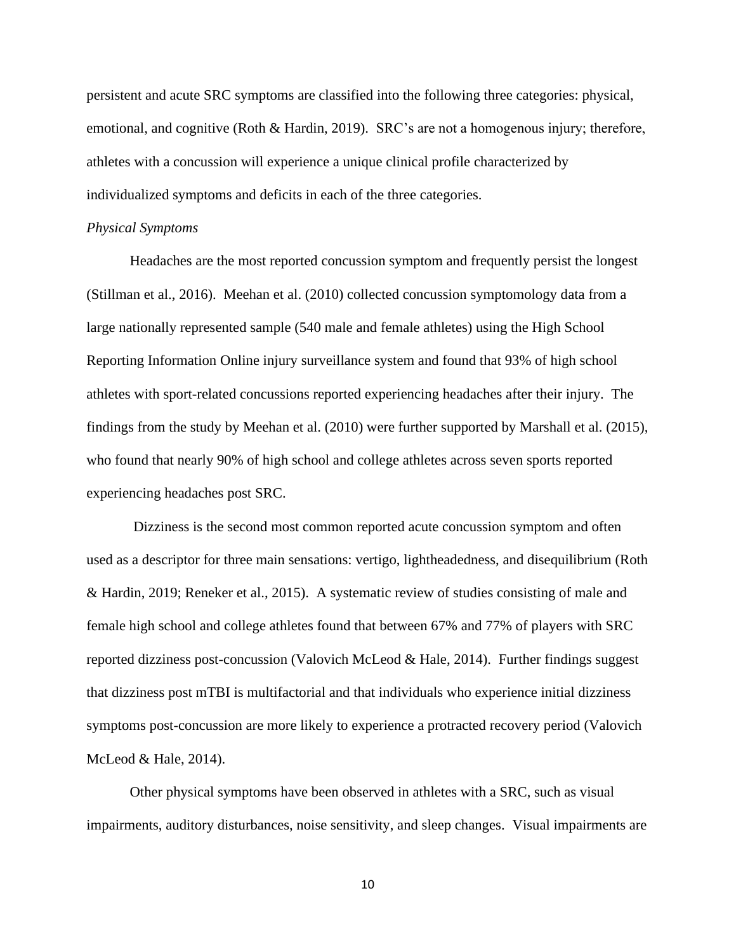persistent and acute SRC symptoms are classified into the following three categories: physical, emotional, and cognitive (Roth & Hardin, 2019). SRC's are not a homogenous injury; therefore, athletes with a concussion will experience a unique clinical profile characterized by individualized symptoms and deficits in each of the three categories.

#### *Physical Symptoms*

Headaches are the most reported concussion symptom and frequently persist the longest (Stillman et al., 2016). Meehan et al. (2010) collected concussion symptomology data from a large nationally represented sample (540 male and female athletes) using the High School Reporting Information Online injury surveillance system and found that 93% of high school athletes with sport-related concussions reported experiencing headaches after their injury. The findings from the study by Meehan et al. (2010) were further supported by Marshall et al. (2015), who found that nearly 90% of high school and college athletes across seven sports reported experiencing headaches post SRC.

Dizziness is the second most common reported acute concussion symptom and often used as a descriptor for three main sensations: vertigo, lightheadedness, and disequilibrium (Roth & Hardin, 2019; Reneker et al., 2015). A systematic review of studies consisting of male and female high school and college athletes found that between 67% and 77% of players with SRC reported dizziness post-concussion (Valovich McLeod & Hale, 2014). Further findings suggest that dizziness post mTBI is multifactorial and that individuals who experience initial dizziness symptoms post-concussion are more likely to experience a protracted recovery period (Valovich McLeod & Hale, 2014).

Other physical symptoms have been observed in athletes with a SRC, such as visual impairments, auditory disturbances, noise sensitivity, and sleep changes. Visual impairments are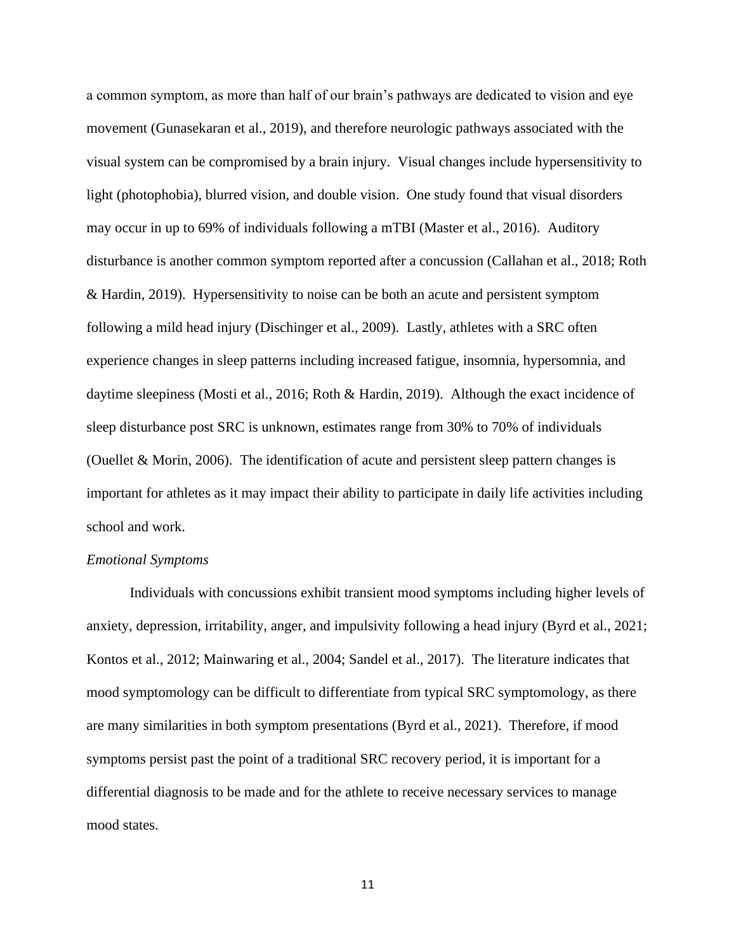a common symptom, as more than half of our brain's pathways are dedicated to vision and eye movement (Gunasekaran et al., 2019), and therefore neurologic pathways associated with the visual system can be compromised by a brain injury. Visual changes include hypersensitivity to light (photophobia), blurred vision, and double vision. One study found that visual disorders may occur in up to 69% of individuals following a mTBI (Master et al., 2016). Auditory disturbance is another common symptom reported after a concussion (Callahan et al., 2018; Roth & Hardin, 2019). Hypersensitivity to noise can be both an acute and persistent symptom following a mild head injury (Dischinger et al., 2009). Lastly, athletes with a SRC often experience changes in sleep patterns including increased fatigue, insomnia, hypersomnia, and daytime sleepiness (Mosti et al., 2016; Roth & Hardin, 2019). Although the exact incidence of sleep disturbance post SRC is unknown, estimates range from 30% to 70% of individuals (Ouellet & Morin, 2006). The identification of acute and persistent sleep pattern changes is important for athletes as it may impact their ability to participate in daily life activities including school and work.

#### *Emotional Symptoms*

Individuals with concussions exhibit transient mood symptoms including higher levels of anxiety, depression, irritability, anger, and impulsivity following a head injury (Byrd et al., 2021; Kontos et al., 2012; Mainwaring et al., 2004; Sandel et al., 2017). The literature indicates that mood symptomology can be difficult to differentiate from typical SRC symptomology, as there are many similarities in both symptom presentations (Byrd et al., 2021). Therefore, if mood symptoms persist past the point of a traditional SRC recovery period, it is important for a differential diagnosis to be made and for the athlete to receive necessary services to manage mood states.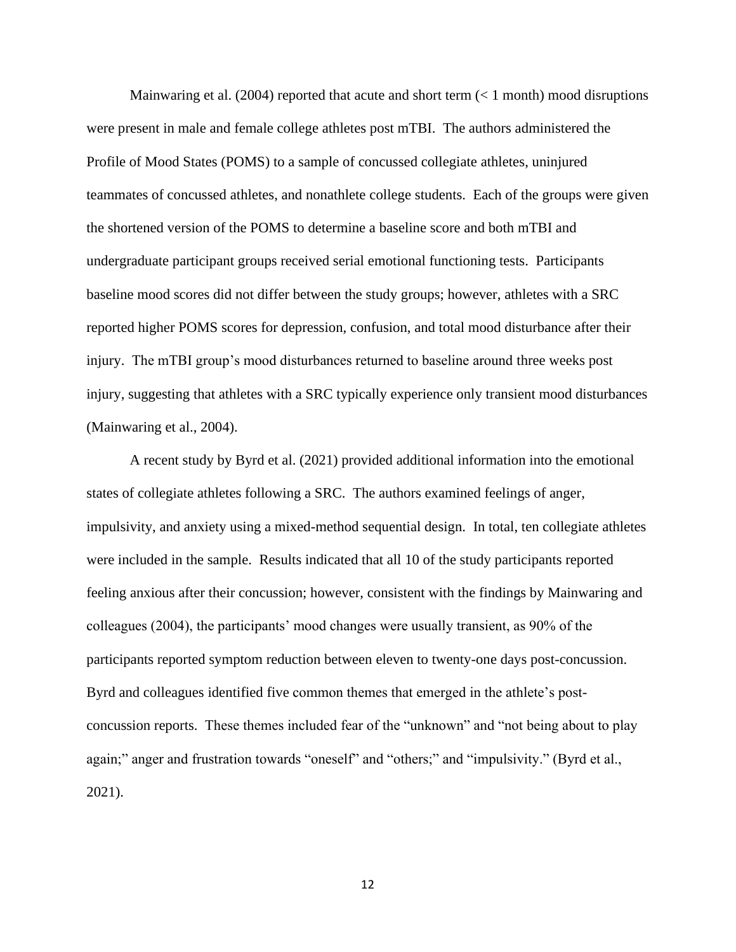Mainwaring et al. (2004) reported that acute and short term  $(< 1$  month) mood disruptions were present in male and female college athletes post mTBI. The authors administered the Profile of Mood States (POMS) to a sample of concussed collegiate athletes, uninjured teammates of concussed athletes, and nonathlete college students. Each of the groups were given the shortened version of the POMS to determine a baseline score and both mTBI and undergraduate participant groups received serial emotional functioning tests. Participants baseline mood scores did not differ between the study groups; however, athletes with a SRC reported higher POMS scores for depression, confusion, and total mood disturbance after their injury. The mTBI group's mood disturbances returned to baseline around three weeks post injury, suggesting that athletes with a SRC typically experience only transient mood disturbances (Mainwaring et al., 2004).

A recent study by Byrd et al. (2021) provided additional information into the emotional states of collegiate athletes following a SRC. The authors examined feelings of anger, impulsivity, and anxiety using a mixed-method sequential design. In total, ten collegiate athletes were included in the sample. Results indicated that all 10 of the study participants reported feeling anxious after their concussion; however, consistent with the findings by Mainwaring and colleagues (2004), the participants' mood changes were usually transient, as 90% of the participants reported symptom reduction between eleven to twenty-one days post-concussion. Byrd and colleagues identified five common themes that emerged in the athlete's postconcussion reports. These themes included fear of the "unknown" and "not being about to play again;" anger and frustration towards "oneself" and "others;" and "impulsivity." (Byrd et al., 2021).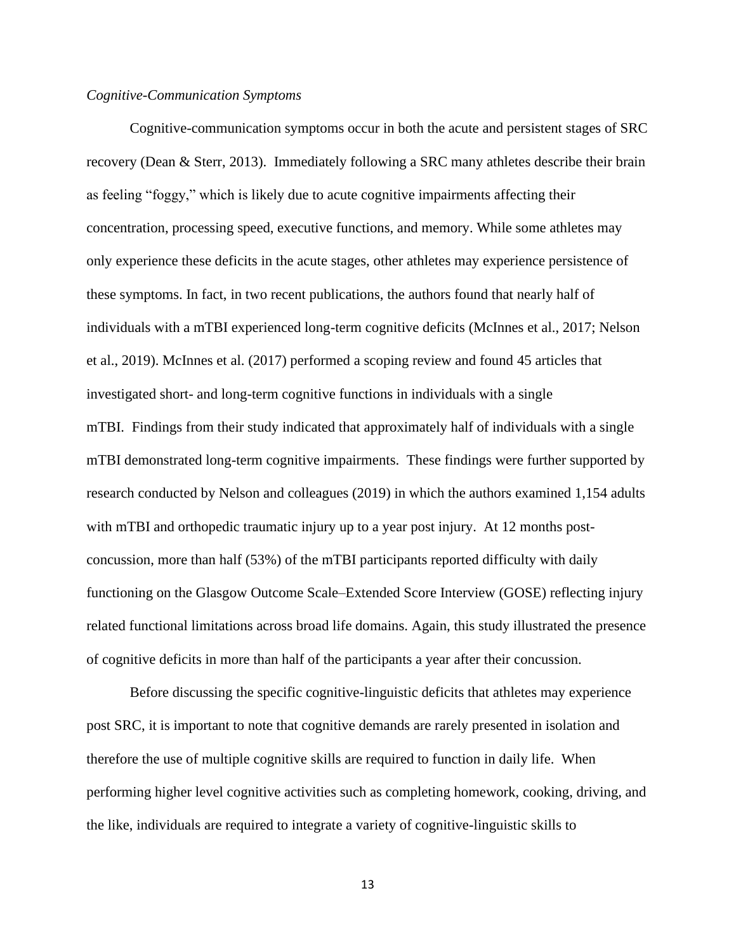#### *Cognitive-Communication Symptoms*

Cognitive-communication symptoms occur in both the acute and persistent stages of SRC recovery (Dean & Sterr, 2013). Immediately following a SRC many athletes describe their brain as feeling "foggy," which is likely due to acute cognitive impairments affecting their concentration, processing speed, executive functions, and memory. While some athletes may only experience these deficits in the acute stages, other athletes may experience persistence of these symptoms. In fact, in two recent publications, the authors found that nearly half of individuals with a mTBI experienced long-term cognitive deficits (McInnes et al., 2017; Nelson et al., 2019). McInnes et al. (2017) performed a scoping review and found 45 articles that investigated short- and long-term cognitive functions in individuals with a single mTBI. Findings from their study indicated that approximately half of individuals with a single mTBI demonstrated long-term cognitive impairments. These findings were further supported by research conducted by Nelson and colleagues (2019) in which the authors examined 1,154 adults with mTBI and orthopedic traumatic injury up to a year post injury. At 12 months postconcussion, more than half (53%) of the mTBI participants reported difficulty with daily functioning on the Glasgow Outcome Scale–Extended Score Interview (GOSE) reflecting injury related functional limitations across broad life domains. Again, this study illustrated the presence of cognitive deficits in more than half of the participants a year after their concussion.

Before discussing the specific cognitive-linguistic deficits that athletes may experience post SRC, it is important to note that cognitive demands are rarely presented in isolation and therefore the use of multiple cognitive skills are required to function in daily life. When performing higher level cognitive activities such as completing homework, cooking, driving, and the like, individuals are required to integrate a variety of cognitive-linguistic skills to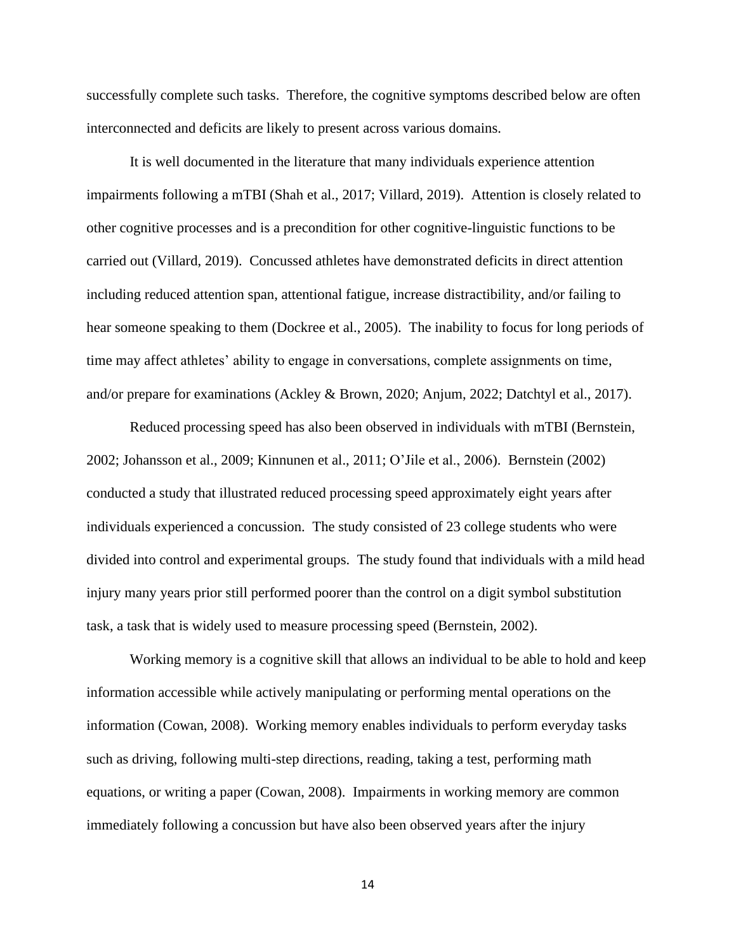successfully complete such tasks. Therefore, the cognitive symptoms described below are often interconnected and deficits are likely to present across various domains.

It is well documented in the literature that many individuals experience attention impairments following a mTBI (Shah et al., 2017; Villard, 2019). Attention is closely related to other cognitive processes and is a precondition for other cognitive-linguistic functions to be carried out (Villard, 2019). Concussed athletes have demonstrated deficits in direct attention including reduced attention span, attentional fatigue, increase distractibility, and/or failing to hear someone speaking to them (Dockree et al., 2005). The inability to focus for long periods of time may affect athletes' ability to engage in conversations, complete assignments on time, and/or prepare for examinations (Ackley & Brown, 2020; Anjum, 2022; Datchtyl et al., 2017).

Reduced processing speed has also been observed in individuals with mTBI (Bernstein, 2002; Johansson et al., 2009; Kinnunen et al., 2011; O'Jile et al., 2006). Bernstein (2002) conducted a study that illustrated reduced processing speed approximately eight years after individuals experienced a concussion. The study consisted of 23 college students who were divided into control and experimental groups. The study found that individuals with a mild head injury many years prior still performed poorer than the control on a digit symbol substitution task, a task that is widely used to measure processing speed (Bernstein, 2002).

Working memory is a cognitive skill that allows an individual to be able to hold and keep information accessible while actively manipulating or performing mental operations on the information (Cowan, 2008). Working memory enables individuals to perform everyday tasks such as driving, following multi-step directions, reading, taking a test, performing math equations, or writing a paper (Cowan, 2008). Impairments in working memory are common immediately following a concussion but have also been observed years after the injury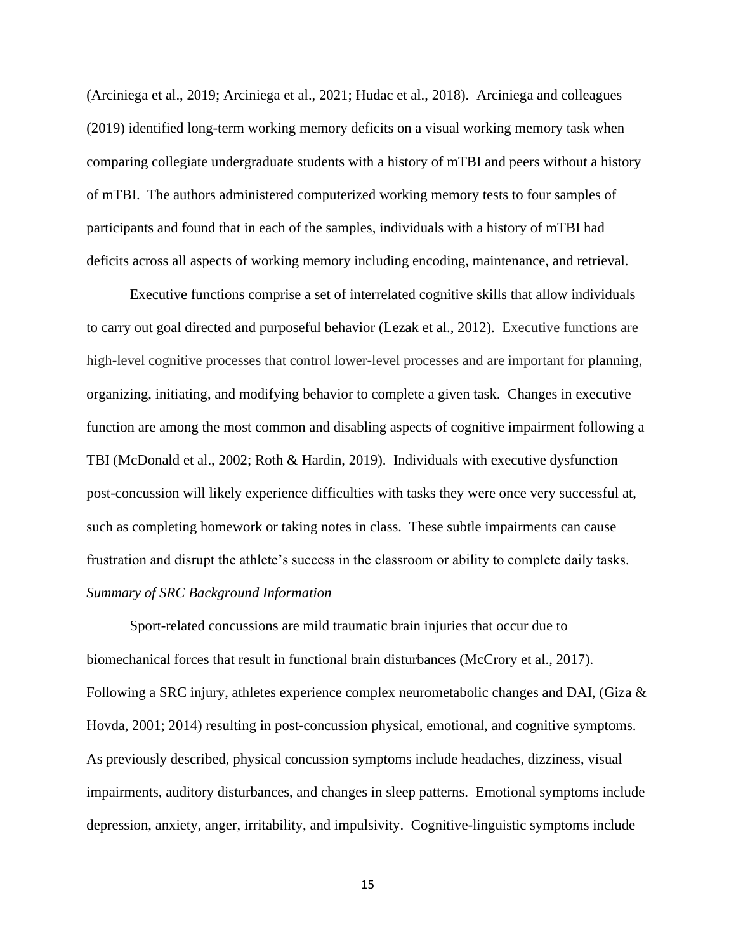(Arciniega et al., 2019; Arciniega et al., 2021; Hudac et al., 2018). Arciniega and colleagues (2019) identified long-term working memory deficits on a visual working memory task when comparing collegiate undergraduate students with a history of mTBI and peers without a history of mTBI. The authors administered computerized working memory tests to four samples of participants and found that in each of the samples, individuals with a history of mTBI had deficits across all aspects of working memory including encoding, maintenance, and retrieval.

Executive functions comprise a set of interrelated cognitive skills that allow individuals to carry out goal directed and purposeful behavior (Lezak et al., 2012). Executive functions are high-level cognitive processes that control lower-level processes and are important for planning, organizing, initiating, and modifying behavior to complete a given task. Changes in executive function are among the most common and disabling aspects of cognitive impairment following a TBI (McDonald et al., 2002; Roth & Hardin, 2019). Individuals with executive dysfunction post-concussion will likely experience difficulties with tasks they were once very successful at, such as completing homework or taking notes in class. These subtle impairments can cause frustration and disrupt the athlete's success in the classroom or ability to complete daily tasks. *Summary of SRC Background Information*

Sport-related concussions are mild traumatic brain injuries that occur due to biomechanical forces that result in functional brain disturbances (McCrory et al., 2017). Following a SRC injury, athletes experience complex neurometabolic changes and DAI, (Giza & Hovda, 2001; 2014) resulting in post-concussion physical, emotional, and cognitive symptoms. As previously described, physical concussion symptoms include headaches, dizziness, visual impairments, auditory disturbances, and changes in sleep patterns. Emotional symptoms include depression, anxiety, anger, irritability, and impulsivity. Cognitive-linguistic symptoms include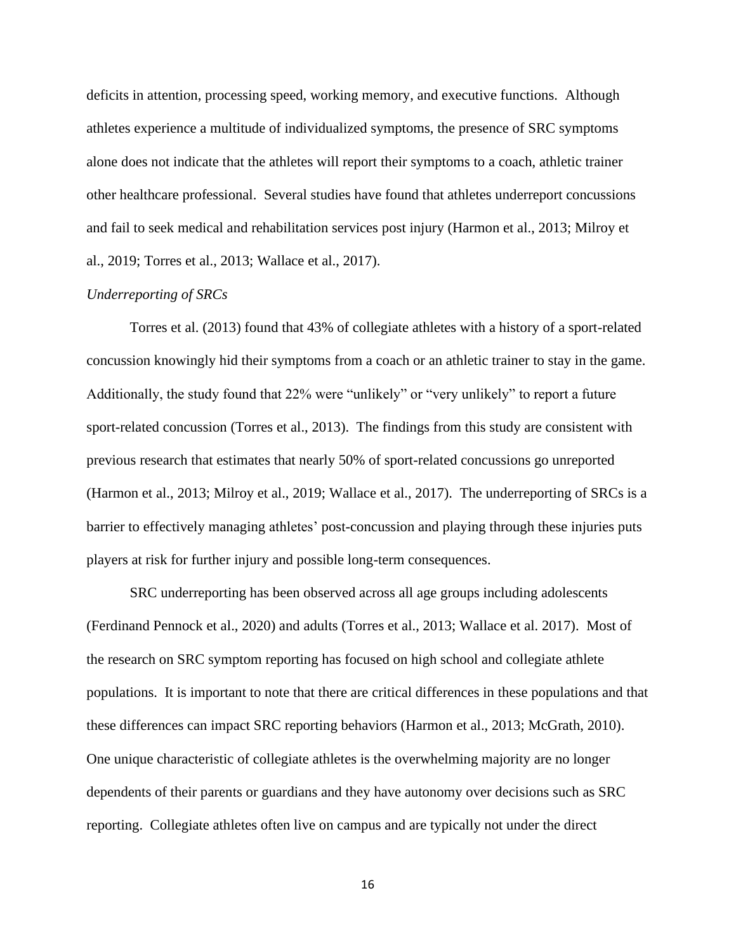deficits in attention, processing speed, working memory, and executive functions. Although athletes experience a multitude of individualized symptoms, the presence of SRC symptoms alone does not indicate that the athletes will report their symptoms to a coach, athletic trainer other healthcare professional. Several studies have found that athletes underreport concussions and fail to seek medical and rehabilitation services post injury (Harmon et al., 2013; Milroy et al., 2019; Torres et al., 2013; Wallace et al., 2017).

## *Underreporting of SRCs*

Torres et al. (2013) found that 43% of collegiate athletes with a history of a sport-related concussion knowingly hid their symptoms from a coach or an athletic trainer to stay in the game. Additionally, the study found that 22% were "unlikely" or "very unlikely" to report a future sport-related concussion (Torres et al., 2013). The findings from this study are consistent with previous research that estimates that nearly 50% of sport-related concussions go unreported (Harmon et al., 2013; Milroy et al., 2019; Wallace et al., 2017). The underreporting of SRCs is a barrier to effectively managing athletes' post-concussion and playing through these injuries puts players at risk for further injury and possible long-term consequences.

SRC underreporting has been observed across all age groups including adolescents (Ferdinand Pennock et al., 2020) and adults (Torres et al., 2013; Wallace et al. 2017). Most of the research on SRC symptom reporting has focused on high school and collegiate athlete populations. It is important to note that there are critical differences in these populations and that these differences can impact SRC reporting behaviors (Harmon et al., 2013; McGrath, 2010). One unique characteristic of collegiate athletes is the overwhelming majority are no longer dependents of their parents or guardians and they have autonomy over decisions such as SRC reporting. Collegiate athletes often live on campus and are typically not under the direct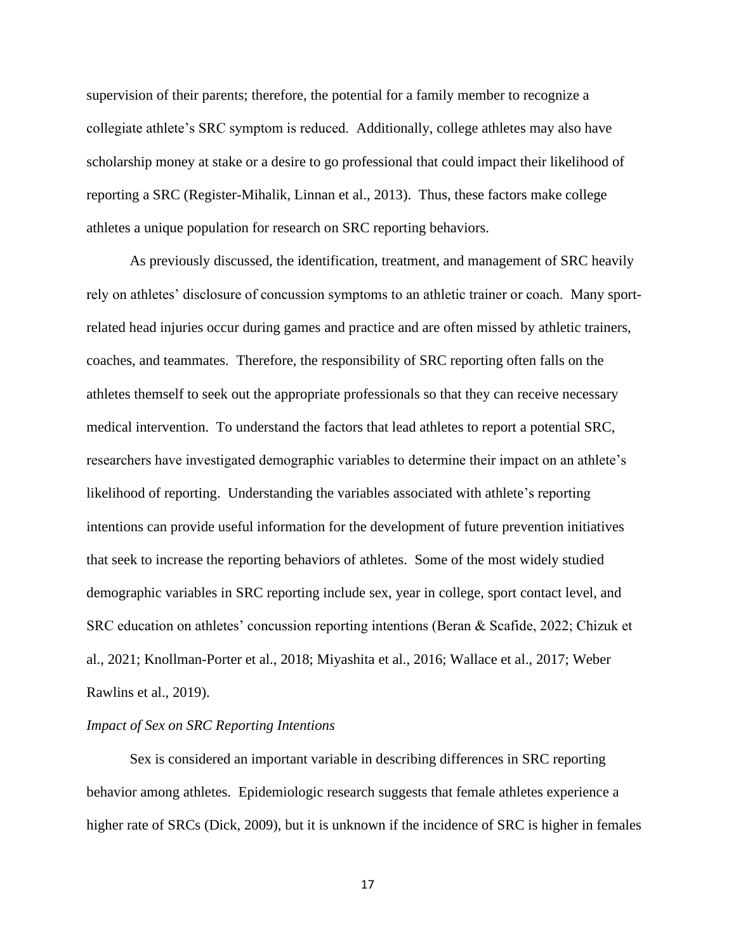supervision of their parents; therefore, the potential for a family member to recognize a collegiate athlete's SRC symptom is reduced. Additionally, college athletes may also have scholarship money at stake or a desire to go professional that could impact their likelihood of reporting a SRC (Register-Mihalik, Linnan et al., 2013). Thus, these factors make college athletes a unique population for research on SRC reporting behaviors.

As previously discussed, the identification, treatment, and management of SRC heavily rely on athletes' disclosure of concussion symptoms to an athletic trainer or coach. Many sportrelated head injuries occur during games and practice and are often missed by athletic trainers, coaches, and teammates. Therefore, the responsibility of SRC reporting often falls on the athletes themself to seek out the appropriate professionals so that they can receive necessary medical intervention. To understand the factors that lead athletes to report a potential SRC, researchers have investigated demographic variables to determine their impact on an athlete's likelihood of reporting. Understanding the variables associated with athlete's reporting intentions can provide useful information for the development of future prevention initiatives that seek to increase the reporting behaviors of athletes. Some of the most widely studied demographic variables in SRC reporting include sex, year in college, sport contact level, and SRC education on athletes' concussion reporting intentions (Beran & Scafide, 2022; Chizuk et al., 2021; Knollman-Porter et al., 2018; Miyashita et al., 2016; Wallace et al., 2017; Weber Rawlins et al., 2019).

#### *Impact of Sex on SRC Reporting Intentions*

Sex is considered an important variable in describing differences in SRC reporting behavior among athletes. Epidemiologic research suggests that female athletes experience a higher rate of SRCs (Dick, 2009), but it is unknown if the incidence of SRC is higher in females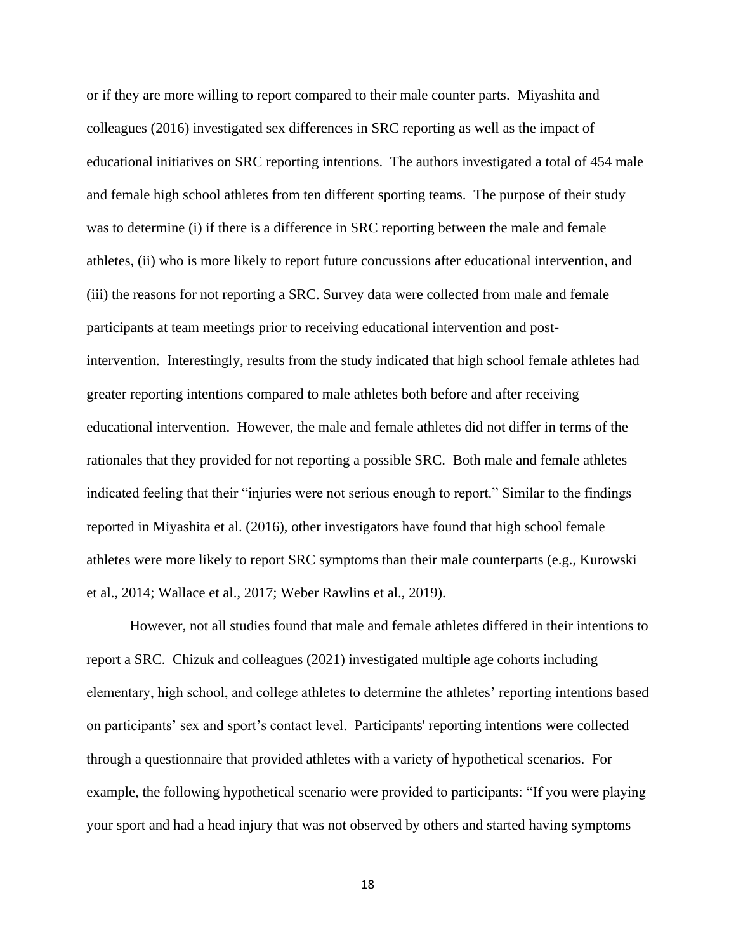or if they are more willing to report compared to their male counter parts. Miyashita and colleagues (2016) investigated sex differences in SRC reporting as well as the impact of educational initiatives on SRC reporting intentions. The authors investigated a total of 454 male and female high school athletes from ten different sporting teams. The purpose of their study was to determine (i) if there is a difference in SRC reporting between the male and female athletes, (ii) who is more likely to report future concussions after educational intervention, and (iii) the reasons for not reporting a SRC. Survey data were collected from male and female participants at team meetings prior to receiving educational intervention and postintervention. Interestingly, results from the study indicated that high school female athletes had greater reporting intentions compared to male athletes both before and after receiving educational intervention. However, the male and female athletes did not differ in terms of the rationales that they provided for not reporting a possible SRC. Both male and female athletes indicated feeling that their "injuries were not serious enough to report." Similar to the findings reported in Miyashita et al. (2016), other investigators have found that high school female athletes were more likely to report SRC symptoms than their male counterparts (e.g., Kurowski et al., 2014; Wallace et al., 2017; Weber Rawlins et al., 2019).

However, not all studies found that male and female athletes differed in their intentions to report a SRC. Chizuk and colleagues (2021) investigated multiple age cohorts including elementary, high school, and college athletes to determine the athletes' reporting intentions based on participants' sex and sport's contact level. Participants' reporting intentions were collected through a questionnaire that provided athletes with a variety of hypothetical scenarios. For example, the following hypothetical scenario were provided to participants: "If you were playing your sport and had a head injury that was not observed by others and started having symptoms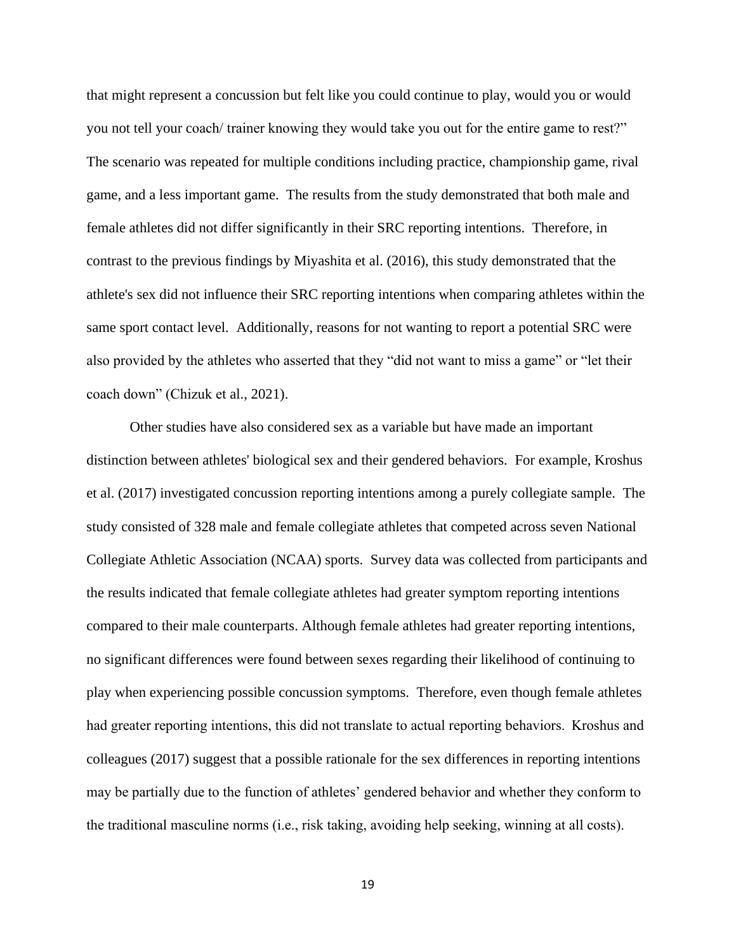that might represent a concussion but felt like you could continue to play, would you or would you not tell your coach/ trainer knowing they would take you out for the entire game to rest?" The scenario was repeated for multiple conditions including practice, championship game, rival game, and a less important game. The results from the study demonstrated that both male and female athletes did not differ significantly in their SRC reporting intentions. Therefore, in contrast to the previous findings by Miyashita et al. (2016), this study demonstrated that the athlete's sex did not influence their SRC reporting intentions when comparing athletes within the same sport contact level. Additionally, reasons for not wanting to report a potential SRC were also provided by the athletes who asserted that they "did not want to miss a game" or "let their coach down" (Chizuk et al., 2021).

Other studies have also considered sex as a variable but have made an important distinction between athletes' biological sex and their gendered behaviors. For example, Kroshus et al. (2017) investigated concussion reporting intentions among a purely collegiate sample. The study consisted of 328 male and female collegiate athletes that competed across seven National Collegiate Athletic Association (NCAA) sports. Survey data was collected from participants and the results indicated that female collegiate athletes had greater symptom reporting intentions compared to their male counterparts. Although female athletes had greater reporting intentions, no significant differences were found between sexes regarding their likelihood of continuing to play when experiencing possible concussion symptoms. Therefore, even though female athletes had greater reporting intentions, this did not translate to actual reporting behaviors.  Kroshus and colleagues (2017) suggest that a possible rationale for the sex differences in reporting intentions may be partially due to the function of athletes' gendered behavior and whether they conform to the traditional masculine norms (i.e., risk taking, avoiding help seeking, winning at all costs).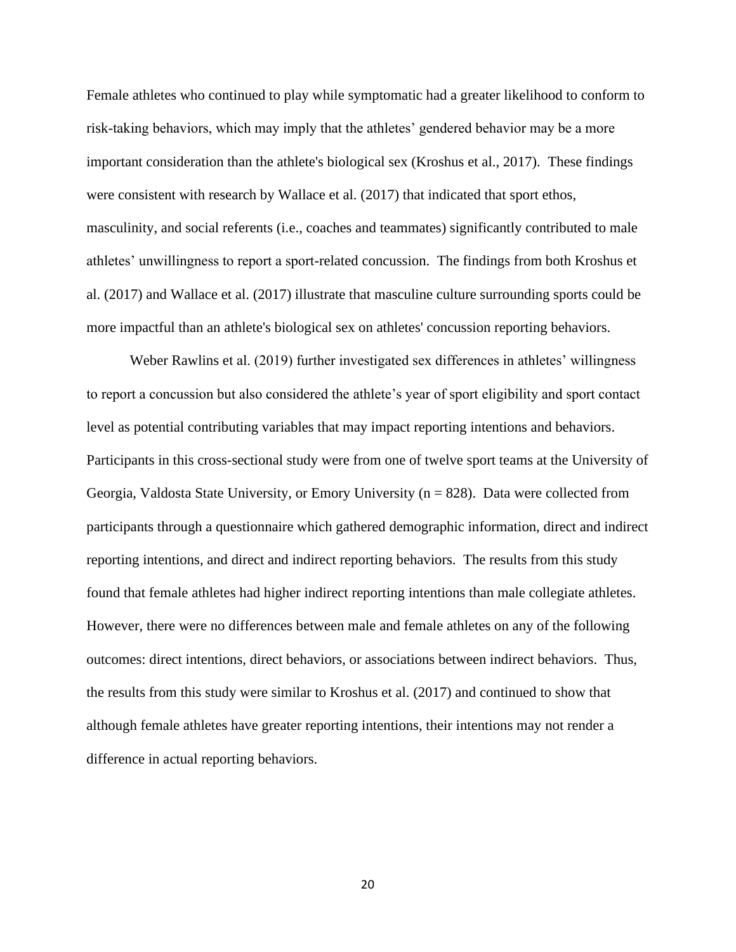Female athletes who continued to play while symptomatic had a greater likelihood to conform to risk-taking behaviors, which may imply that the athletes' gendered behavior may be a more important consideration than the athlete's biological sex (Kroshus et al., 2017). These findings were consistent with research by Wallace et al. (2017) that indicated that sport ethos, masculinity, and social referents (i.e., coaches and teammates) significantly contributed to male athletes' unwillingness to report a sport-related concussion. The findings from both Kroshus et al. (2017) and Wallace et al. (2017) illustrate that masculine culture surrounding sports could be more impactful than an athlete's biological sex on athletes' concussion reporting behaviors.

Weber Rawlins et al. (2019) further investigated sex differences in athletes' willingness to report a concussion but also considered the athlete's year of sport eligibility and sport contact level as potential contributing variables that may impact reporting intentions and behaviors. Participants in this cross-sectional study were from one of twelve sport teams at the University of Georgia, Valdosta State University, or Emory University ( $n = 828$ ). Data were collected from participants through a questionnaire which gathered demographic information, direct and indirect reporting intentions, and direct and indirect reporting behaviors. The results from this study found that female athletes had higher indirect reporting intentions than male collegiate athletes. However, there were no differences between male and female athletes on any of the following outcomes: direct intentions, direct behaviors, or associations between indirect behaviors. Thus, the results from this study were similar to Kroshus et al. (2017) and continued to show that although female athletes have greater reporting intentions, their intentions may not render a difference in actual reporting behaviors.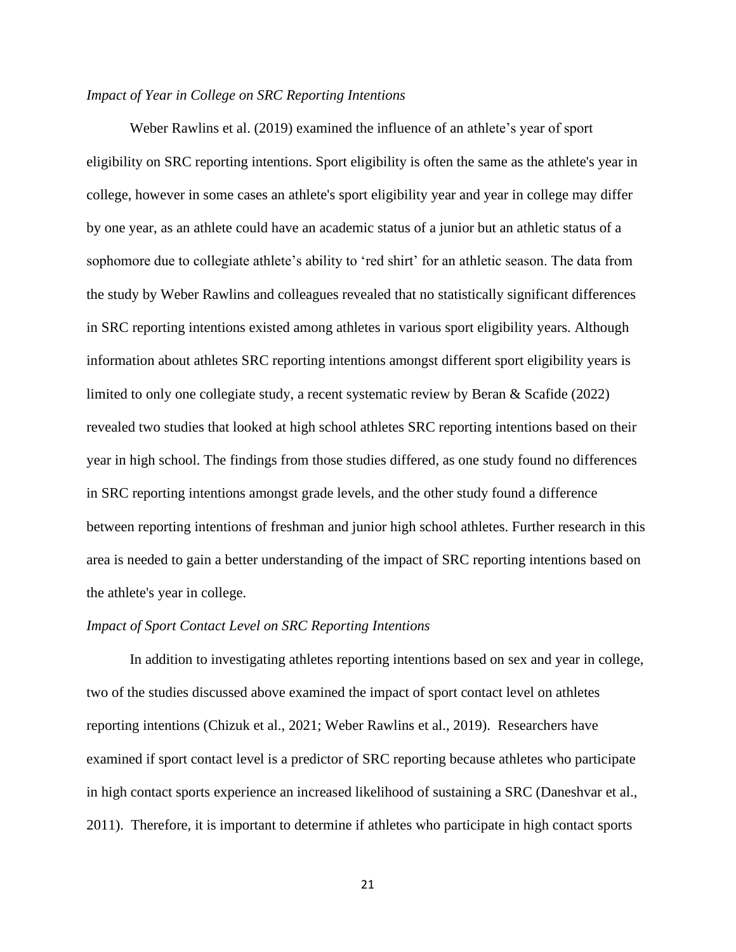## *Impact of Year in College on SRC Reporting Intentions*

Weber Rawlins et al. (2019) examined the influence of an athlete's year of sport eligibility on SRC reporting intentions. Sport eligibility is often the same as the athlete's year in college, however in some cases an athlete's sport eligibility year and year in college may differ by one year, as an athlete could have an academic status of a junior but an athletic status of a sophomore due to collegiate athlete's ability to 'red shirt' for an athletic season. The data from the study by Weber Rawlins and colleagues revealed that no statistically significant differences in SRC reporting intentions existed among athletes in various sport eligibility years. Although information about athletes SRC reporting intentions amongst different sport eligibility years is limited to only one collegiate study, a recent systematic review by Beran & Scafide (2022) revealed two studies that looked at high school athletes SRC reporting intentions based on their year in high school. The findings from those studies differed, as one study found no differences in SRC reporting intentions amongst grade levels, and the other study found a difference between reporting intentions of freshman and junior high school athletes. Further research in this area is needed to gain a better understanding of the impact of SRC reporting intentions based on the athlete's year in college.

## *Impact of Sport Contact Level on SRC Reporting Intentions*

In addition to investigating athletes reporting intentions based on sex and year in college, two of the studies discussed above examined the impact of sport contact level on athletes reporting intentions (Chizuk et al., 2021; Weber Rawlins et al., 2019). Researchers have examined if sport contact level is a predictor of SRC reporting because athletes who participate in high contact sports experience an increased likelihood of sustaining a SRC (Daneshvar et al., 2011). Therefore, it is important to determine if athletes who participate in high contact sports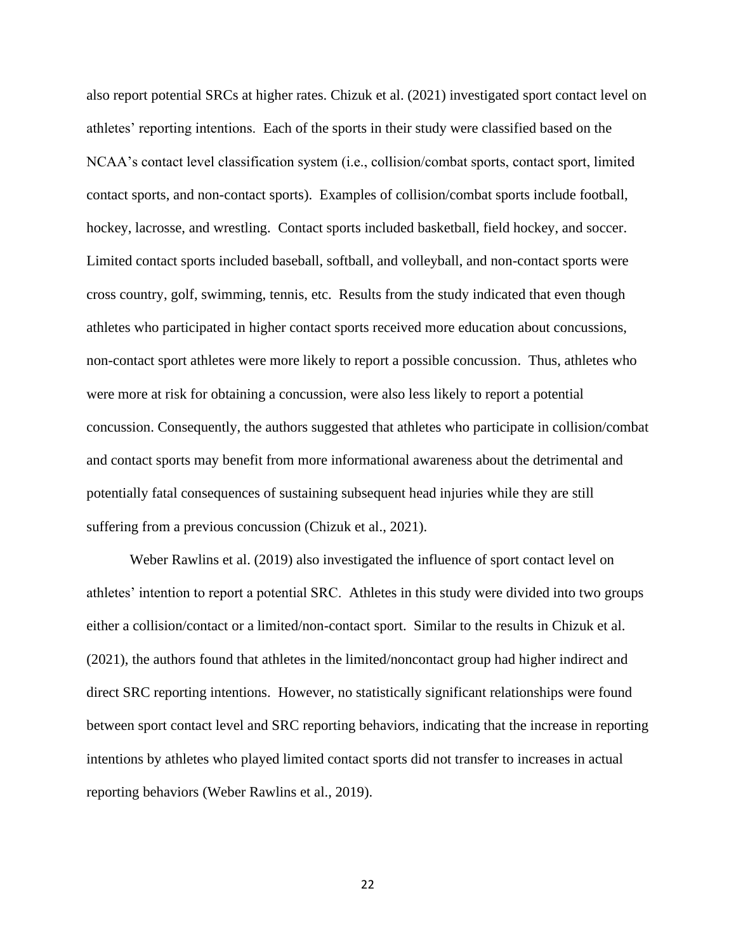also report potential SRCs at higher rates. Chizuk et al. (2021) investigated sport contact level on athletes' reporting intentions. Each of the sports in their study were classified based on the NCAA's contact level classification system (i.e., collision/combat sports, contact sport, limited contact sports, and non-contact sports). Examples of collision/combat sports include football, hockey, lacrosse, and wrestling. Contact sports included basketball, field hockey, and soccer. Limited contact sports included baseball, softball, and volleyball, and non-contact sports were cross country, golf, swimming, tennis, etc. Results from the study indicated that even though athletes who participated in higher contact sports received more education about concussions, non-contact sport athletes were more likely to report a possible concussion. Thus, athletes who were more at risk for obtaining a concussion, were also less likely to report a potential concussion. Consequently, the authors suggested that athletes who participate in collision/combat and contact sports may benefit from more informational awareness about the detrimental and potentially fatal consequences of sustaining subsequent head injuries while they are still suffering from a previous concussion (Chizuk et al., 2021).

Weber Rawlins et al. (2019) also investigated the influence of sport contact level on athletes' intention to report a potential SRC. Athletes in this study were divided into two groups either a collision/contact or a limited/non-contact sport. Similar to the results in Chizuk et al. (2021), the authors found that athletes in the limited/noncontact group had higher indirect and direct SRC reporting intentions. However, no statistically significant relationships were found between sport contact level and SRC reporting behaviors, indicating that the increase in reporting intentions by athletes who played limited contact sports did not transfer to increases in actual reporting behaviors (Weber Rawlins et al., 2019).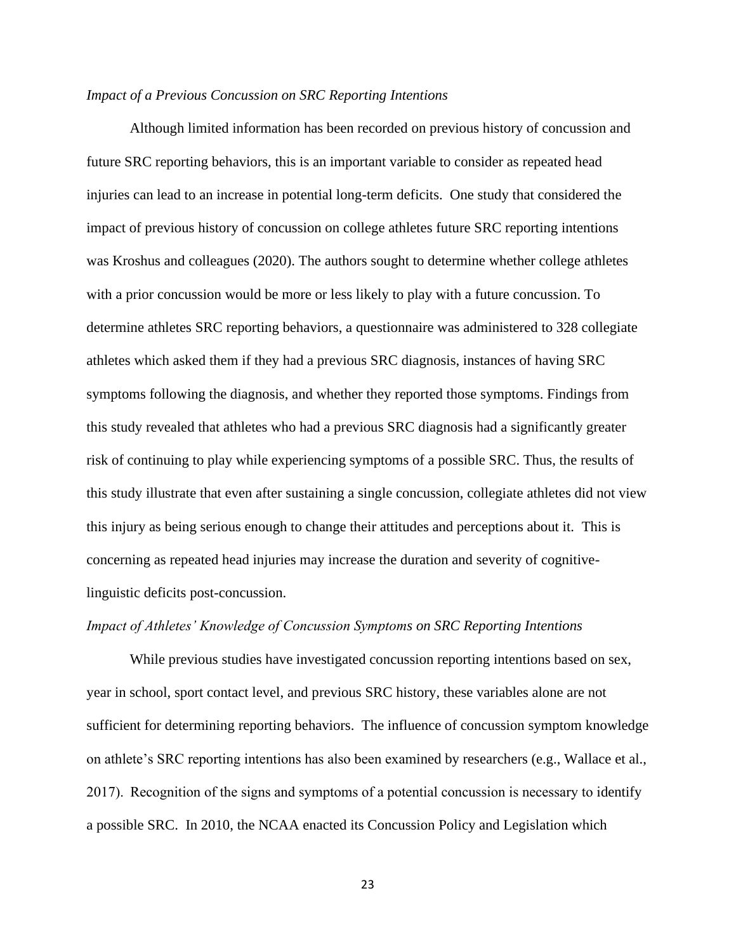#### *Impact of a Previous Concussion on SRC Reporting Intentions*

Although limited information has been recorded on previous history of concussion and future SRC reporting behaviors, this is an important variable to consider as repeated head injuries can lead to an increase in potential long-term deficits. One study that considered the impact of previous history of concussion on college athletes future SRC reporting intentions was Kroshus and colleagues (2020). The authors sought to determine whether college athletes with a prior concussion would be more or less likely to play with a future concussion. To determine athletes SRC reporting behaviors, a questionnaire was administered to 328 collegiate athletes which asked them if they had a previous SRC diagnosis, instances of having SRC symptoms following the diagnosis, and whether they reported those symptoms. Findings from this study revealed that athletes who had a previous SRC diagnosis had a significantly greater risk of continuing to play while experiencing symptoms of a possible SRC. Thus, the results of this study illustrate that even after sustaining a single concussion, collegiate athletes did not view this injury as being serious enough to change their attitudes and perceptions about it. This is concerning as repeated head injuries may increase the duration and severity of cognitivelinguistic deficits post-concussion.

## *Impact of Athletes' Knowledge of Concussion Symptoms on SRC Reporting Intentions*

While previous studies have investigated concussion reporting intentions based on sex, year in school, sport contact level, and previous SRC history, these variables alone are not sufficient for determining reporting behaviors. The influence of concussion symptom knowledge on athlete's SRC reporting intentions has also been examined by researchers (e.g., Wallace et al., 2017).  Recognition of the signs and symptoms of a potential concussion is necessary to identify a possible SRC. In 2010, the NCAA enacted its Concussion Policy and Legislation which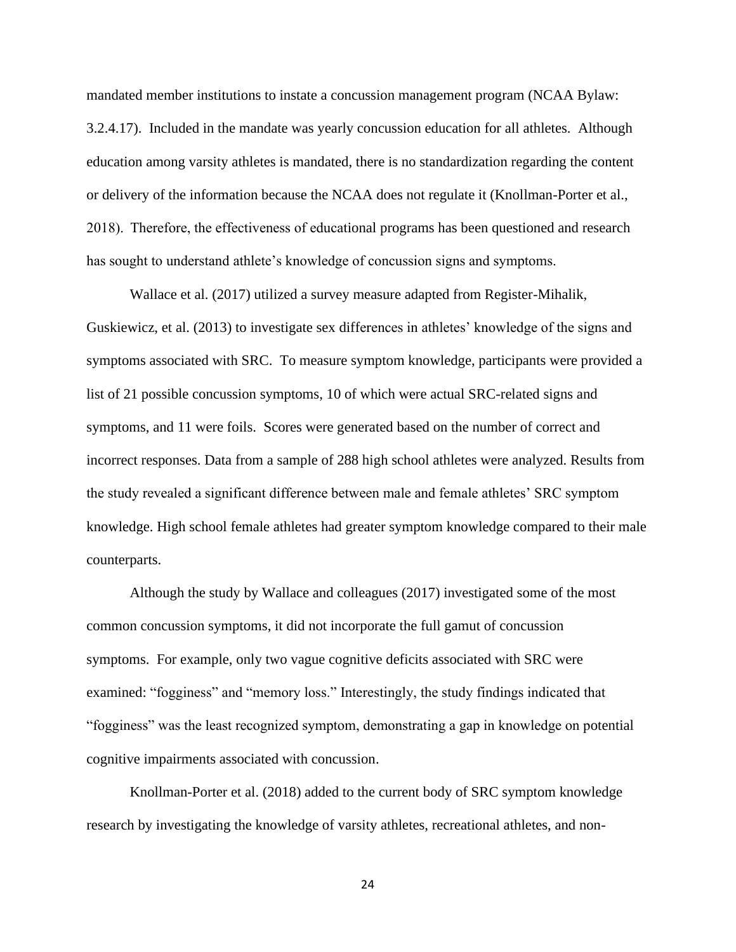mandated member institutions to instate a concussion management program (NCAA Bylaw: 3.2.4.17). Included in the mandate was yearly concussion education for all athletes. Although education among varsity athletes is mandated, there is no standardization regarding the content or delivery of the information because the NCAA does not regulate it (Knollman-Porter et al., 2018).  Therefore, the effectiveness of educational programs has been questioned and research has sought to understand athlete's knowledge of concussion signs and symptoms.

Wallace et al. (2017) utilized a survey measure adapted from Register-Mihalik, Guskiewicz, et al. (2013) to investigate sex differences in athletes' knowledge of the signs and symptoms associated with SRC. To measure symptom knowledge, participants were provided a list of 21 possible concussion symptoms, 10 of which were actual SRC-related signs and symptoms, and 11 were foils. Scores were generated based on the number of correct and incorrect responses. Data from a sample of 288 high school athletes were analyzed. Results from the study revealed a significant difference between male and female athletes' SRC symptom knowledge. High school female athletes had greater symptom knowledge compared to their male counterparts.

Although the study by Wallace and colleagues (2017) investigated some of the most common concussion symptoms, it did not incorporate the full gamut of concussion symptoms. For example, only two vague cognitive deficits associated with SRC were examined: "fogginess" and "memory loss." Interestingly, the study findings indicated that "fogginess" was the least recognized symptom, demonstrating a gap in knowledge on potential cognitive impairments associated with concussion.

Knollman-Porter et al. (2018) added to the current body of SRC symptom knowledge research by investigating the knowledge of varsity athletes, recreational athletes, and non-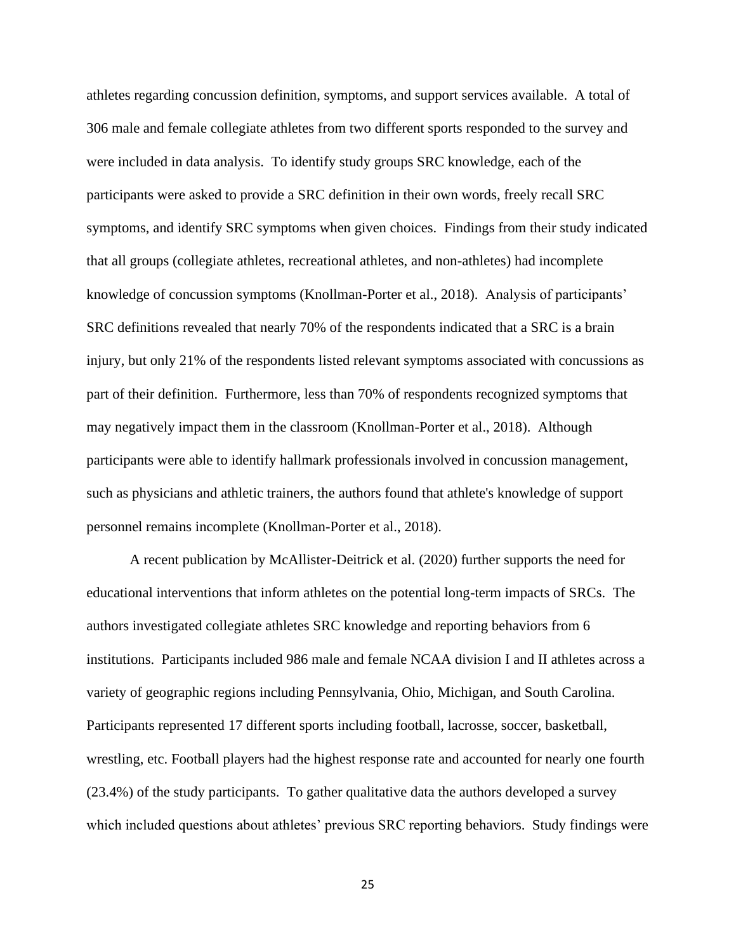athletes regarding concussion definition, symptoms, and support services available. A total of 306 male and female collegiate athletes from two different sports responded to the survey and were included in data analysis. To identify study groups SRC knowledge, each of the participants were asked to provide a SRC definition in their own words, freely recall SRC symptoms, and identify SRC symptoms when given choices. Findings from their study indicated that all groups (collegiate athletes, recreational athletes, and non-athletes) had incomplete knowledge of concussion symptoms (Knollman-Porter et al., 2018). Analysis of participants' SRC definitions revealed that nearly 70% of the respondents indicated that a SRC is a brain injury, but only 21% of the respondents listed relevant symptoms associated with concussions as part of their definition. Furthermore, less than 70% of respondents recognized symptoms that may negatively impact them in the classroom (Knollman-Porter et al., 2018). Although participants were able to identify hallmark professionals involved in concussion management, such as physicians and athletic trainers, the authors found that athlete's knowledge of support personnel remains incomplete (Knollman-Porter et al., 2018).

A recent publication by McAllister-Deitrick et al. (2020) further supports the need for educational interventions that inform athletes on the potential long-term impacts of SRCs. The authors investigated collegiate athletes SRC knowledge and reporting behaviors from 6 institutions. Participants included 986 male and female NCAA division I and II athletes across a variety of geographic regions including Pennsylvania, Ohio, Michigan, and South Carolina. Participants represented 17 different sports including football, lacrosse, soccer, basketball, wrestling, etc. Football players had the highest response rate and accounted for nearly one fourth (23.4%) of the study participants. To gather qualitative data the authors developed a survey which included questions about athletes' previous SRC reporting behaviors. Study findings were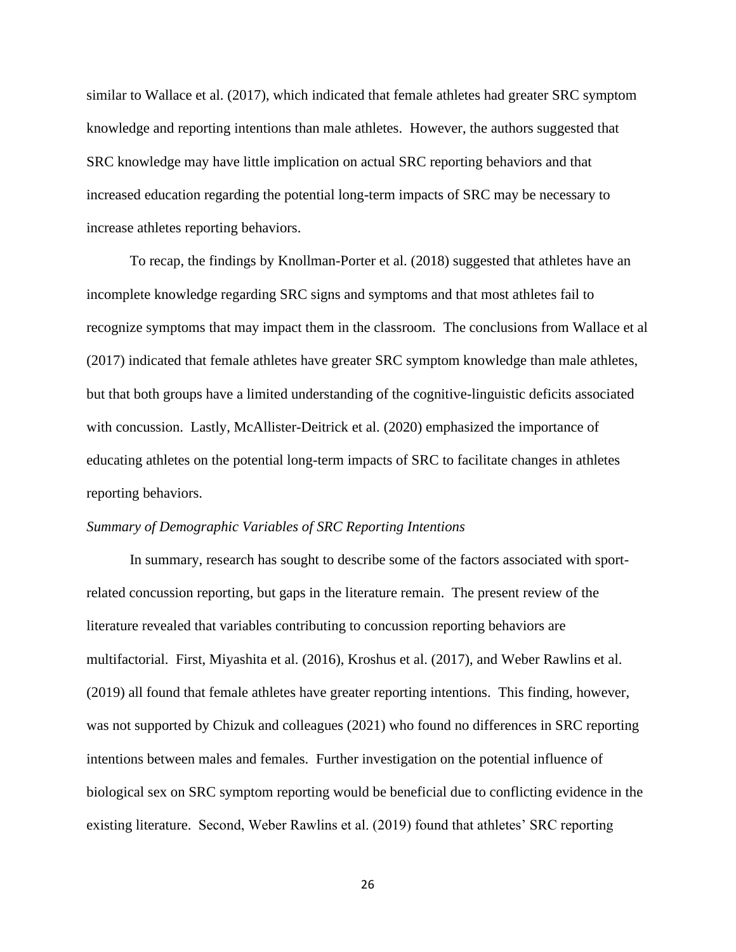similar to Wallace et al. (2017), which indicated that female athletes had greater SRC symptom knowledge and reporting intentions than male athletes. However, the authors suggested that SRC knowledge may have little implication on actual SRC reporting behaviors and that increased education regarding the potential long-term impacts of SRC may be necessary to increase athletes reporting behaviors.

To recap, the findings by Knollman-Porter et al. (2018) suggested that athletes have an incomplete knowledge regarding SRC signs and symptoms and that most athletes fail to recognize symptoms that may impact them in the classroom. The conclusions from Wallace et al (2017) indicated that female athletes have greater SRC symptom knowledge than male athletes, but that both groups have a limited understanding of the cognitive-linguistic deficits associated with concussion. Lastly, McAllister-Deitrick et al. (2020) emphasized the importance of educating athletes on the potential long-term impacts of SRC to facilitate changes in athletes reporting behaviors.

### *Summary of Demographic Variables of SRC Reporting Intentions*

In summary, research has sought to describe some of the factors associated with sportrelated concussion reporting, but gaps in the literature remain. The present review of the literature revealed that variables contributing to concussion reporting behaviors are multifactorial. First, Miyashita et al. (2016), Kroshus et al. (2017), and Weber Rawlins et al. (2019) all found that female athletes have greater reporting intentions. This finding, however, was not supported by Chizuk and colleagues (2021) who found no differences in SRC reporting intentions between males and females. Further investigation on the potential influence of biological sex on SRC symptom reporting would be beneficial due to conflicting evidence in the existing literature. Second, Weber Rawlins et al. (2019) found that athletes' SRC reporting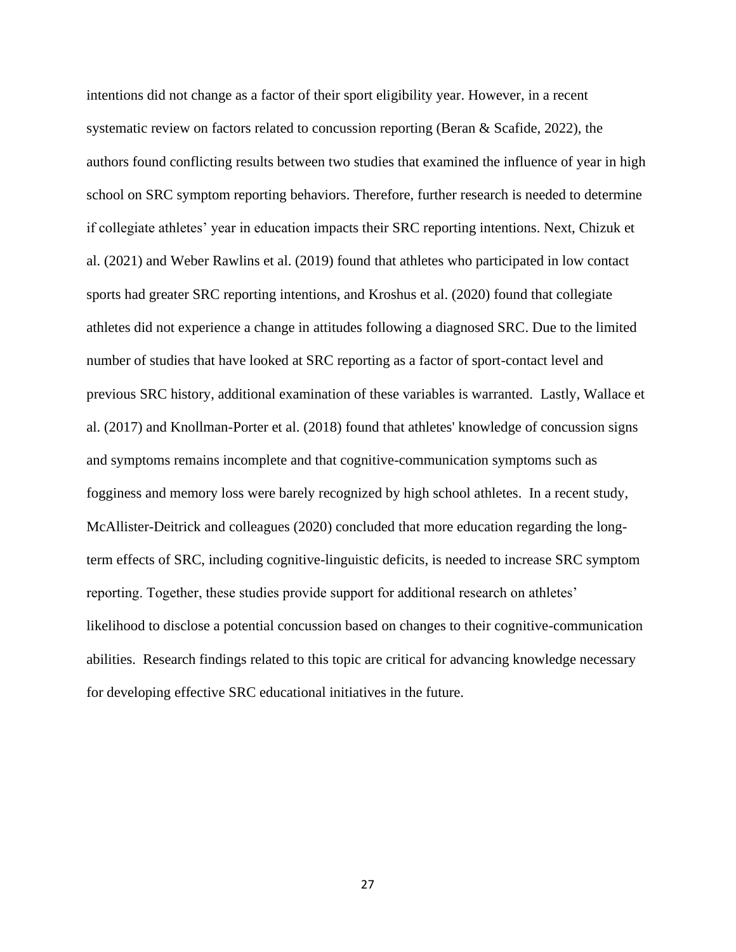intentions did not change as a factor of their sport eligibility year. However, in a recent systematic review on factors related to concussion reporting (Beran & Scafide, 2022), the authors found conflicting results between two studies that examined the influence of year in high school on SRC symptom reporting behaviors. Therefore, further research is needed to determine if collegiate athletes' year in education impacts their SRC reporting intentions. Next, Chizuk et al. (2021) and Weber Rawlins et al. (2019) found that athletes who participated in low contact sports had greater SRC reporting intentions, and Kroshus et al. (2020) found that collegiate athletes did not experience a change in attitudes following a diagnosed SRC. Due to the limited number of studies that have looked at SRC reporting as a factor of sport-contact level and previous SRC history, additional examination of these variables is warranted. Lastly, Wallace et al. (2017) and Knollman-Porter et al. (2018) found that athletes' knowledge of concussion signs and symptoms remains incomplete and that cognitive-communication symptoms such as fogginess and memory loss were barely recognized by high school athletes. In a recent study, McAllister-Deitrick and colleagues (2020) concluded that more education regarding the longterm effects of SRC, including cognitive-linguistic deficits, is needed to increase SRC symptom reporting. Together, these studies provide support for additional research on athletes' likelihood to disclose a potential concussion based on changes to their cognitive-communication abilities. Research findings related to this topic are critical for advancing knowledge necessary for developing effective SRC educational initiatives in the future.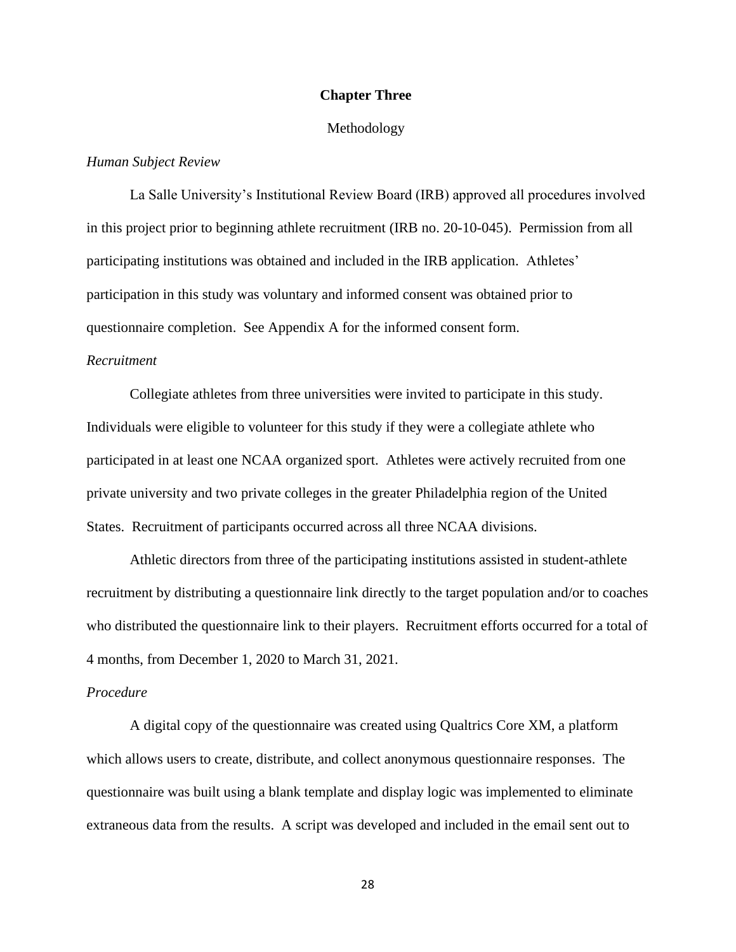## **Chapter Three**

### Methodology

## *Human Subject Review*

La Salle University's Institutional Review Board (IRB) approved all procedures involved in this project prior to beginning athlete recruitment (IRB no. 20-10-045). Permission from all participating institutions was obtained and included in the IRB application. Athletes' participation in this study was voluntary and informed consent was obtained prior to questionnaire completion. See Appendix A for the informed consent form.

## *Recruitment*

Collegiate athletes from three universities were invited to participate in this study. Individuals were eligible to volunteer for this study if they were a collegiate athlete who participated in at least one NCAA organized sport. Athletes were actively recruited from one private university and two private colleges in the greater Philadelphia region of the United States. Recruitment of participants occurred across all three NCAA divisions.

Athletic directors from three of the participating institutions assisted in student-athlete recruitment by distributing a questionnaire link directly to the target population and/or to coaches who distributed the questionnaire link to their players. Recruitment efforts occurred for a total of 4 months, from December 1, 2020 to March 31, 2021.

### *Procedure*

A digital copy of the questionnaire was created using Qualtrics Core XM, a platform which allows users to create, distribute, and collect anonymous questionnaire responses. The questionnaire was built using a blank template and display logic was implemented to eliminate extraneous data from the results. A script was developed and included in the email sent out to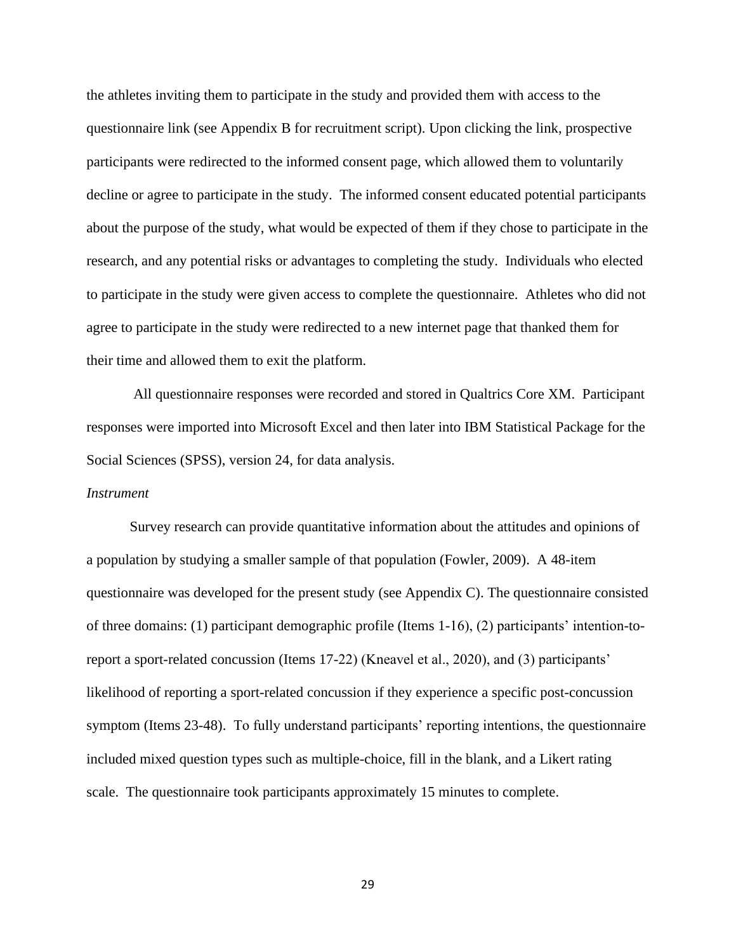the athletes inviting them to participate in the study and provided them with access to the questionnaire link (see Appendix B for recruitment script). Upon clicking the link, prospective participants were redirected to the informed consent page, which allowed them to voluntarily decline or agree to participate in the study. The informed consent educated potential participants about the purpose of the study, what would be expected of them if they chose to participate in the research, and any potential risks or advantages to completing the study. Individuals who elected to participate in the study were given access to complete the questionnaire. Athletes who did not agree to participate in the study were redirected to a new internet page that thanked them for their time and allowed them to exit the platform.

All questionnaire responses were recorded and stored in Qualtrics Core XM. Participant responses were imported into Microsoft Excel and then later into IBM Statistical Package for the Social Sciences (SPSS), version 24, for data analysis.

#### *Instrument*

Survey research can provide quantitative information about the attitudes and opinions of a population by studying a smaller sample of that population (Fowler, 2009). A 48-item questionnaire was developed for the present study (see Appendix C). The questionnaire consisted of three domains: (1) participant demographic profile (Items 1-16), (2) participants' intention-toreport a sport-related concussion (Items 17-22) (Kneavel et al., 2020), and (3) participants' likelihood of reporting a sport-related concussion if they experience a specific post-concussion symptom (Items 23-48). To fully understand participants' reporting intentions, the questionnaire included mixed question types such as multiple-choice, fill in the blank, and a Likert rating scale. The questionnaire took participants approximately 15 minutes to complete.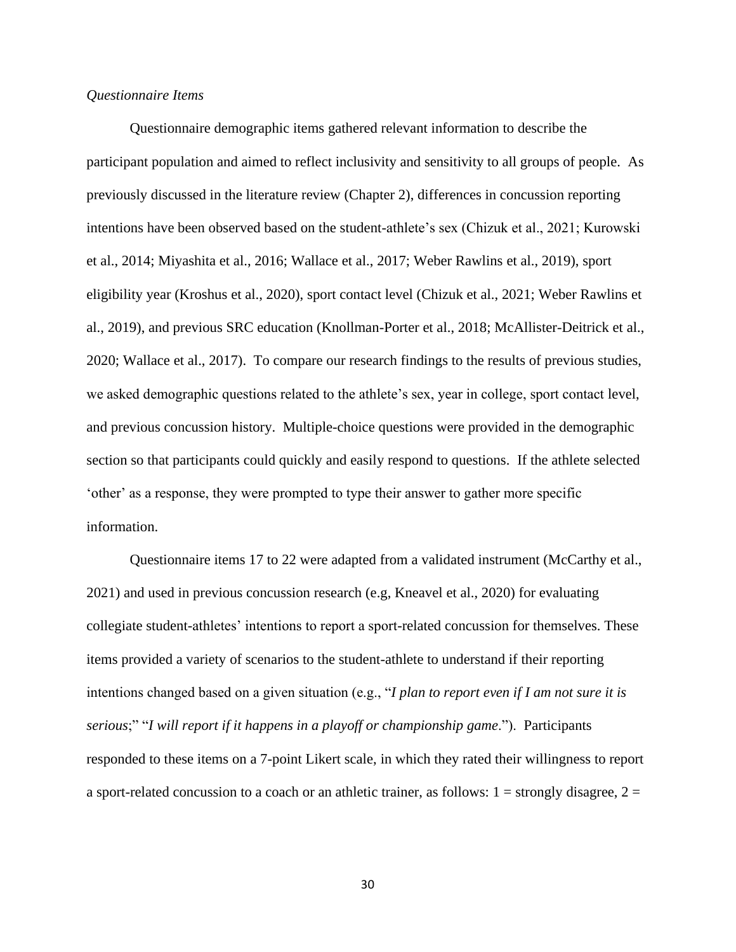### *Questionnaire Items*

Questionnaire demographic items gathered relevant information to describe the participant population and aimed to reflect inclusivity and sensitivity to all groups of people. As previously discussed in the literature review (Chapter 2), differences in concussion reporting intentions have been observed based on the student-athlete's sex (Chizuk et al., 2021; Kurowski et al., 2014; Miyashita et al., 2016; Wallace et al., 2017; Weber Rawlins et al., 2019), sport eligibility year (Kroshus et al., 2020), sport contact level (Chizuk et al., 2021; Weber Rawlins et al., 2019), and previous SRC education (Knollman-Porter et al., 2018; McAllister-Deitrick et al., 2020; Wallace et al., 2017). To compare our research findings to the results of previous studies, we asked demographic questions related to the athlete's sex, year in college, sport contact level, and previous concussion history. Multiple-choice questions were provided in the demographic section so that participants could quickly and easily respond to questions. If the athlete selected 'other' as a response, they were prompted to type their answer to gather more specific information.

Questionnaire items 17 to 22 were adapted from a validated instrument (McCarthy et al., 2021) and used in previous concussion research (e.g, Kneavel et al., 2020) for evaluating collegiate student-athletes' intentions to report a sport-related concussion for themselves. These items provided a variety of scenarios to the student-athlete to understand if their reporting intentions changed based on a given situation (e.g., "*I plan to report even if I am not sure it is serious*;" "*I will report if it happens in a playoff or championship game*."). Participants responded to these items on a 7-point Likert scale, in which they rated their willingness to report a sport-related concussion to a coach or an athletic trainer, as follows:  $1 =$  strongly disagree,  $2 =$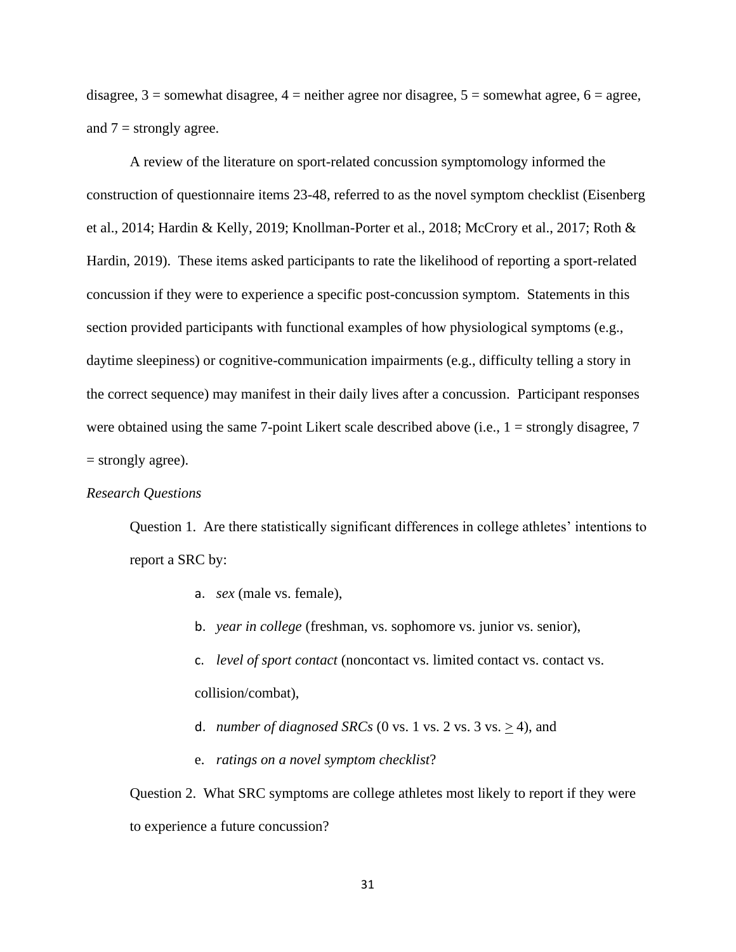disagree,  $3 =$  somewhat disagree,  $4 =$  neither agree nor disagree,  $5 =$  somewhat agree,  $6 =$  agree, and  $7 =$  strongly agree.

A review of the literature on sport-related concussion symptomology informed the construction of questionnaire items 23-48, referred to as the novel symptom checklist (Eisenberg et al., 2014; Hardin & Kelly, 2019; Knollman-Porter et al., 2018; McCrory et al., 2017; Roth & Hardin, 2019). These items asked participants to rate the likelihood of reporting a sport-related concussion if they were to experience a specific post-concussion symptom. Statements in this section provided participants with functional examples of how physiological symptoms (e.g., daytime sleepiness) or cognitive-communication impairments (e.g., difficulty telling a story in the correct sequence) may manifest in their daily lives after a concussion. Participant responses were obtained using the same 7-point Likert scale described above (i.e., 1 = strongly disagree, 7 = strongly agree).

## *Research Questions*

Question 1. Are there statistically significant differences in college athletes' intentions to report a SRC by:

- a. *sex* (male vs. female),
- b. *year in college* (freshman, vs. sophomore vs. junior vs. senior),
- c. *level of sport contact* (noncontact vs. limited contact vs. contact vs. collision/combat),
- d. *number of diagnosed SRCs* (0 vs. 1 vs. 2 vs. 3 vs.  $\geq$  4), and
- e. *ratings on a novel symptom checklist*?

Question 2. What SRC symptoms are college athletes most likely to report if they were to experience a future concussion?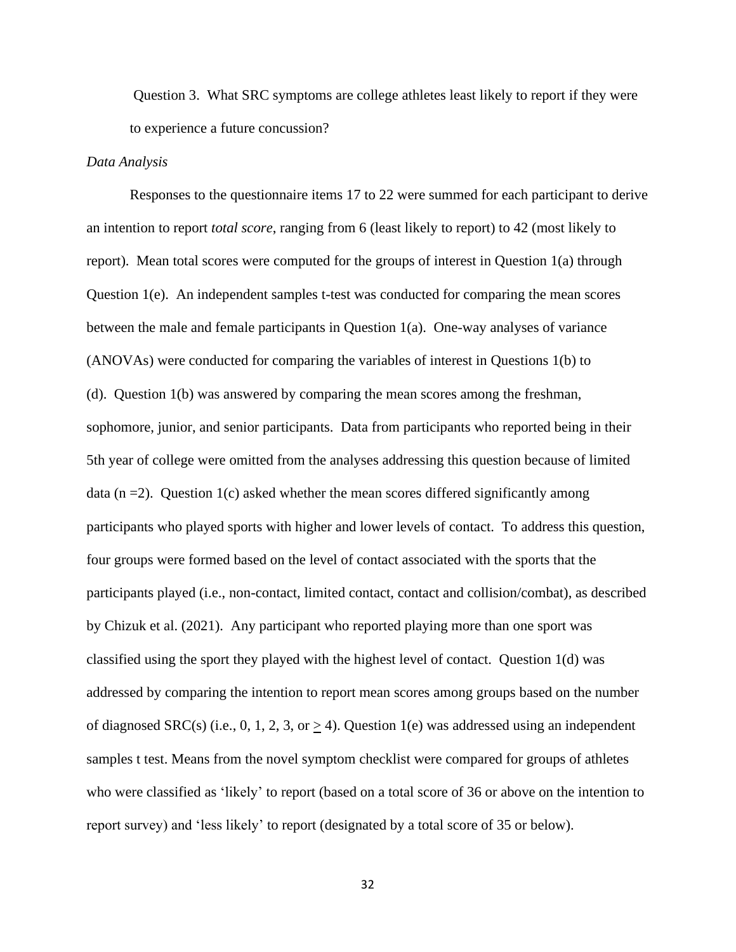Question 3. What SRC symptoms are college athletes least likely to report if they were to experience a future concussion?

### *Data Analysis*

Responses to the questionnaire items 17 to 22 were summed for each participant to derive an intention to report *total score*, ranging from 6 (least likely to report) to 42 (most likely to report). Mean total scores were computed for the groups of interest in Question 1(a) through Question 1(e). An independent samples t-test was conducted for comparing the mean scores between the male and female participants in Question 1(a). One-way analyses of variance (ANOVAs) were conducted for comparing the variables of interest in Questions 1(b) to (d). Question 1(b) was answered by comparing the mean scores among the freshman, sophomore, junior, and senior participants. Data from participants who reported being in their 5th year of college were omitted from the analyses addressing this question because of limited data  $(n = 2)$ . Question 1(c) asked whether the mean scores differed significantly among participants who played sports with higher and lower levels of contact. To address this question, four groups were formed based on the level of contact associated with the sports that the participants played (i.e., non-contact, limited contact, contact and collision/combat), as described by Chizuk et al. (2021). Any participant who reported playing more than one sport was classified using the sport they played with the highest level of contact. Question 1(d) was addressed by comparing the intention to report mean scores among groups based on the number of diagnosed SRC(s) (i.e., 0, 1, 2, 3, or  $\geq$  4). Question 1(e) was addressed using an independent samples t test. Means from the novel symptom checklist were compared for groups of athletes who were classified as 'likely' to report (based on a total score of 36 or above on the intention to report survey) and 'less likely' to report (designated by a total score of 35 or below).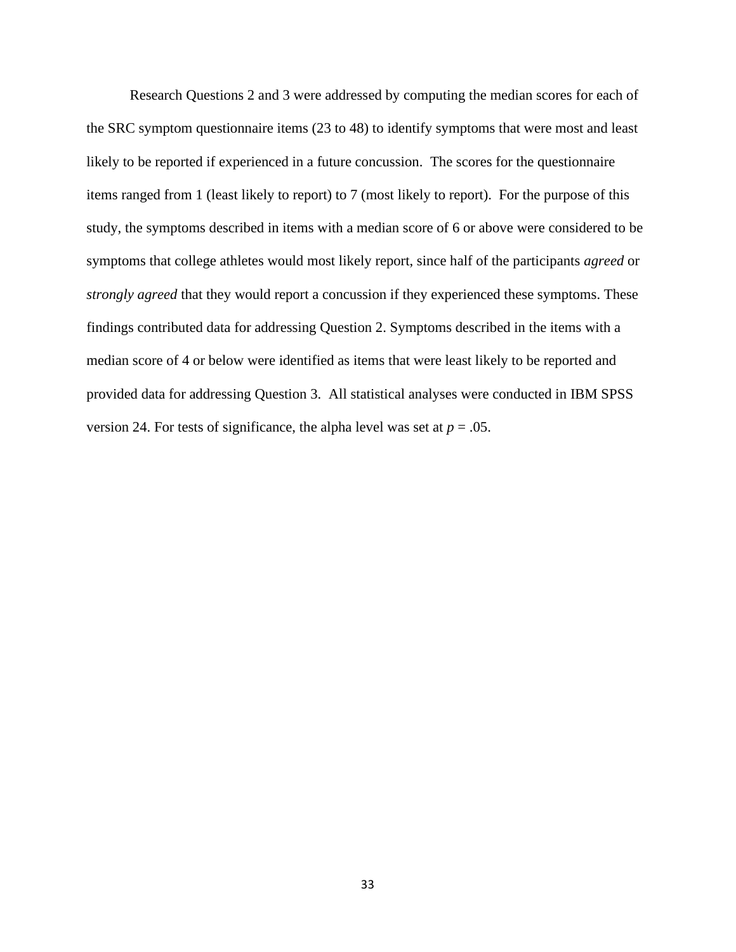Research Questions 2 and 3 were addressed by computing the median scores for each of the SRC symptom questionnaire items (23 to 48) to identify symptoms that were most and least likely to be reported if experienced in a future concussion. The scores for the questionnaire items ranged from 1 (least likely to report) to 7 (most likely to report). For the purpose of this study, the symptoms described in items with a median score of 6 or above were considered to be symptoms that college athletes would most likely report, since half of the participants *agreed* or *strongly agreed* that they would report a concussion if they experienced these symptoms. These findings contributed data for addressing Question 2. Symptoms described in the items with a median score of 4 or below were identified as items that were least likely to be reported and provided data for addressing Question 3. All statistical analyses were conducted in IBM SPSS version 24. For tests of significance, the alpha level was set at  $p = .05$ .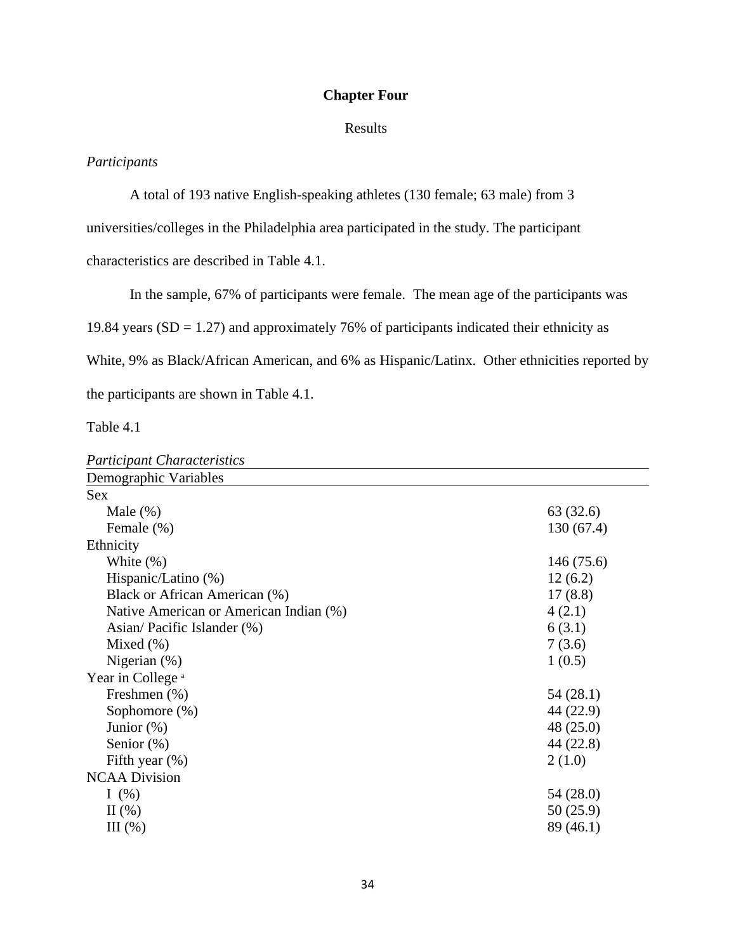# **Chapter Four**

## Results

# *Participants*

A total of 193 native English-speaking athletes (130 female; 63 male) from 3

universities/colleges in the Philadelphia area participated in the study. The participant

characteristics are described in Table 4.1.

In the sample, 67% of participants were female. The mean age of the participants was

19.84 years  $(SD = 1.27)$  and approximately 76% of participants indicated their ethnicity as

White, 9% as Black/African American, and 6% as Hispanic/Latinx. Other ethnicities reported by

the participants are shown in Table 4.1.

Table 4.1

| <b>Participant Characteristics</b>     |           |
|----------------------------------------|-----------|
| Demographic Variables                  |           |
| <b>Sex</b>                             |           |
| Male $(\%)$                            | 63 (32.6) |
| Female (%)                             | 130(67.4) |
| Ethnicity                              |           |
| White $(\%)$                           | 146(75.6) |
| Hispanic/Latino (%)                    | 12(6.2)   |
| Black or African American (%)          | 17(8.8)   |
| Native American or American Indian (%) | 4(2.1)    |
| Asian/Pacific Islander (%)             | 6(3.1)    |
| Mixed $(\% )$                          | 7(3.6)    |
| Nigerian $(\%)$                        | 1(0.5)    |
| Year in College <sup>a</sup>           |           |
| Freshmen (%)                           | 54 (28.1) |
| Sophomore $(\%)$                       | 44 (22.9) |
| Junior $(\%)$                          | 48 (25.0) |
| Senior $(\%)$                          | 44 (22.8) |
| Fifth year $(\%)$                      | 2(1.0)    |
| <b>NCAA Division</b>                   |           |
| I $(\%)$                               | 54 (28.0) |
| $\Pi$ (%)                              | 50 (25.9) |
| III(%)                                 | 89 (46.1) |
|                                        |           |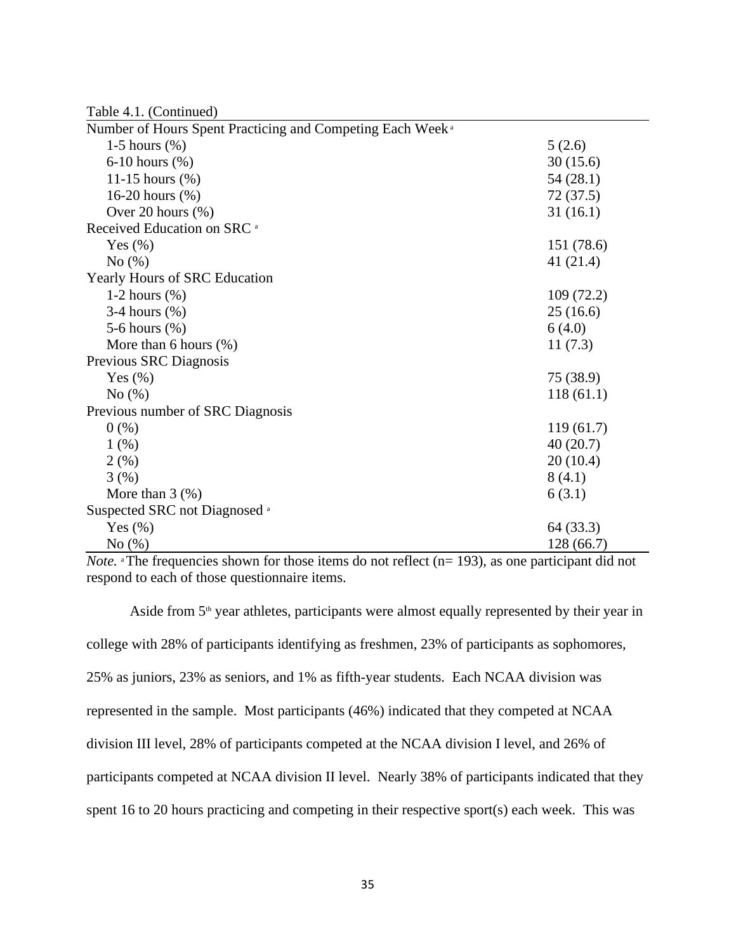| Table 4.1. (Continued)                                                |             |
|-----------------------------------------------------------------------|-------------|
| Number of Hours Spent Practicing and Competing Each Week <sup>a</sup> |             |
| 1-5 hours $(\%)$                                                      | 5(2.6)      |
| 6-10 hours $(\%)$                                                     | 30(15.6)    |
| 11-15 hours $(\% )$                                                   | 54(28.1)    |
| 16-20 hours (%)                                                       | 72(37.5)    |
| Over 20 hours $(\% )$                                                 | 31(16.1)    |
| Received Education on SRC <sup>a</sup>                                |             |
| Yes $(\%)$                                                            | 151 (78.6)  |
| No $(\%)$                                                             | 41 $(21.4)$ |
| Yearly Hours of SRC Education                                         |             |
| 1-2 hours $(\%)$                                                      | 109(72.2)   |
| $3-4$ hours $(\%)$                                                    | 25(16.6)    |
| 5-6 hours $(\%)$                                                      | 6(4.0)      |
| More than 6 hours $(\%)$                                              | 11(7.3)     |
| Previous SRC Diagnosis                                                |             |
| Yes $(\%)$                                                            | 75 (38.9)   |
| No(%)                                                                 | 118(61.1)   |
| Previous number of SRC Diagnosis                                      |             |
| 0(%)                                                                  | 119(61.7)   |
| 1(%)                                                                  | 40(20.7)    |
| 2(%)                                                                  | 20(10.4)    |
| 3(%)                                                                  | 8(4.1)      |
| More than $3$ $(\%)$                                                  | 6(3.1)      |
| Suspected SRC not Diagnosed <sup>a</sup>                              |             |
| Yes $(\%)$                                                            | 64 (33.3)   |
| No(%)                                                                 | 128 (66.7)  |

*Note.* <sup>a</sup>The frequencies shown for those items do not reflect (n= 193), as one participant did not respond to each of those questionnaire items.

Aside from  $5<sup>th</sup>$  year athletes, participants were almost equally represented by their year in college with 28% of participants identifying as freshmen, 23% of participants as sophomores, 25% as juniors, 23% as seniors, and 1% as fifth-year students. Each NCAA division was represented in the sample. Most participants (46%) indicated that they competed at NCAA division III level, 28% of participants competed at the NCAA division I level, and 26% of participants competed at NCAA division II level. Nearly 38% of participants indicated that they spent 16 to 20 hours practicing and competing in their respective sport(s) each week. This was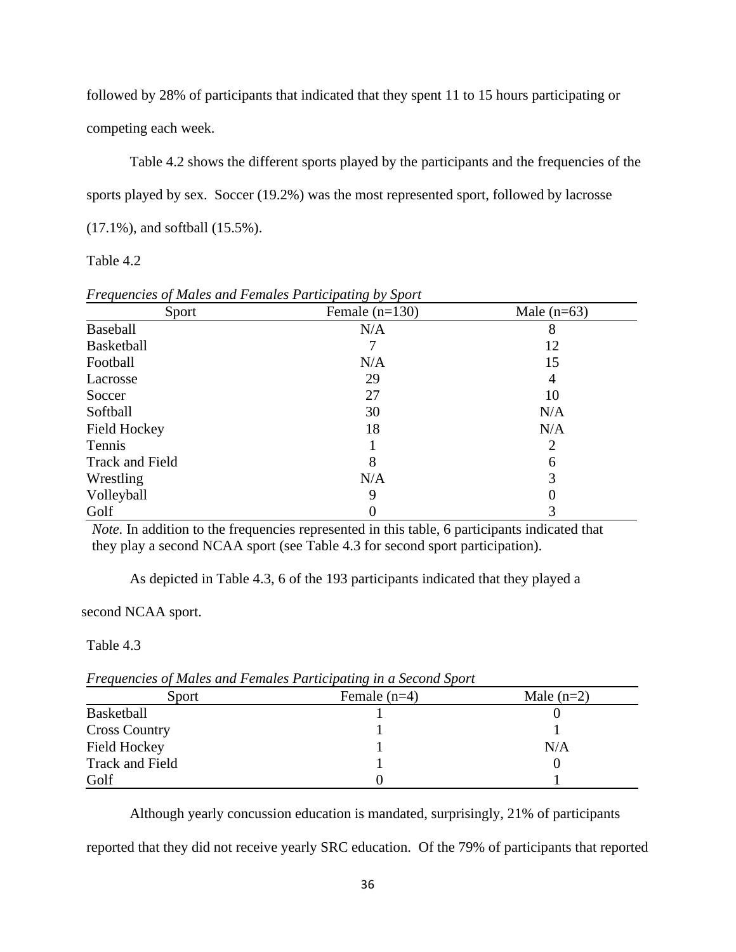followed by 28% of participants that indicated that they spent 11 to 15 hours participating or competing each week.

Table 4.2 shows the different sports played by the participants and the frequencies of the sports played by sex. Soccer (19.2%) was the most represented sport, followed by lacrosse (17.1%), and softball (15.5%).

Table 4.2

| Sport           | Female $(n=130)$ | Male $(n=63)$ |
|-----------------|------------------|---------------|
| <b>Baseball</b> | N/A              |               |
| Basketball      |                  | 12            |
| Football        | N/A              | 15            |
| Lacrosse        | 29               | 4             |
| Soccer          | 27               | 10            |
| Softball        | 30               | N/A           |
| Field Hockey    | 18               | N/A           |
| Tennis          |                  | 2             |
| Track and Field | 8                | 6             |
| Wrestling       | N/A              | 3             |
| Volleyball      | 9                |               |
| Golf            |                  |               |

*Frequencies of Males and Females Participating by Sport*

*Note*. In addition to the frequencies represented in this table, 6 participants indicated that they play a second NCAA sport (see Table 4.3 for second sport participation).

As depicted in Table 4.3, 6 of the 193 participants indicated that they played a

second NCAA sport.

Table 4.3

*Frequencies of Males and Females Participating in a Second Sport* 

| Sport                | Female $(n=4)$ | Male $(n=2)$ |
|----------------------|----------------|--------------|
| <b>Basketball</b>    |                |              |
| <b>Cross Country</b> |                |              |
| <b>Field Hockey</b>  |                | N/A          |
| Track and Field      |                |              |
| Golf                 |                |              |

Although yearly concussion education is mandated, surprisingly, 21% of participants

reported that they did not receive yearly SRC education. Of the 79% of participants that reported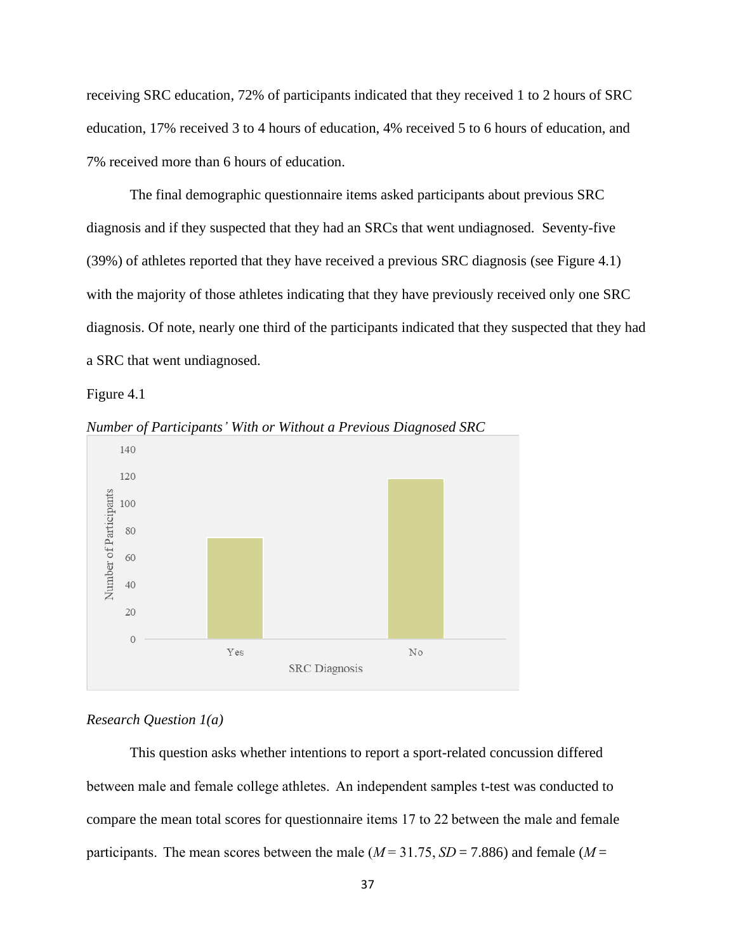receiving SRC education, 72% of participants indicated that they received 1 to 2 hours of SRC education, 17% received 3 to 4 hours of education, 4% received 5 to 6 hours of education, and 7% received more than 6 hours of education.

The final demographic questionnaire items asked participants about previous SRC diagnosis and if they suspected that they had an SRCs that went undiagnosed. Seventy-five (39%) of athletes reported that they have received a previous SRC diagnosis (see Figure 4.1) with the majority of those athletes indicating that they have previously received only one SRC diagnosis. Of note, nearly one third of the participants indicated that they suspected that they had a SRC that went undiagnosed.







### *Research Question 1(a)*

This question asks whether intentions to report a sport-related concussion differed between male and female college athletes.  An independent samples t-test was conducted to compare the mean total scores for questionnaire items 17 to 22 between the male and female participants.  The mean scores between the male (*M*= 31.75, *SD*= 7.886) and female (*M*=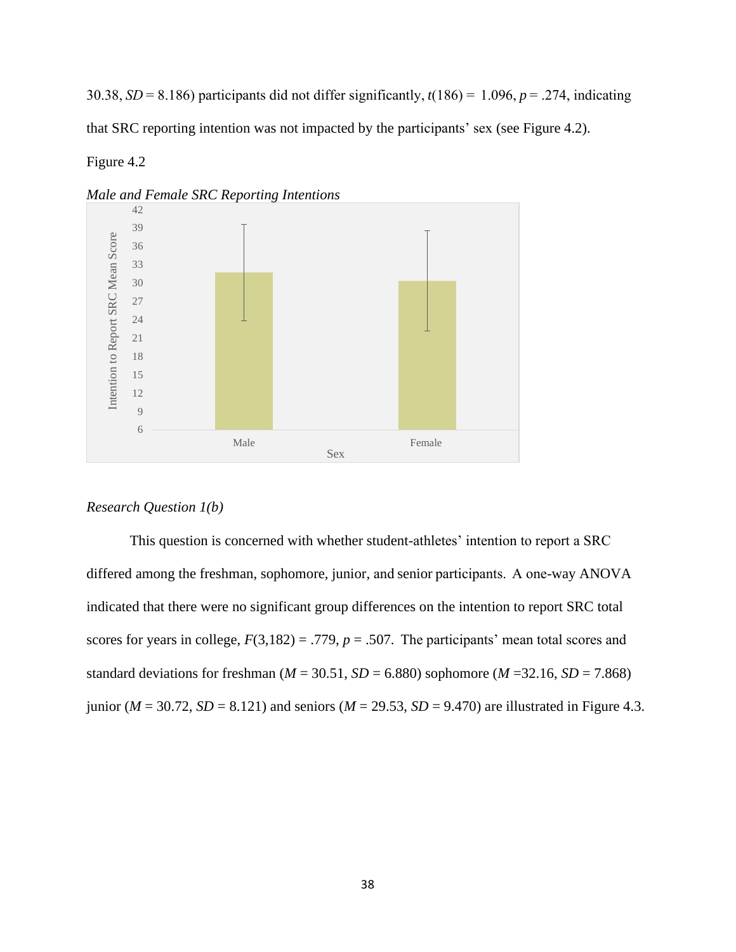30.38, *SD*= 8.186) participants did not differ significantly, *t*(186) =  1.096, *p* = .274, indicating that SRC reporting intention was not impacted by the participants' sex (see Figure 4.2).

## Figure 4.2



*Male and Female SRC Reporting Intentions*

## *Research Question 1(b)*

This question is concerned with whether student-athletes' intention to report a SRC differed among the freshman, sophomore, junior, and senior participants.  A one-way ANOVA indicated that there were no significant group differences on the intention to report SRC total scores for years in college,  $F(3,182) = .779$ ,  $p = .507$ . The participants' mean total scores and standard deviations for freshman ( $M = 30.51$ ,  $SD = 6.880$ ) sophomore ( $M = 32.16$ ,  $SD = 7.868$ ) junior ( $M = 30.72$ ,  $SD = 8.121$ ) and seniors ( $M = 29.53$ ,  $SD = 9.470$ ) are illustrated in Figure 4.3.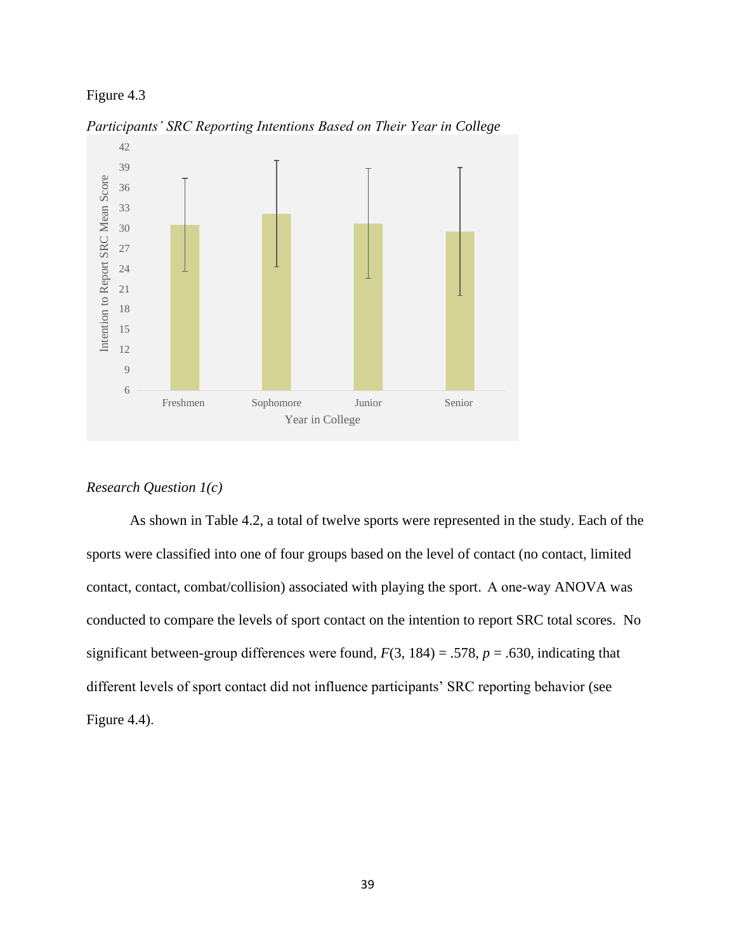

*Participants' SRC Reporting Intentions Based on Their Year in College*

### *Research Question 1(c)*

As shown in Table 4.2, a total of twelve sports were represented in the study. Each of the sports were classified into one of four groups based on the level of contact (no contact, limited contact, contact, combat/collision) associated with playing the sport.  A one-way ANOVA was conducted to compare the levels of sport contact on the intention to report SRC total scores. No significant between-group differences were found,  $F(3, 184) = .578$ ,  $p = .630$ , indicating that different levels of sport contact did not influence participants' SRC reporting behavior (see Figure 4.4).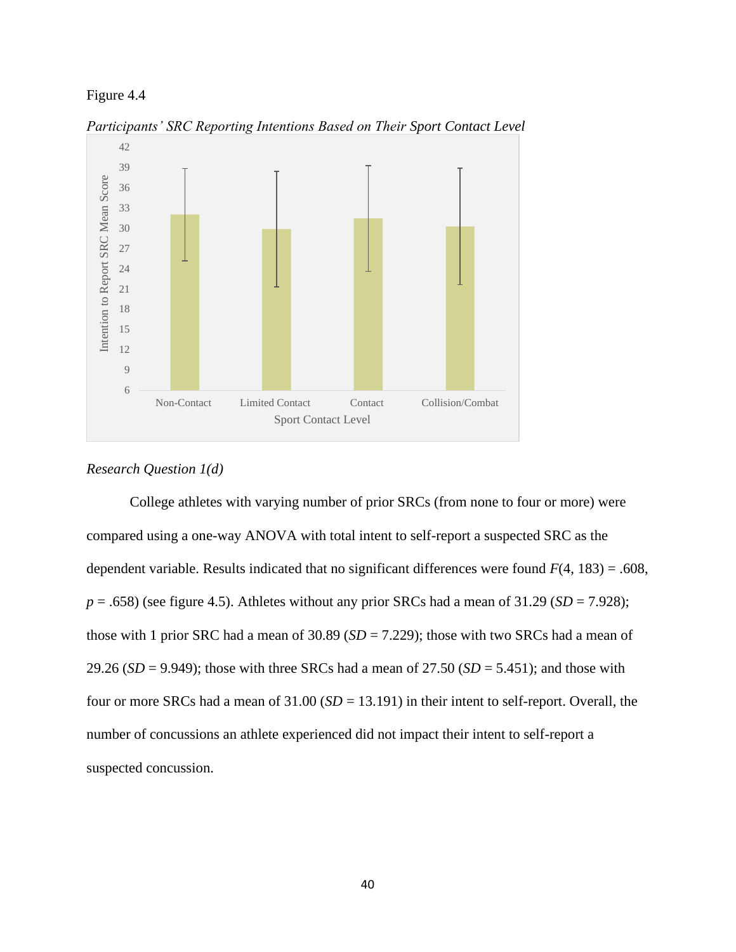

*Participants' SRC Reporting Intentions Based on Their Sport Contact Level*

## *Research Question 1(d)*

College athletes with varying number of prior SRCs (from none to four or more) were compared using a one-way ANOVA with total intent to self-report a suspected SRC as the dependent variable. Results indicated that no significant differences were found *F*(4, 183) = .608,  $p = .658$ ) (see figure 4.5). Athletes without any prior SRCs had a mean of 31.29 (*SD* = 7.928); those with 1 prior SRC had a mean of 30.89 (*SD* = 7.229); those with two SRCs had a mean of 29.26 (*SD* = 9.949); those with three SRCs had a mean of 27.50 (*SD* = 5.451); and those with four or more SRCs had a mean of 31.00 (*SD* = 13.191) in their intent to self-report. Overall, the number of concussions an athlete experienced did not impact their intent to self-report a suspected concussion.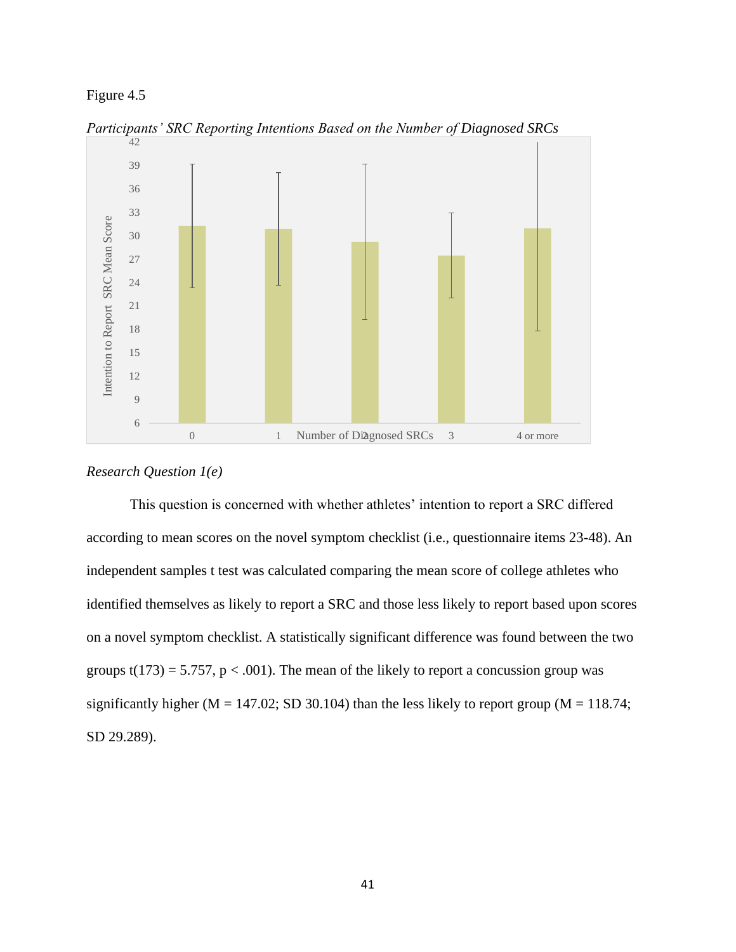

*Participants' SRC Reporting Intentions Based on the Number of Diagnosed SRCs*

## *Research Question 1(e)*

This question is concerned with whether athletes' intention to report a SRC differed according to mean scores on the novel symptom checklist (i.e., questionnaire items 23-48). An independent samples t test was calculated comparing the mean score of college athletes who identified themselves as likely to report a SRC and those less likely to report based upon scores on a novel symptom checklist. A statistically significant difference was found between the two groups  $t(173) = 5.757$ ,  $p < .001$ ). The mean of the likely to report a concussion group was significantly higher ( $M = 147.02$ ; SD 30.104) than the less likely to report group ( $M = 118.74$ ; SD 29.289).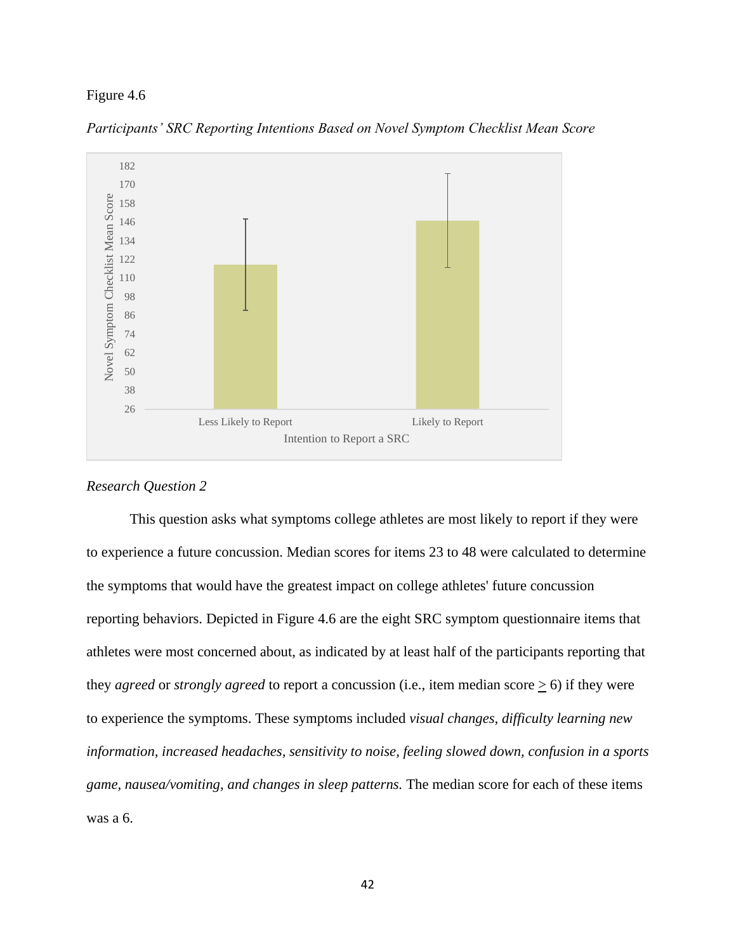

*Participants' SRC Reporting Intentions Based on Novel Symptom Checklist Mean Score*

### *Research Question 2*

This question asks what symptoms college athletes are most likely to report if they were to experience a future concussion. Median scores for items 23 to 48 were calculated to determine the symptoms that would have the greatest impact on college athletes' future concussion reporting behaviors. Depicted in Figure 4.6 are the eight SRC symptom questionnaire items that athletes were most concerned about, as indicated by at least half of the participants reporting that they *agreed* or *strongly agreed* to report a concussion (i.e., item median score  $\geq$  6) if they were to experience the symptoms. These symptoms included *visual changes, difficulty learning new information, increased headaches, sensitivity to noise, feeling slowed down, confusion in a sports game, nausea/vomiting, and changes in sleep patterns.* The median score for each of these items was a 6.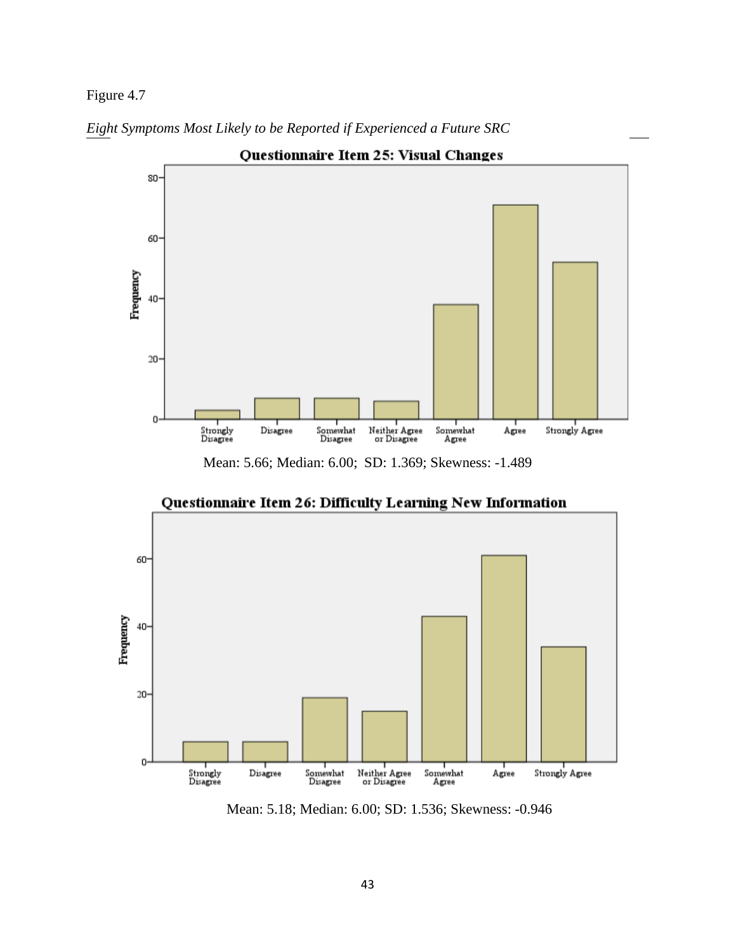Figure 4.7



*Eight Symptoms Most Likely to be Reported if Experienced a Future SRC*

Mean: 5.66; Median: 6.00; SD: 1.369; Skewness: -1.489



Questionnaire Item 26: Difficulty Learning New Information

Mean: 5.18; Median: 6.00; SD: 1.536; Skewness: -0.946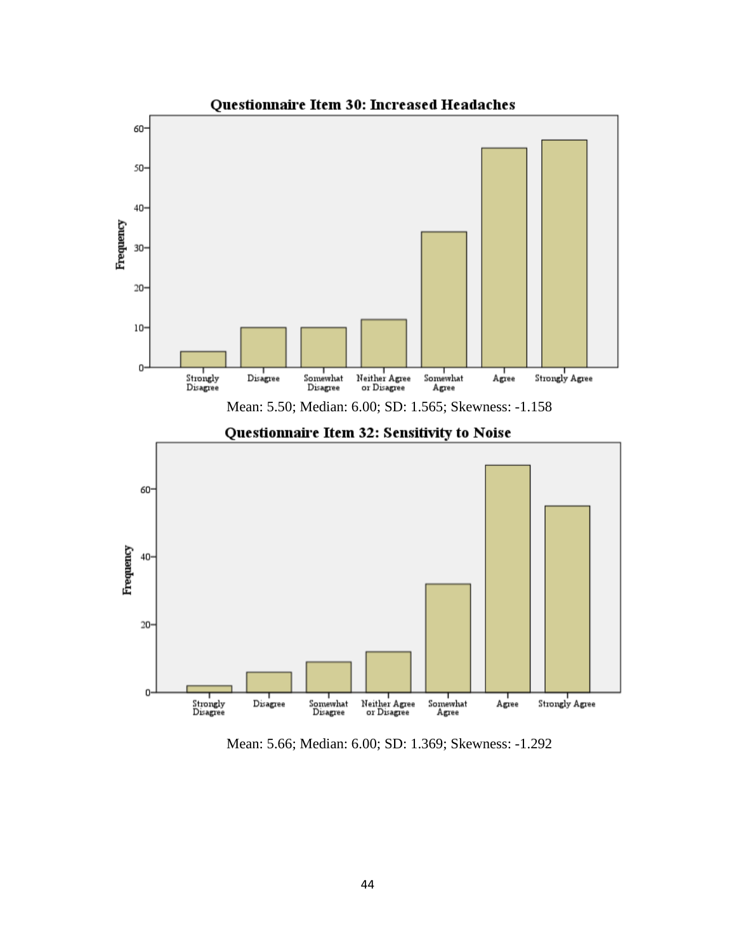

Mean: 5.66; Median: 6.00; SD: 1.369; Skewness: -1.292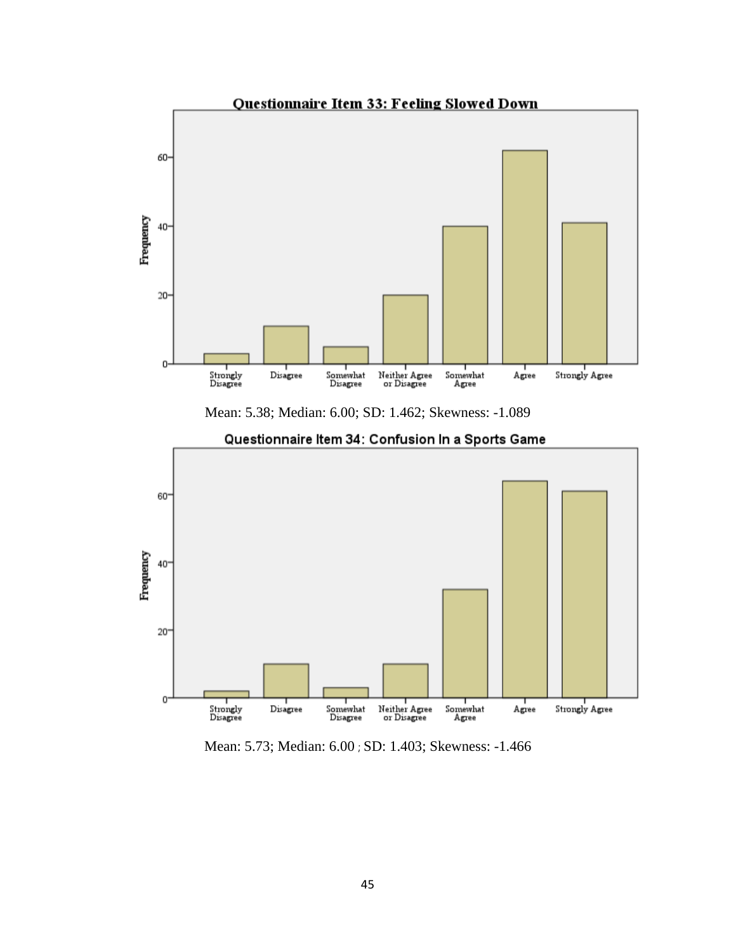

Mean: 5.38; Median: 6.00; SD: 1.462; Skewness: -1.089



Questionnaire Item 34: Confusion In a Sports Game

Mean: 5.73; Median: 6.00 ; SD: 1.403; Skewness: -1.466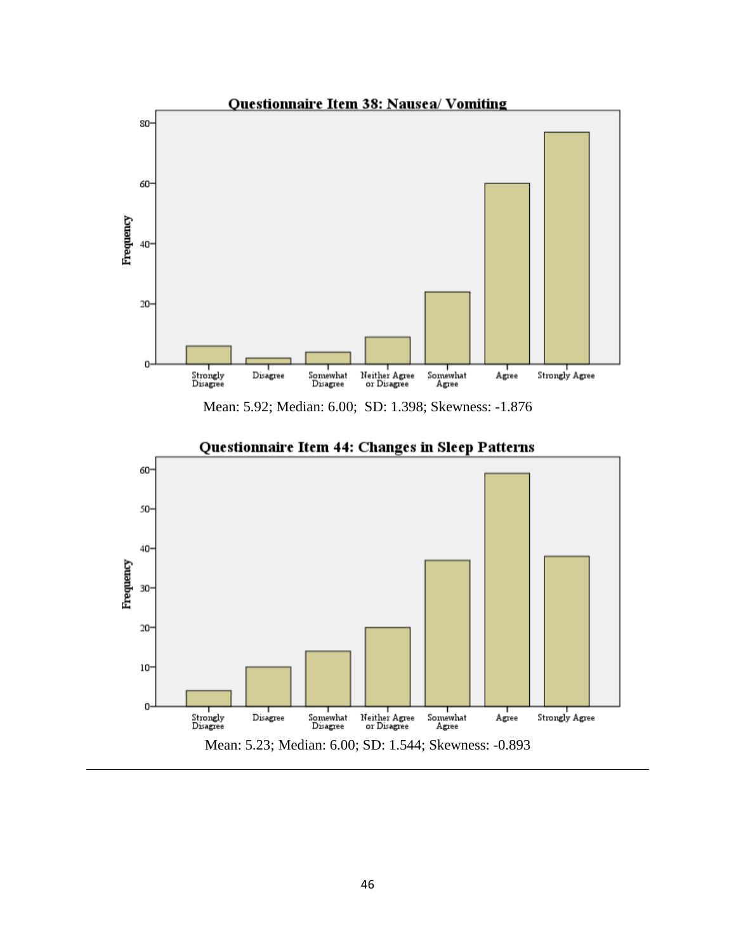

Mean: 5.92; Median: 6.00; SD: 1.398; Skewness: -1.876



# Questionnaire Item 44: Changes in Sleep Patterns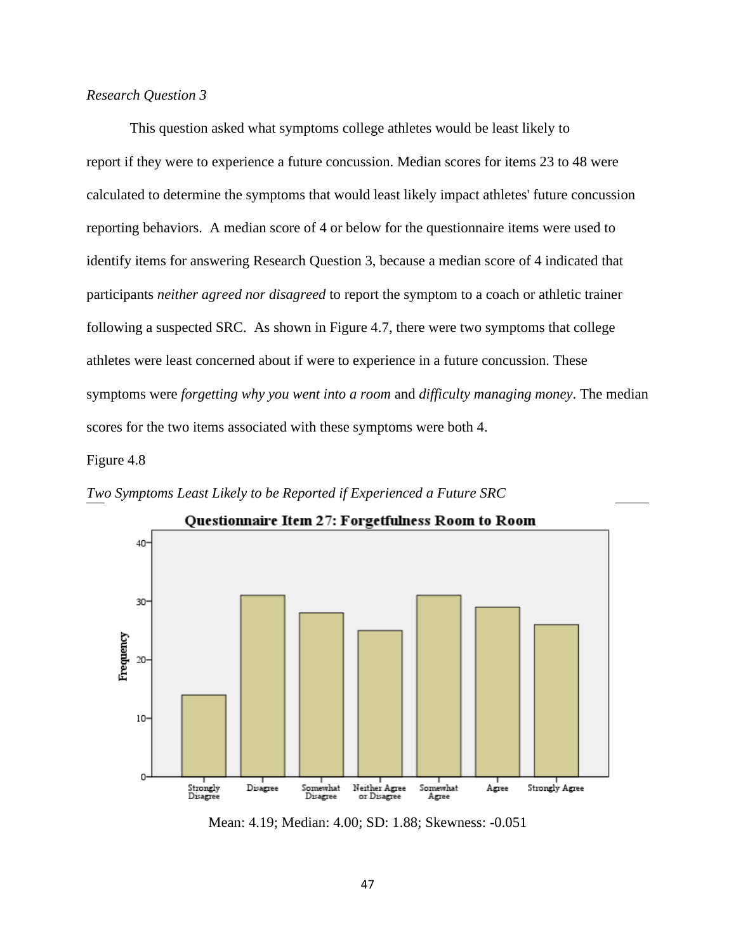## *Research Question 3*

This question asked what symptoms college athletes would be least likely to report if they were to experience a future concussion. Median scores for items 23 to 48 were calculated to determine the symptoms that would least likely impact athletes' future concussion reporting behaviors. A median score of 4 or below for the questionnaire items were used to identify items for answering Research Question 3, because a median score of 4 indicated that participants *neither agreed nor disagreed* to report the symptom to a coach or athletic trainer following a suspected SRC. As shown in Figure 4.7, there were two symptoms that college athletes were least concerned about if were to experience in a future concussion. These symptoms were *forgetting why you went into a room* and *difficulty managing money*. The median scores for the two items associated with these symptoms were both 4.

Figure 4.8





Questionnaire Item 27: Forgetfulness Room to Room

Mean: 4.19; Median: 4.00; SD: 1.88; Skewness: -0.051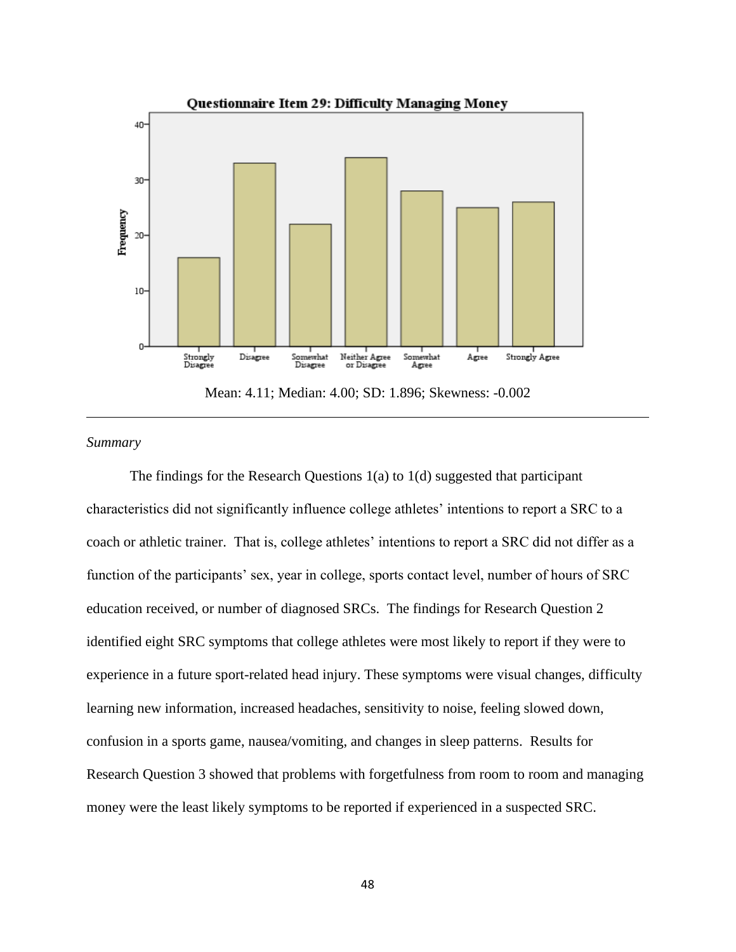

Mean: 4.11; Median: 4.00; SD: 1.896; Skewness: -0.002

## *Summary*

The findings for the Research Questions  $1(a)$  to  $1(d)$  suggested that participant characteristics did not significantly influence college athletes' intentions to report a SRC to a coach or athletic trainer. That is, college athletes' intentions to report a SRC did not differ as a function of the participants' sex, year in college, sports contact level, number of hours of SRC education received, or number of diagnosed SRCs. The findings for Research Question 2 identified eight SRC symptoms that college athletes were most likely to report if they were to experience in a future sport-related head injury. These symptoms were visual changes, difficulty learning new information, increased headaches, sensitivity to noise, feeling slowed down, confusion in a sports game, nausea/vomiting, and changes in sleep patterns. Results for Research Question 3 showed that problems with forgetfulness from room to room and managing money were the least likely symptoms to be reported if experienced in a suspected SRC.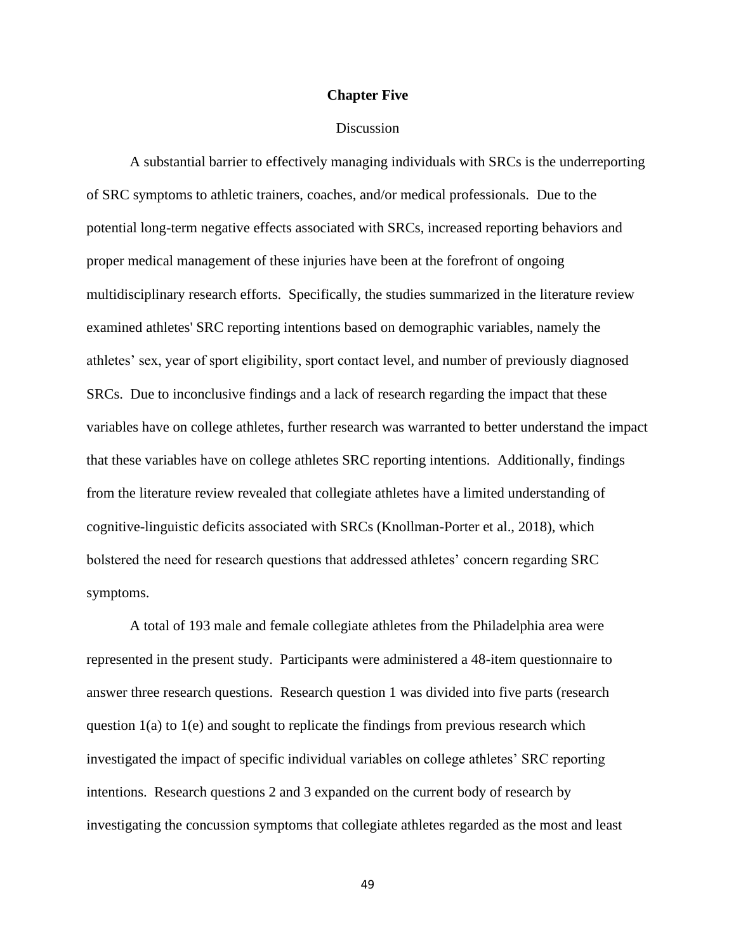### **Chapter Five**

### **Discussion**

A substantial barrier to effectively managing individuals with SRCs is the underreporting of SRC symptoms to athletic trainers, coaches, and/or medical professionals. Due to the potential long-term negative effects associated with SRCs, increased reporting behaviors and proper medical management of these injuries have been at the forefront of ongoing multidisciplinary research efforts. Specifically, the studies summarized in the literature review examined athletes' SRC reporting intentions based on demographic variables, namely the athletes' sex, year of sport eligibility, sport contact level, and number of previously diagnosed SRCs. Due to inconclusive findings and a lack of research regarding the impact that these variables have on college athletes, further research was warranted to better understand the impact that these variables have on college athletes SRC reporting intentions. Additionally, findings from the literature review revealed that collegiate athletes have a limited understanding of cognitive-linguistic deficits associated with SRCs (Knollman-Porter et al., 2018), which bolstered the need for research questions that addressed athletes' concern regarding SRC symptoms.

A total of 193 male and female collegiate athletes from the Philadelphia area were represented in the present study. Participants were administered a 48-item questionnaire to answer three research questions. Research question 1 was divided into five parts (research question 1(a) to 1(e) and sought to replicate the findings from previous research which investigated the impact of specific individual variables on college athletes' SRC reporting intentions. Research questions 2 and 3 expanded on the current body of research by investigating the concussion symptoms that collegiate athletes regarded as the most and least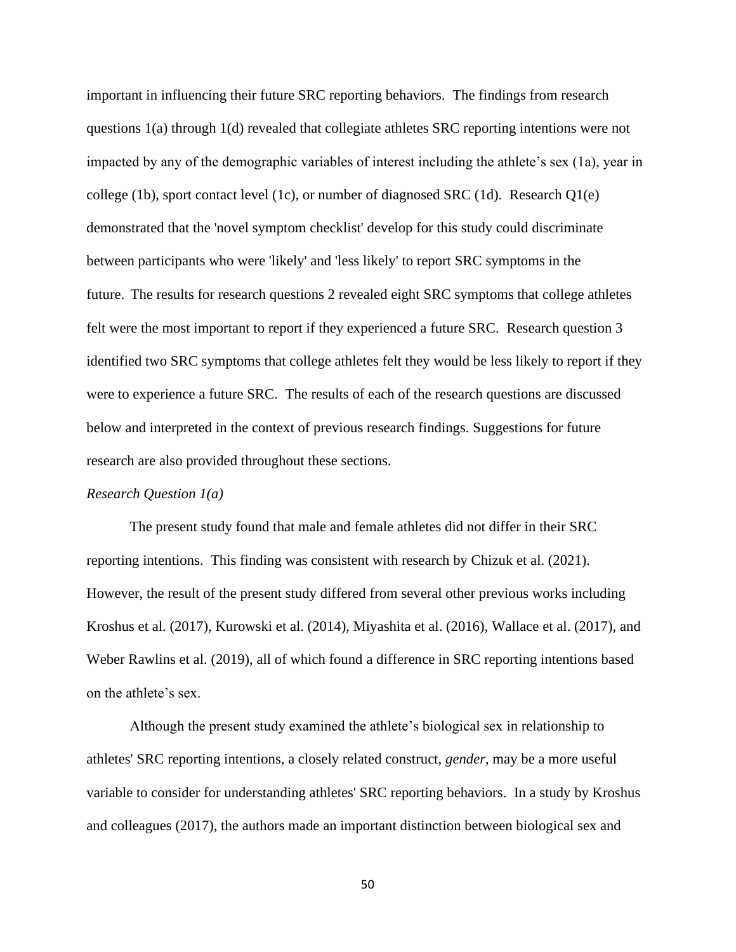important in influencing their future SRC reporting behaviors. The findings from research questions 1(a) through 1(d) revealed that collegiate athletes SRC reporting intentions were not impacted by any of the demographic variables of interest including the athlete's sex (1a), year in college (1b), sport contact level (1c), or number of diagnosed SRC (1d). Research Q1(e) demonstrated that the 'novel symptom checklist' develop for this study could discriminate between participants who were 'likely' and 'less likely' to report SRC symptoms in the future. The results for research questions 2 revealed eight SRC symptoms that college athletes felt were the most important to report if they experienced a future SRC. Research question 3 identified two SRC symptoms that college athletes felt they would be less likely to report if they were to experience a future SRC. The results of each of the research questions are discussed below and interpreted in the context of previous research findings. Suggestions for future research are also provided throughout these sections.

### *Research Question 1(a)*

The present study found that male and female athletes did not differ in their SRC reporting intentions. This finding was consistent with research by Chizuk et al. (2021). However, the result of the present study differed from several other previous works including Kroshus et al. (2017), Kurowski et al. (2014), Miyashita et al. (2016), Wallace et al. (2017), and Weber Rawlins et al. (2019), all of which found a difference in SRC reporting intentions based on the athlete's sex.

Although the present study examined the athlete's biological sex in relationship to athletes' SRC reporting intentions, a closely related construct, *gender*, may be a more useful variable to consider for understanding athletes' SRC reporting behaviors. In a study by Kroshus and colleagues (2017), the authors made an important distinction between biological sex and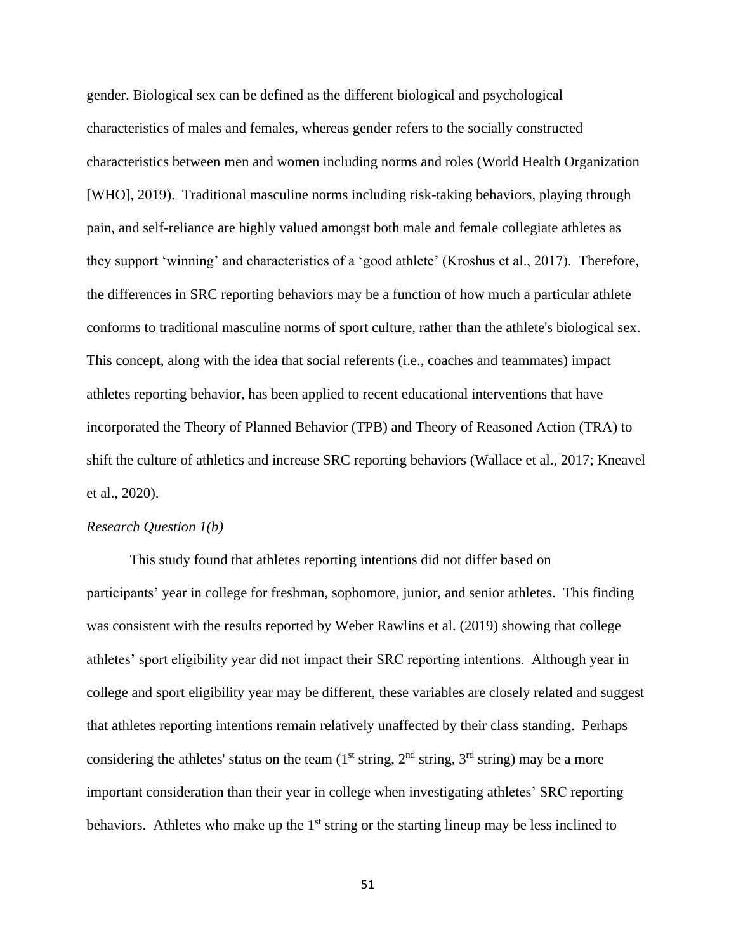gender. Biological sex can be defined as the different biological and psychological characteristics of males and females, whereas gender refers to the socially constructed characteristics between men and women including norms and roles (World Health Organization [WHO], 2019). Traditional masculine norms including risk-taking behaviors, playing through pain, and self-reliance are highly valued amongst both male and female collegiate athletes as they support 'winning' and characteristics of a 'good athlete' (Kroshus et al., 2017). Therefore, the differences in SRC reporting behaviors may be a function of how much a particular athlete conforms to traditional masculine norms of sport culture, rather than the athlete's biological sex. This concept, along with the idea that social referents (i.e., coaches and teammates) impact athletes reporting behavior, has been applied to recent educational interventions that have incorporated the Theory of Planned Behavior (TPB) and Theory of Reasoned Action (TRA) to shift the culture of athletics and increase SRC reporting behaviors (Wallace et al., 2017; Kneavel et al., 2020).

### *Research Question 1(b)*

This study found that athletes reporting intentions did not differ based on participants' year in college for freshman, sophomore, junior, and senior athletes. This finding was consistent with the results reported by Weber Rawlins et al. (2019) showing that college athletes' sport eligibility year did not impact their SRC reporting intentions. Although year in college and sport eligibility year may be different, these variables are closely related and suggest that athletes reporting intentions remain relatively unaffected by their class standing. Perhaps considering the athletes' status on the team  $(1<sup>st</sup> string, 2<sup>nd</sup> string, 3<sup>rd</sup> string)$  may be a more important consideration than their year in college when investigating athletes' SRC reporting behaviors. Athletes who make up the  $1<sup>st</sup>$  string or the starting lineup may be less inclined to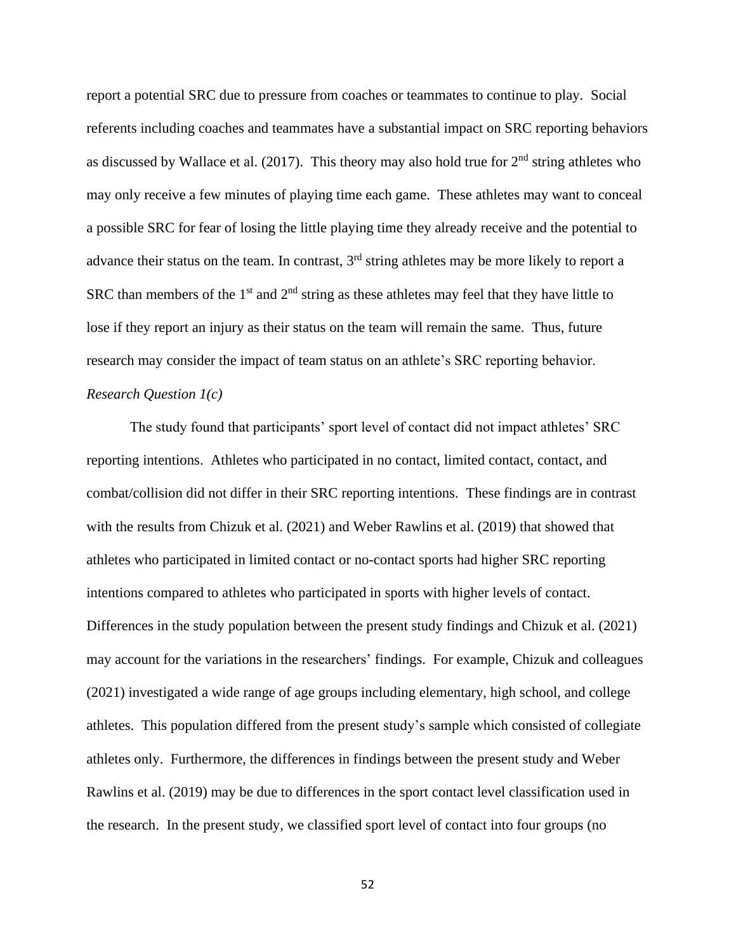report a potential SRC due to pressure from coaches or teammates to continue to play. Social referents including coaches and teammates have a substantial impact on SRC reporting behaviors as discussed by Wallace et al. (2017). This theory may also hold true for  $2<sup>nd</sup>$  string athletes who may only receive a few minutes of playing time each game. These athletes may want to conceal a possible SRC for fear of losing the little playing time they already receive and the potential to advance their status on the team. In contrast,  $3<sup>rd</sup>$  string athletes may be more likely to report a SRC than members of the  $1<sup>st</sup>$  and  $2<sup>nd</sup>$  string as these athletes may feel that they have little to lose if they report an injury as their status on the team will remain the same. Thus, future research may consider the impact of team status on an athlete's SRC reporting behavior. *Research Question 1(c)*

The study found that participants' sport level of contact did not impact athletes' SRC reporting intentions. Athletes who participated in no contact, limited contact, contact, and combat/collision did not differ in their SRC reporting intentions. These findings are in contrast with the results from Chizuk et al. (2021) and Weber Rawlins et al. (2019) that showed that athletes who participated in limited contact or no-contact sports had higher SRC reporting intentions compared to athletes who participated in sports with higher levels of contact. Differences in the study population between the present study findings and Chizuk et al. (2021) may account for the variations in the researchers' findings. For example, Chizuk and colleagues (2021) investigated a wide range of age groups including elementary, high school, and college athletes. This population differed from the present study's sample which consisted of collegiate athletes only. Furthermore, the differences in findings between the present study and Weber Rawlins et al. (2019) may be due to differences in the sport contact level classification used in the research. In the present study, we classified sport level of contact into four groups (no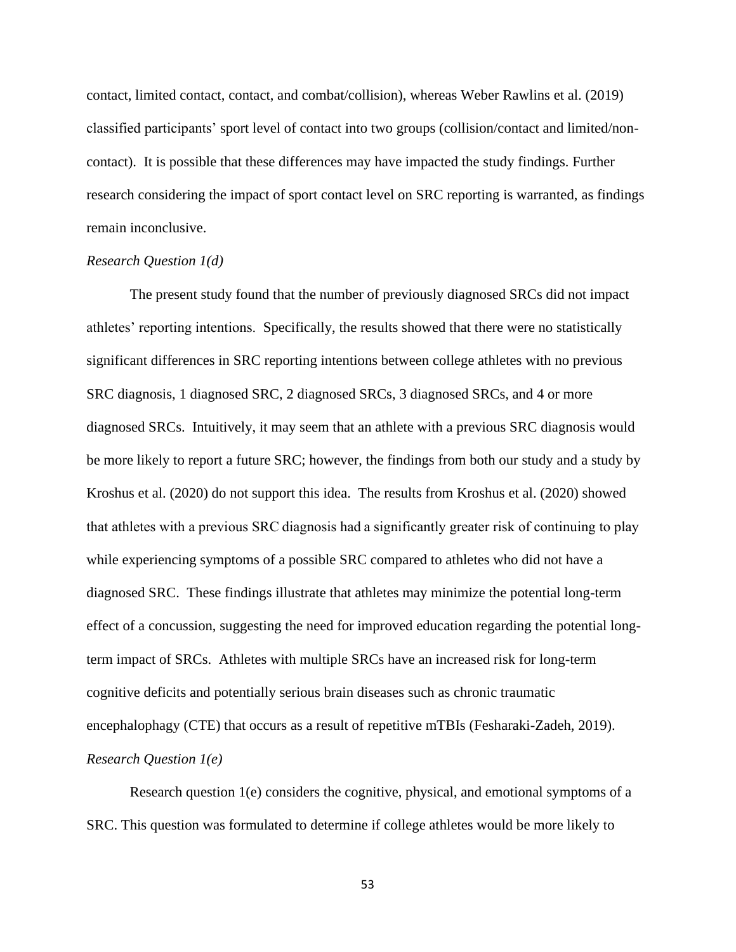contact, limited contact, contact, and combat/collision), whereas Weber Rawlins et al. (2019) classified participants' sport level of contact into two groups (collision/contact and limited/noncontact). It is possible that these differences may have impacted the study findings. Further research considering the impact of sport contact level on SRC reporting is warranted, as findings remain inconclusive.

## *Research Question 1(d)*

The present study found that the number of previously diagnosed SRCs did not impact athletes' reporting intentions. Specifically, the results showed that there were no statistically significant differences in SRC reporting intentions between college athletes with no previous SRC diagnosis, 1 diagnosed SRC, 2 diagnosed SRCs, 3 diagnosed SRCs, and 4 or more diagnosed SRCs. Intuitively, it may seem that an athlete with a previous SRC diagnosis would be more likely to report a future SRC; however, the findings from both our study and a study by Kroshus et al. (2020) do not support this idea. The results from Kroshus et al. (2020) showed that athletes with a previous SRC diagnosis had a significantly greater risk of continuing to play while experiencing symptoms of a possible SRC compared to athletes who did not have a diagnosed SRC. These findings illustrate that athletes may minimize the potential long-term effect of a concussion, suggesting the need for improved education regarding the potential longterm impact of SRCs. Athletes with multiple SRCs have an increased risk for long-term cognitive deficits and potentially serious brain diseases such as chronic traumatic encephalophagy (CTE) that occurs as a result of repetitive mTBIs (Fesharaki-Zadeh, 2019). *Research Question 1(e)*

Research question 1(e) considers the cognitive, physical, and emotional symptoms of a SRC. This question was formulated to determine if college athletes would be more likely to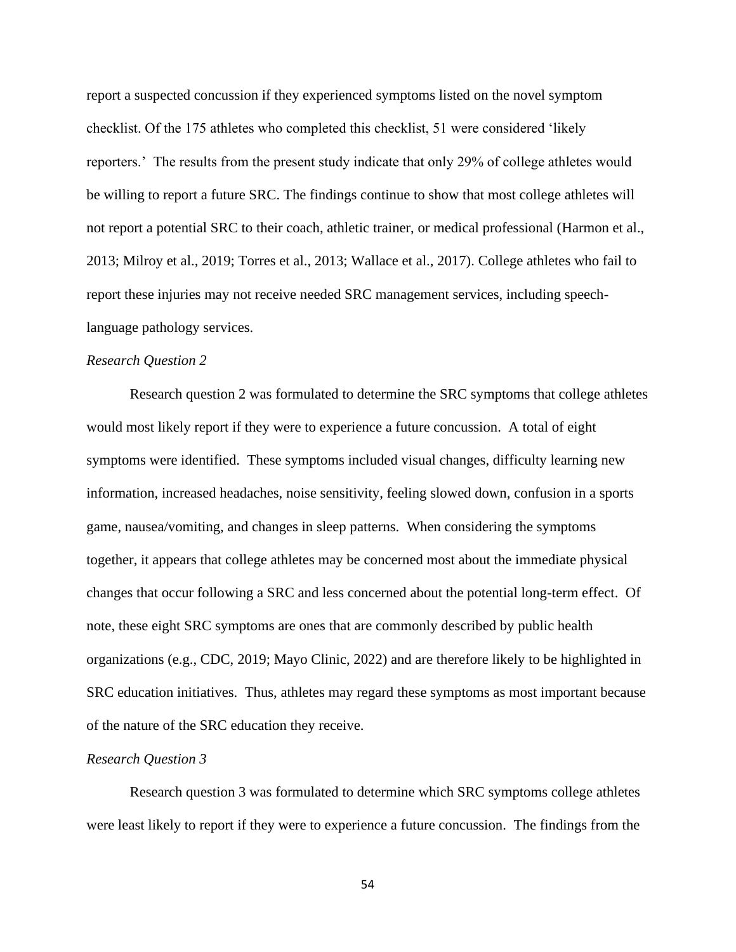report a suspected concussion if they experienced symptoms listed on the novel symptom checklist. Of the 175 athletes who completed this checklist, 51 were considered 'likely reporters.' The results from the present study indicate that only 29% of college athletes would be willing to report a future SRC. The findings continue to show that most college athletes will not report a potential SRC to their coach, athletic trainer, or medical professional (Harmon et al., 2013; Milroy et al., 2019; Torres et al., 2013; Wallace et al., 2017). College athletes who fail to report these injuries may not receive needed SRC management services, including speechlanguage pathology services.

## *Research Question 2*

Research question 2 was formulated to determine the SRC symptoms that college athletes would most likely report if they were to experience a future concussion. A total of eight symptoms were identified. These symptoms included visual changes, difficulty learning new information, increased headaches, noise sensitivity, feeling slowed down, confusion in a sports game, nausea/vomiting, and changes in sleep patterns. When considering the symptoms together, it appears that college athletes may be concerned most about the immediate physical changes that occur following a SRC and less concerned about the potential long-term effect. Of note, these eight SRC symptoms are ones that are commonly described by public health organizations (e.g., CDC, 2019; Mayo Clinic, 2022) and are therefore likely to be highlighted in SRC education initiatives. Thus, athletes may regard these symptoms as most important because of the nature of the SRC education they receive.

### *Research Question 3*

Research question 3 was formulated to determine which SRC symptoms college athletes were least likely to report if they were to experience a future concussion. The findings from the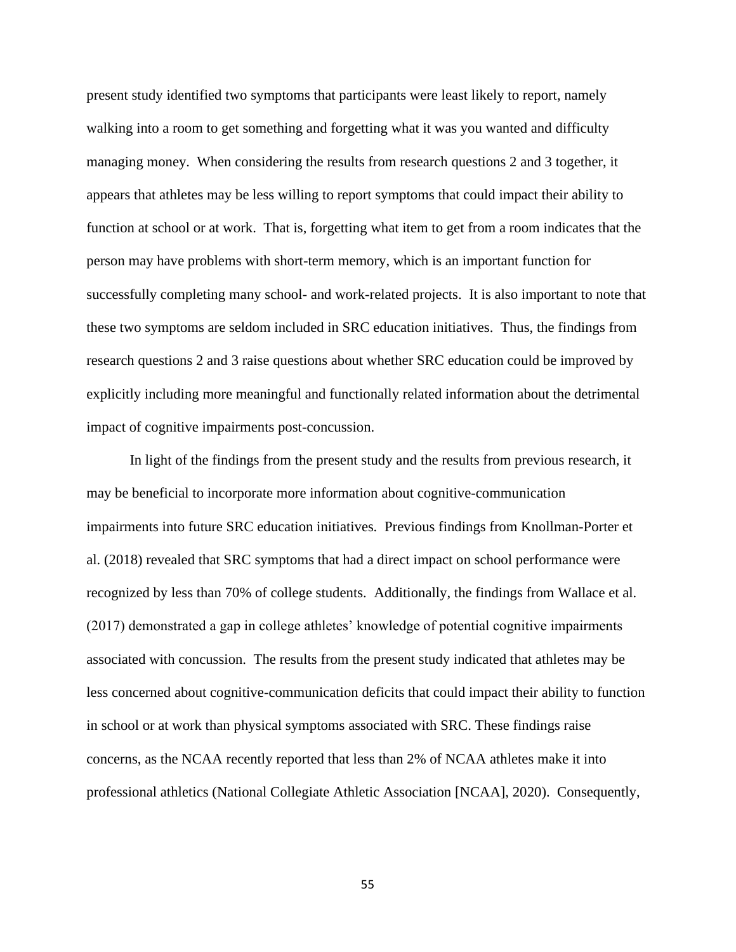present study identified two symptoms that participants were least likely to report, namely walking into a room to get something and forgetting what it was you wanted and difficulty managing money. When considering the results from research questions 2 and 3 together, it appears that athletes may be less willing to report symptoms that could impact their ability to function at school or at work. That is, forgetting what item to get from a room indicates that the person may have problems with short-term memory, which is an important function for successfully completing many school- and work-related projects. It is also important to note that these two symptoms are seldom included in SRC education initiatives. Thus, the findings from research questions 2 and 3 raise questions about whether SRC education could be improved by explicitly including more meaningful and functionally related information about the detrimental impact of cognitive impairments post-concussion.

In light of the findings from the present study and the results from previous research, it may be beneficial to incorporate more information about cognitive-communication impairments into future SRC education initiatives. Previous findings from Knollman-Porter et al. (2018) revealed that SRC symptoms that had a direct impact on school performance were recognized by less than 70% of college students. Additionally, the findings from Wallace et al. (2017) demonstrated a gap in college athletes' knowledge of potential cognitive impairments associated with concussion. The results from the present study indicated that athletes may be less concerned about cognitive-communication deficits that could impact their ability to function in school or at work than physical symptoms associated with SRC. These findings raise concerns, as the NCAA recently reported that less than 2% of NCAA athletes make it into professional athletics (National Collegiate Athletic Association [NCAA], 2020). Consequently,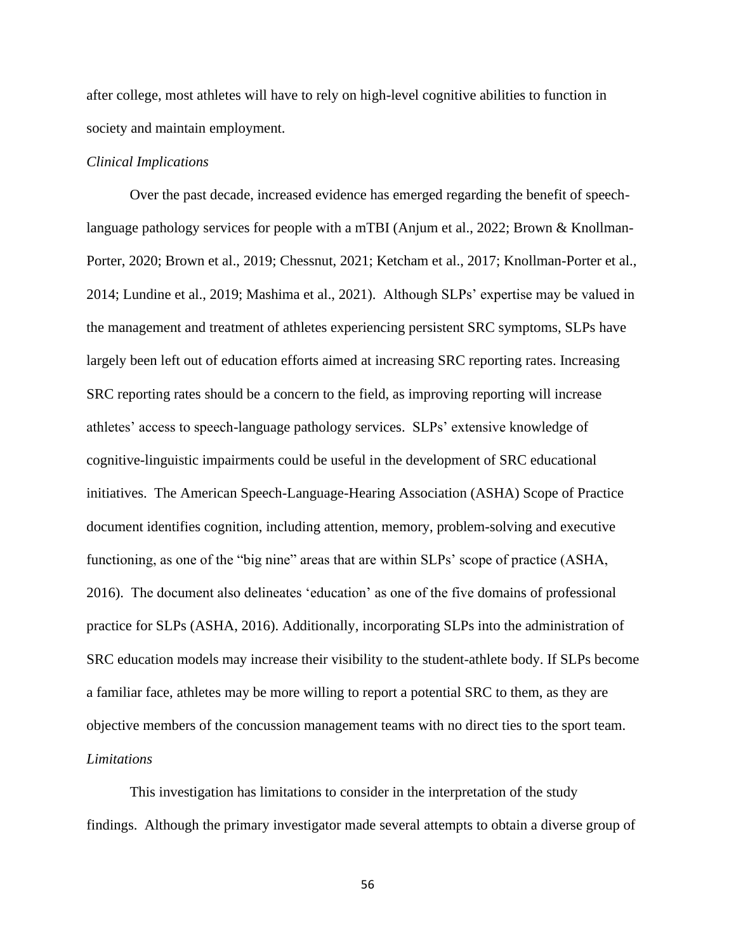after college, most athletes will have to rely on high-level cognitive abilities to function in society and maintain employment.

## *Clinical Implications*

Over the past decade, increased evidence has emerged regarding the benefit of speechlanguage pathology services for people with a mTBI (Anjum et al., 2022; Brown & Knollman-Porter, 2020; Brown et al., 2019; Chessnut, 2021; Ketcham et al., 2017; Knollman-Porter et al., 2014; Lundine et al., 2019; Mashima et al., 2021). Although SLPs' expertise may be valued in the management and treatment of athletes experiencing persistent SRC symptoms, SLPs have largely been left out of education efforts aimed at increasing SRC reporting rates. Increasing SRC reporting rates should be a concern to the field, as improving reporting will increase athletes' access to speech-language pathology services. SLPs' extensive knowledge of cognitive-linguistic impairments could be useful in the development of SRC educational initiatives. The American Speech-Language-Hearing Association (ASHA) Scope of Practice document identifies cognition, including attention, memory, problem-solving and executive functioning, as one of the "big nine" areas that are within SLPs' scope of practice (ASHA, 2016). The document also delineates 'education' as one of the five domains of professional practice for SLPs (ASHA, 2016). Additionally, incorporating SLPs into the administration of SRC education models may increase their visibility to the student-athlete body. If SLPs become a familiar face, athletes may be more willing to report a potential SRC to them, as they are objective members of the concussion management teams with no direct ties to the sport team. *Limitations*

This investigation has limitations to consider in the interpretation of the study findings. Although the primary investigator made several attempts to obtain a diverse group of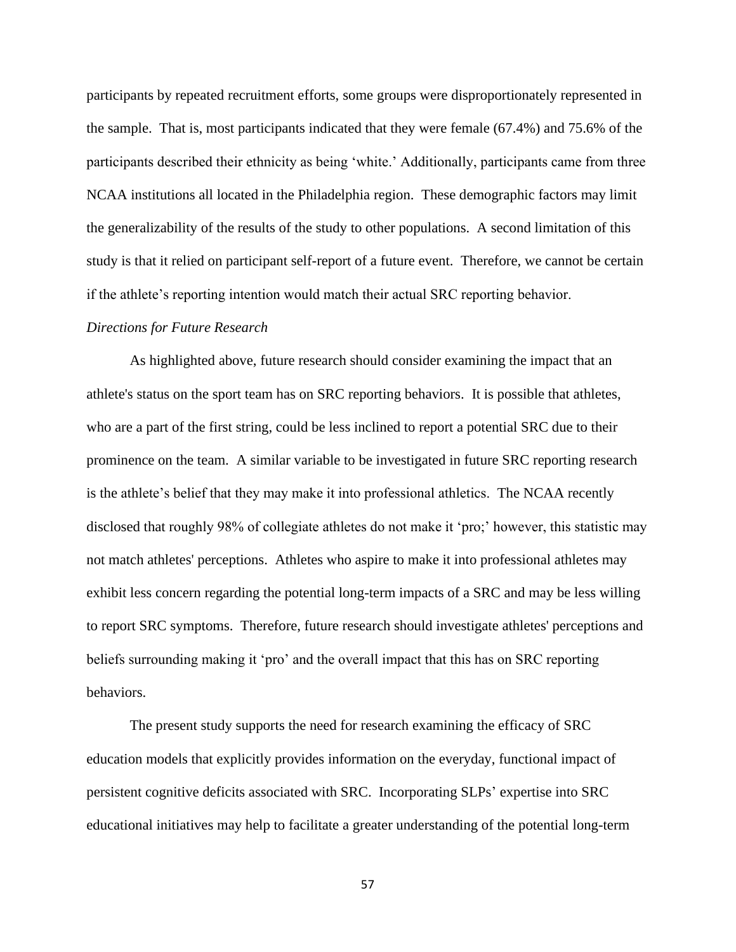participants by repeated recruitment efforts, some groups were disproportionately represented in the sample. That is, most participants indicated that they were female (67.4%) and 75.6% of the participants described their ethnicity as being 'white.' Additionally, participants came from three NCAA institutions all located in the Philadelphia region. These demographic factors may limit the generalizability of the results of the study to other populations. A second limitation of this study is that it relied on participant self-report of a future event. Therefore, we cannot be certain if the athlete's reporting intention would match their actual SRC reporting behavior.

### *Directions for Future Research*

As highlighted above, future research should consider examining the impact that an athlete's status on the sport team has on SRC reporting behaviors. It is possible that athletes, who are a part of the first string, could be less inclined to report a potential SRC due to their prominence on the team. A similar variable to be investigated in future SRC reporting research is the athlete's belief that they may make it into professional athletics. The NCAA recently disclosed that roughly 98% of collegiate athletes do not make it 'pro;' however, this statistic may not match athletes' perceptions. Athletes who aspire to make it into professional athletes may exhibit less concern regarding the potential long-term impacts of a SRC and may be less willing to report SRC symptoms. Therefore, future research should investigate athletes' perceptions and beliefs surrounding making it 'pro' and the overall impact that this has on SRC reporting behaviors.

The present study supports the need for research examining the efficacy of SRC education models that explicitly provides information on the everyday, functional impact of persistent cognitive deficits associated with SRC. Incorporating SLPs' expertise into SRC educational initiatives may help to facilitate a greater understanding of the potential long-term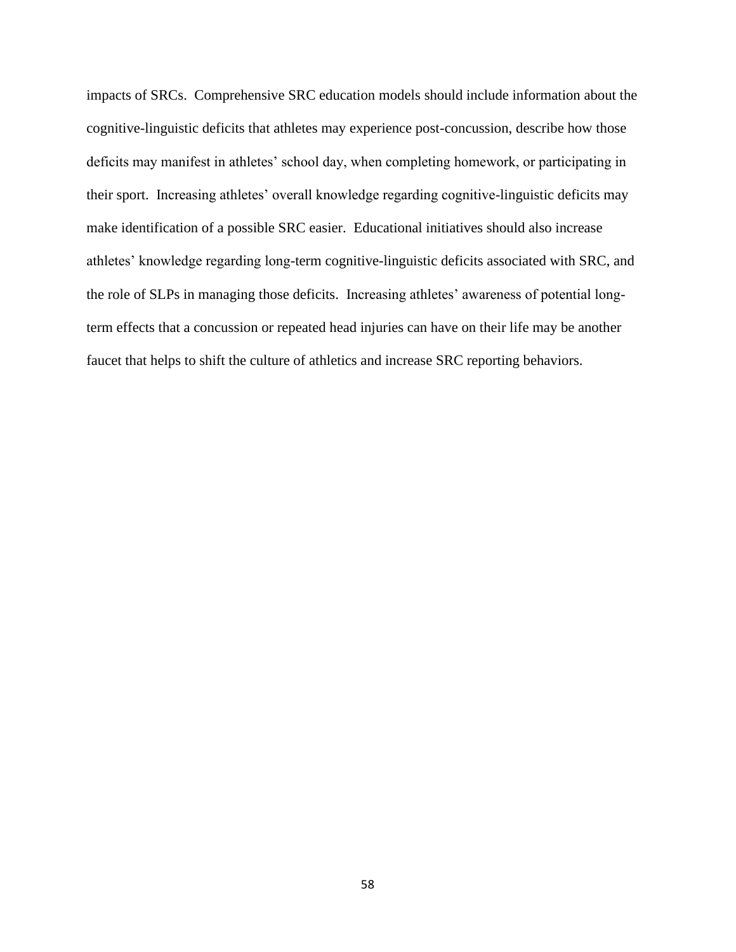impacts of SRCs. Comprehensive SRC education models should include information about the cognitive-linguistic deficits that athletes may experience post-concussion, describe how those deficits may manifest in athletes' school day, when completing homework, or participating in their sport. Increasing athletes' overall knowledge regarding cognitive-linguistic deficits may make identification of a possible SRC easier. Educational initiatives should also increase athletes' knowledge regarding long-term cognitive-linguistic deficits associated with SRC, and the role of SLPs in managing those deficits. Increasing athletes' awareness of potential longterm effects that a concussion or repeated head injuries can have on their life may be another faucet that helps to shift the culture of athletics and increase SRC reporting behaviors.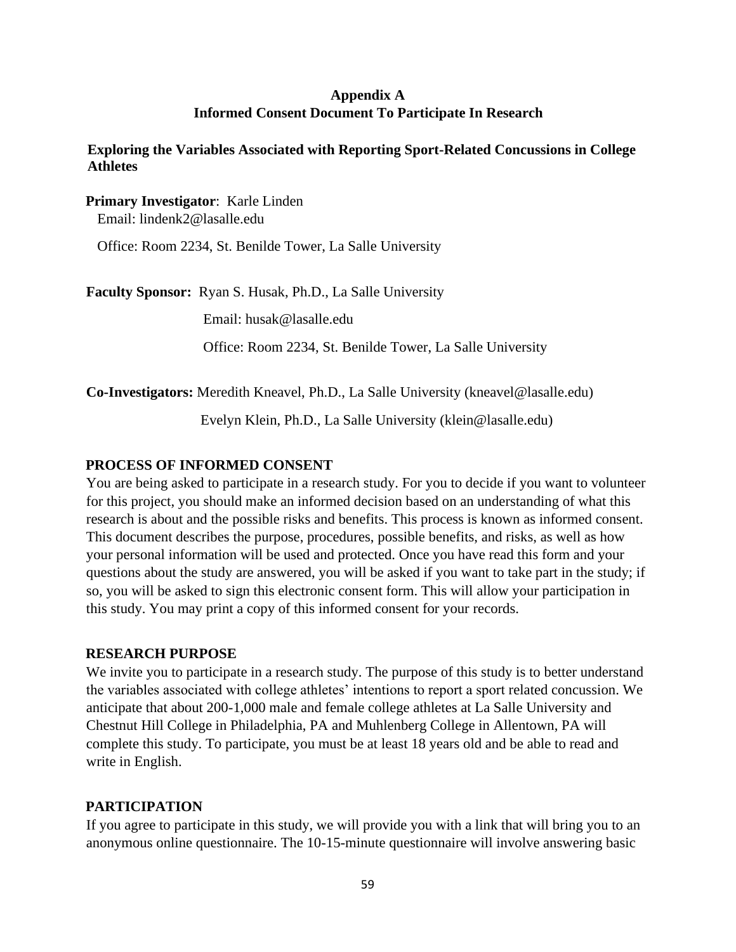# **Appendix A Informed Consent Document To Participate In Research**

**Exploring the Variables Associated with Reporting Sport-Related Concussions in College Athletes**

**Primary Investigator**: Karle Linden Email: lindenk2@lasalle.edu

Office: Room 2234, St. Benilde Tower, La Salle University

**Faculty Sponsor:** Ryan S. Husak, Ph.D., La Salle University

Email: husak@lasalle.edu

Office: Room 2234, St. Benilde Tower, La Salle University

**Co-Investigators:** Meredith Kneavel, Ph.D., La Salle University (kneavel@lasalle.edu)

Evelyn Klein, Ph.D., La Salle University (klein@lasalle.edu)

# **PROCESS OF INFORMED CONSENT**

You are being asked to participate in a research study. For you to decide if you want to volunteer for this project, you should make an informed decision based on an understanding of what this research is about and the possible risks and benefits. This process is known as informed consent. This document describes the purpose, procedures, possible benefits, and risks, as well as how your personal information will be used and protected. Once you have read this form and your questions about the study are answered, you will be asked if you want to take part in the study; if so, you will be asked to sign this electronic consent form. This will allow your participation in this study. You may print a copy of this informed consent for your records.

## **RESEARCH PURPOSE**

We invite you to participate in a research study. The purpose of this study is to better understand the variables associated with college athletes' intentions to report a sport related concussion. We anticipate that about 200-1,000 male and female college athletes at La Salle University and Chestnut Hill College in Philadelphia, PA and Muhlenberg College in Allentown, PA will complete this study. To participate, you must be at least 18 years old and be able to read and write in English.

# **PARTICIPATION**

If you agree to participate in this study, we will provide you with a link that will bring you to an anonymous online questionnaire. The 10-15-minute questionnaire will involve answering basic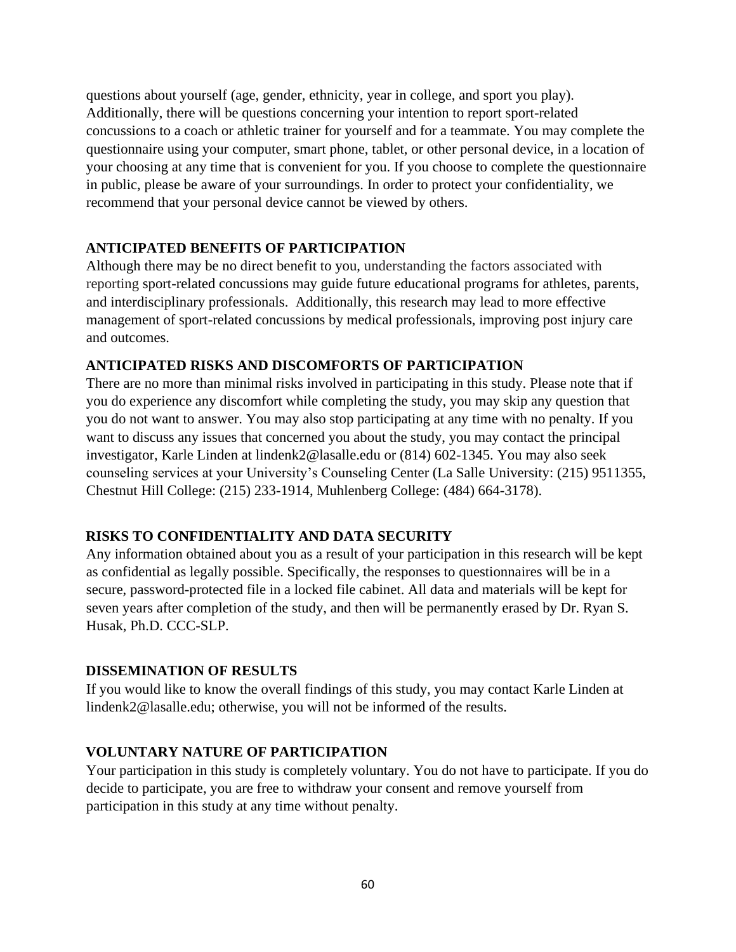questions about yourself (age, gender, ethnicity, year in college, and sport you play). Additionally, there will be questions concerning your intention to report sport-related concussions to a coach or athletic trainer for yourself and for a teammate. You may complete the questionnaire using your computer, smart phone, tablet, or other personal device, in a location of your choosing at any time that is convenient for you. If you choose to complete the questionnaire in public, please be aware of your surroundings. In order to protect your confidentiality, we recommend that your personal device cannot be viewed by others.

# **ANTICIPATED BENEFITS OF PARTICIPATION**

Although there may be no direct benefit to you, understanding the factors associated with reporting sport-related concussions may guide future educational programs for athletes, parents, and interdisciplinary professionals. Additionally, this research may lead to more effective management of sport-related concussions by medical professionals, improving post injury care and outcomes.

# **ANTICIPATED RISKS AND DISCOMFORTS OF PARTICIPATION**

There are no more than minimal risks involved in participating in this study. Please note that if you do experience any discomfort while completing the study, you may skip any question that you do not want to answer. You may also stop participating at any time with no penalty. If you want to discuss any issues that concerned you about the study, you may contact the principal investigator, Karle Linden at lindenk2@lasalle.edu or (814) 602-1345. You may also seek counseling services at your University's Counseling Center (La Salle University: (215) 9511355, Chestnut Hill College: (215) 233-1914, Muhlenberg College: (484) 664-3178).

# **RISKS TO CONFIDENTIALITY AND DATA SECURITY**

Any information obtained about you as a result of your participation in this research will be kept as confidential as legally possible. Specifically, the responses to questionnaires will be in a secure, password-protected file in a locked file cabinet. All data and materials will be kept for seven years after completion of the study, and then will be permanently erased by Dr. Ryan S. Husak, Ph.D. CCC-SLP.

# **DISSEMINATION OF RESULTS**

If you would like to know the overall findings of this study, you may contact Karle Linden at lindenk2@lasalle.edu; otherwise, you will not be informed of the results.

# **VOLUNTARY NATURE OF PARTICIPATION**

Your participation in this study is completely voluntary. You do not have to participate. If you do decide to participate, you are free to withdraw your consent and remove yourself from participation in this study at any time without penalty.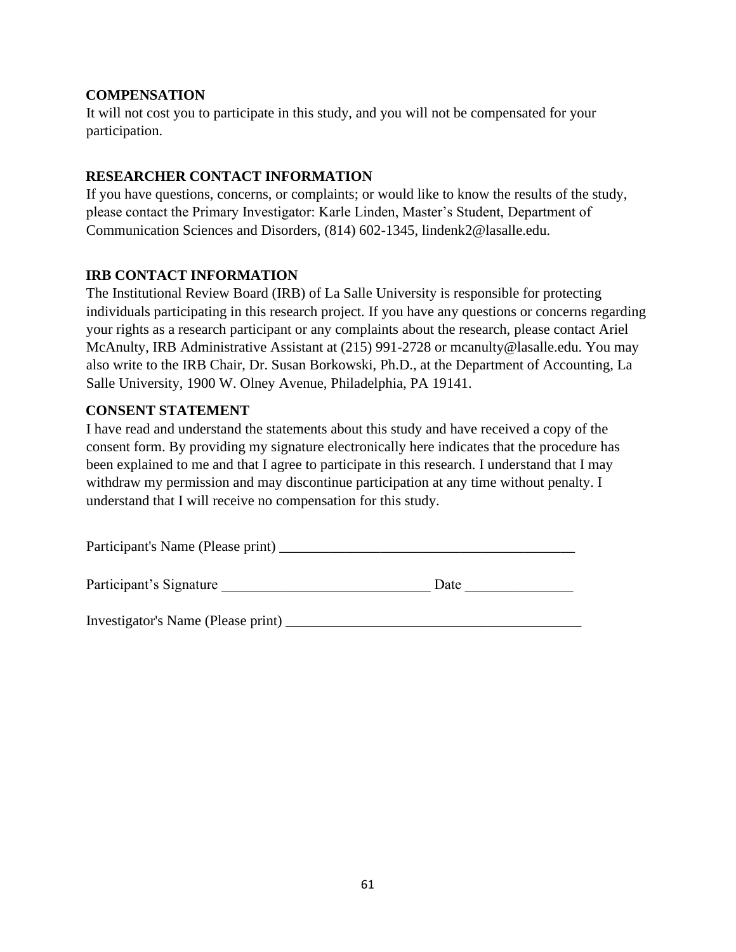## **COMPENSATION**

It will not cost you to participate in this study, and you will not be compensated for your participation.

## **RESEARCHER CONTACT INFORMATION**

If you have questions, concerns, or complaints; or would like to know the results of the study, please contact the Primary Investigator: Karle Linden, Master's Student, Department of Communication Sciences and Disorders, (814) 602-1345, lindenk2@lasalle.edu.

# **IRB CONTACT INFORMATION**

The Institutional Review Board (IRB) of La Salle University is responsible for protecting individuals participating in this research project. If you have any questions or concerns regarding your rights as a research participant or any complaints about the research, please contact Ariel McAnulty, IRB Administrative Assistant at (215) 991-2728 or mcanulty@lasalle.edu. You may also write to the IRB Chair, Dr. Susan Borkowski, Ph.D., at the Department of Accounting, La Salle University, 1900 W. Olney Avenue, Philadelphia, PA 19141.

# **CONSENT STATEMENT**

I have read and understand the statements about this study and have received a copy of the consent form. By providing my signature electronically here indicates that the procedure has been explained to me and that I agree to participate in this research. I understand that I may withdraw my permission and may discontinue participation at any time without penalty. I understand that I will receive no compensation for this study.

| Participant's Name (Please print) |  |
|-----------------------------------|--|
|                                   |  |

| Participant's Signature | Jate |
|-------------------------|------|
|                         |      |

Investigator's Name (Please print) \_\_\_\_\_\_\_\_\_\_\_\_\_\_\_\_\_\_\_\_\_\_\_\_\_\_\_\_\_\_\_\_\_\_\_\_\_\_\_\_\_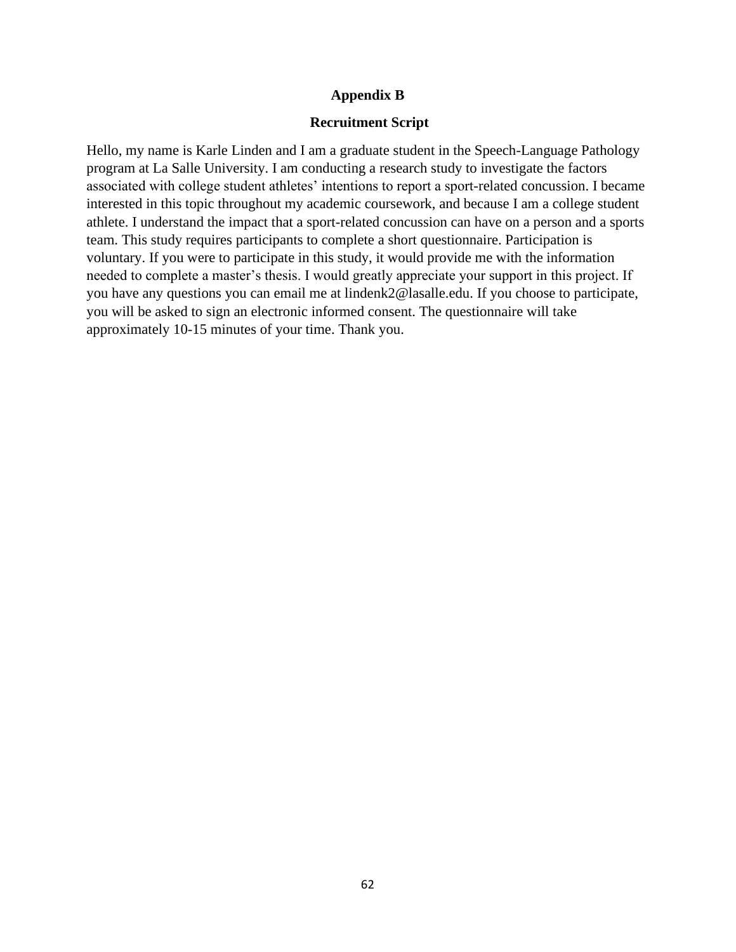#### **Appendix B**

#### **Recruitment Script**

Hello, my name is Karle Linden and I am a graduate student in the Speech-Language Pathology program at La Salle University. I am conducting a research study to investigate the factors associated with college student athletes' intentions to report a sport-related concussion. I became interested in this topic throughout my academic coursework, and because I am a college student athlete. I understand the impact that a sport-related concussion can have on a person and a sports team. This study requires participants to complete a short questionnaire. Participation is voluntary. If you were to participate in this study, it would provide me with the information needed to complete a master's thesis. I would greatly appreciate your support in this project. If you have any questions you can email me at lindenk2@lasalle.edu. If you choose to participate, you will be asked to sign an electronic informed consent. The questionnaire will take approximately 10-15 minutes of your time. Thank you.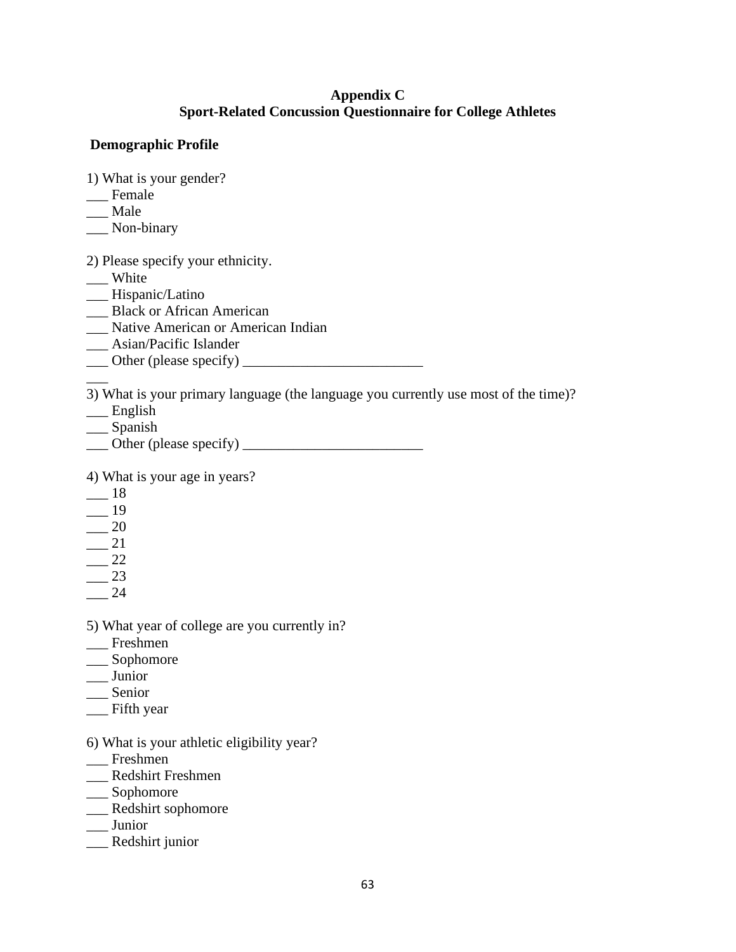## **Appendix C Sport-Related Concussion Questionnaire for College Athletes**

## **Demographic Profile**

1) What is your gender?

- \_\_\_ Female
- \_\_\_ Male
- \_\_\_ Non-binary

2) Please specify your ethnicity.

- \_\_\_ White
- \_\_\_ Hispanic/Latino
- \_\_\_ Black or African American
- \_\_\_ Native American or American Indian
- \_\_\_ Asian/Pacific Islander
- $\Box$  Other (please specify)  $\Box$

3) What is your primary language (the language you currently use most of the time)?

- \_\_\_ English
- \_\_\_ Spanish
- $\Box$  Other (please specify)  $\Box$

4) What is your age in years?

 $-$  18

 $\overline{\phantom{a}}$ 

- $-$  19
- $\frac{20}{2}$
- $-$  21  $\frac{22}{2}$
- $-$  23
- \_\_\_ 24
- 5) What year of college are you currently in?
- \_\_\_ Freshmen
- \_\_\_ Sophomore
- \_\_\_ Junior
- \_\_\_ Senior
- \_\_\_ Fifth year
- 6) What is your athletic eligibility year?
- \_\_\_ Freshmen
- \_\_\_ Redshirt Freshmen
- \_\_\_ Sophomore
- \_\_\_ Redshirt sophomore
- \_\_\_ Junior
- \_\_\_ Redshirt junior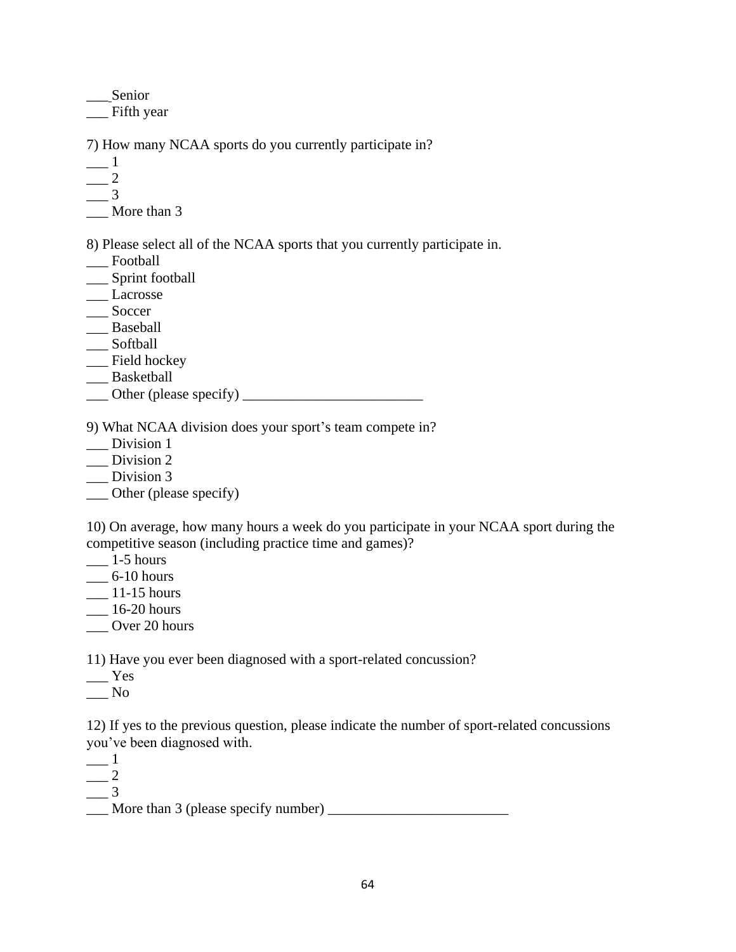\_\_\_Senior \_\_\_ Fifth year

7) How many NCAA sports do you currently participate in?

 $\frac{1}{\sqrt{2}}$ 

- $\frac{2}{2}$
- $\frac{1}{2}$

\_\_\_ More than 3

8) Please select all of the NCAA sports that you currently participate in.

- \_\_\_ Football
- \_\_\_ Sprint football
- \_\_\_ Lacrosse
- \_\_\_ Soccer
- \_\_ Baseball
- \_\_\_ Softball
- \_\_\_ Field hockey
- \_\_\_ Basketball
- $\Box$  Other (please specify)  $\Box$

9) What NCAA division does your sport's team compete in?

- \_\_\_ Division 1
- \_\_\_ Division 2
- \_\_\_ Division 3
- \_\_\_ Other (please specify)

10) On average, how many hours a week do you participate in your NCAA sport during the competitive season (including practice time and games)?

- $\frac{1-5 \text{ hours}}{2}$
- $\_\_6$ -10 hours
- $\frac{11-15 \text{ hours}}{2}$
- $\frac{16-20 \text{ hours}}{20}$
- \_\_\_ Over 20 hours

11) Have you ever been diagnosed with a sport-related concussion?

- $\equiv$  Yes
- \_\_\_ No

12) If yes to the previous question, please indicate the number of sport-related concussions you've been diagnosed with.

 $\_\_$ 1  $\frac{2}{\sqrt{2}}$  $\frac{3}{2}$ 

 $\Box$  More than 3 (please specify number)  $\Box$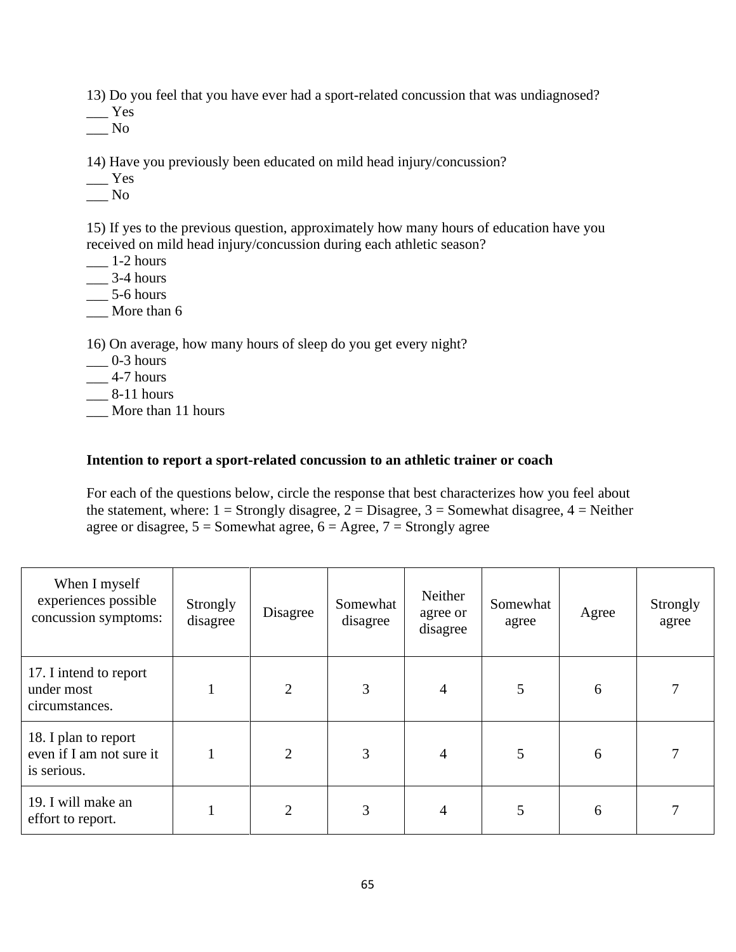13) Do you feel that you have ever had a sport-related concussion that was undiagnosed?

 $\_\_\$ 

 $\_\_$  No

14) Have you previously been educated on mild head injury/concussion?

- \_\_\_ Yes
- $\sqrt{N_0}$

15) If yes to the previous question, approximately how many hours of education have you received on mild head injury/concussion during each athletic season?

- $\frac{1}{2}$  hours
- $\frac{3-4}{2}$  hours
- $\_\_$  5-6 hours
- \_\_\_ More than 6

16) On average, how many hours of sleep do you get every night?

- $\frac{1}{2}$  0-3 hours
- $\frac{4-7}{2}$  hours
- $\_\_\$ 8-11 hours
- \_\_\_ More than 11 hours

### **Intention to report a sport-related concussion to an athletic trainer or coach**

For each of the questions below, circle the response that best characterizes how you feel about the statement, where:  $1 =$  Strongly disagree,  $2 =$  Disagree,  $3 =$  Somewhat disagree,  $4 =$  Neither agree or disagree,  $5 =$  Somewhat agree,  $6 =$  Agree,  $7 =$  Strongly agree

| When I myself<br>experiences possible<br>concussion symptoms:   | Strongly<br>disagree | Disagree       | Somewhat<br>disagree | Neither<br>agree or<br>disagree | Somewhat<br>agree | Agree | Strongly<br>agree |
|-----------------------------------------------------------------|----------------------|----------------|----------------------|---------------------------------|-------------------|-------|-------------------|
| 17. I intend to report<br>under most<br>circumstances.          |                      | $\overline{2}$ | 3                    | $\overline{4}$                  | 5                 | 6     | 7                 |
| 18. I plan to report<br>even if I am not sure it<br>is serious. |                      | $\overline{2}$ | 3                    | $\overline{4}$                  | 5                 | 6     | 7                 |
| 19. I will make an<br>effort to report.                         |                      | $\overline{2}$ | 3                    | $\overline{4}$                  | 5                 | 6     | 7                 |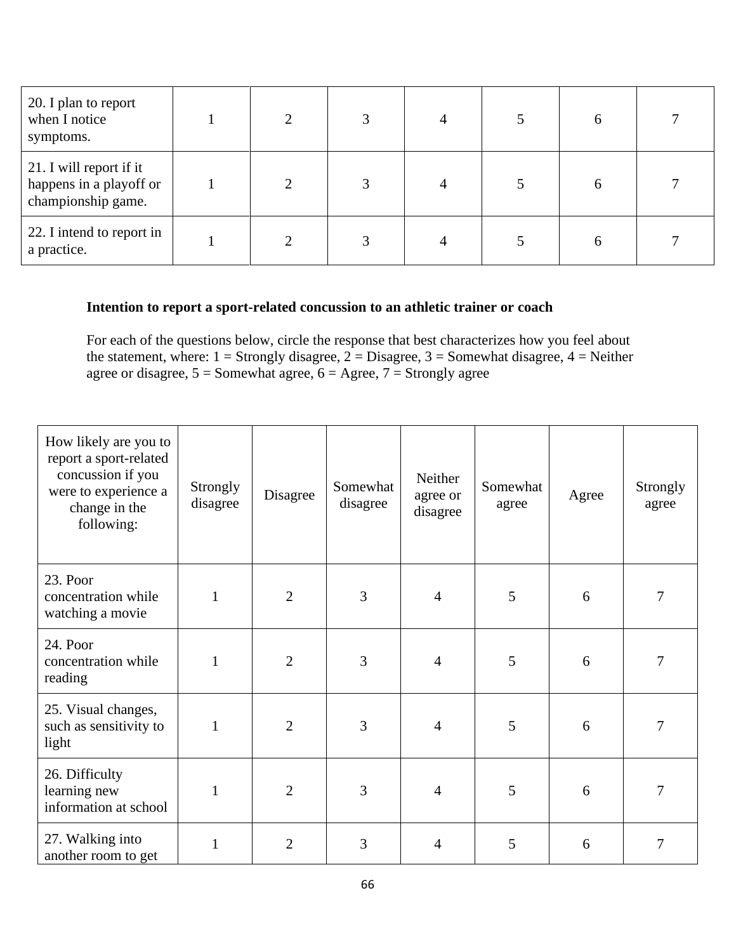| 20. I plan to report<br>when I notice<br>symptoms.                       |  | 4 | 6            |  |
|--------------------------------------------------------------------------|--|---|--------------|--|
| 21. I will report if it<br>happens in a playoff or<br>championship game. |  | 4 | 6            |  |
| 22. I intend to report in<br>a practice.                                 |  |   | <sub>0</sub> |  |

# **Intention to report a sport-related concussion to an athletic trainer or coach**

For each of the questions below, circle the response that best characterizes how you feel about the statement, where:  $1 =$  Strongly disagree,  $2 =$  Disagree,  $3 =$  Somewhat disagree,  $4 =$  Neither agree or disagree,  $5 =$  Somewhat agree,  $6 =$  Agree,  $7 =$  Strongly agree

| How likely are you to<br>report a sport-related<br>concussion if you<br>were to experience a<br>change in the<br>following: | Strongly<br>disagree | Disagree       | Somewhat<br>disagree | Neither<br>agree or<br>disagree | Somewhat<br>agree | Agree | Strongly<br>agree |
|-----------------------------------------------------------------------------------------------------------------------------|----------------------|----------------|----------------------|---------------------------------|-------------------|-------|-------------------|
| 23. Poor<br>concentration while<br>watching a movie                                                                         |                      | $\overline{2}$ | 3                    | 4                               | 5                 | 6     | 7                 |
| 24. Poor<br>concentration while<br>reading                                                                                  | 1                    | $\overline{2}$ | 3                    | 4                               | 5                 | 6     | 7                 |
| 25. Visual changes,<br>such as sensitivity to<br>light                                                                      | 1                    | $\overline{2}$ | 3                    | 4                               | 5                 | 6     | 7                 |
| 26. Difficulty<br>learning new<br>information at school                                                                     | 1                    | $\overline{2}$ | 3                    | 4                               | 5                 | 6     | 7                 |
| 27. Walking into<br>another room to get                                                                                     |                      | $\overline{2}$ | 3                    | 4                               | 5                 | 6     | 7                 |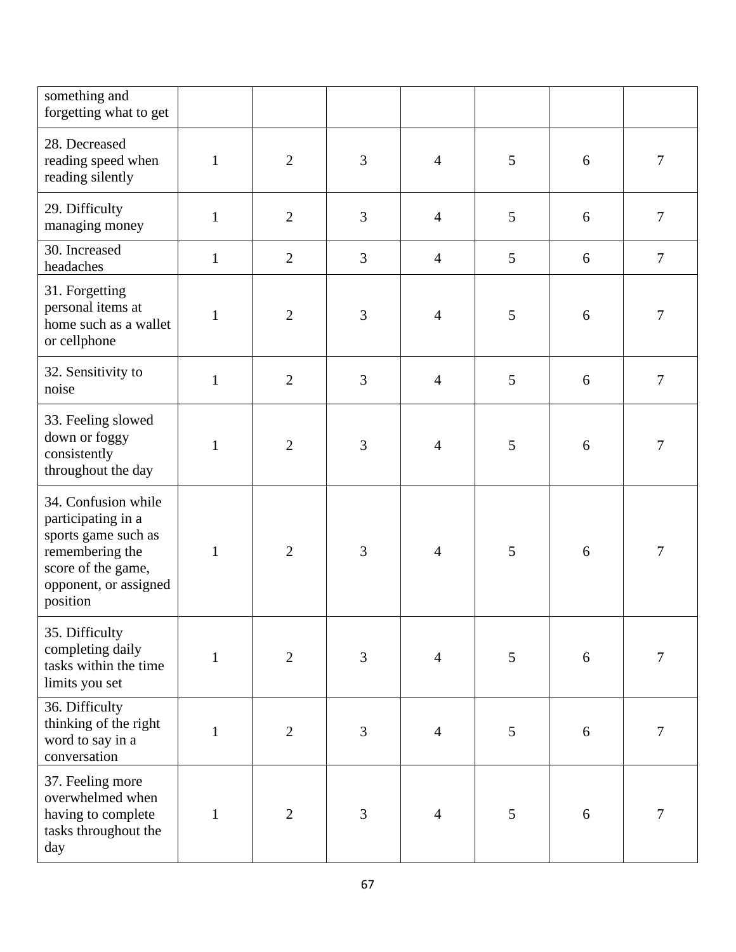| something and<br>forgetting what to get                                                                                                        |              |                |                |                |   |   |                  |
|------------------------------------------------------------------------------------------------------------------------------------------------|--------------|----------------|----------------|----------------|---|---|------------------|
| 28. Decreased<br>reading speed when<br>reading silently                                                                                        | $\mathbf{1}$ | $\overline{2}$ | 3              | $\overline{4}$ | 5 | 6 | $\boldsymbol{7}$ |
| 29. Difficulty<br>managing money                                                                                                               | $\mathbf{1}$ | $\mathbf{2}$   | 3              | $\overline{4}$ | 5 | 6 | $\overline{7}$   |
| 30. Increased<br>headaches                                                                                                                     | $\mathbf{1}$ | $\mathbf{2}$   | $\overline{3}$ | $\overline{4}$ | 5 | 6 | $\overline{7}$   |
| 31. Forgetting<br>personal items at<br>home such as a wallet<br>or cellphone                                                                   | $\mathbf{1}$ | $\mathbf{2}$   | 3              | $\overline{4}$ | 5 | 6 | $\overline{7}$   |
| 32. Sensitivity to<br>noise                                                                                                                    | $\mathbf{1}$ | $\overline{2}$ | $\overline{3}$ | $\overline{4}$ | 5 | 6 | $\tau$           |
| 33. Feeling slowed<br>down or foggy<br>consistently<br>throughout the day                                                                      | $\mathbf{1}$ | $\overline{2}$ | 3              | $\overline{4}$ | 5 | 6 | 7                |
| 34. Confusion while<br>participating in a<br>sports game such as<br>remembering the<br>score of the game,<br>opponent, or assigned<br>position | $\mathbf{1}$ | $\overline{2}$ | $\overline{3}$ | $\overline{4}$ | 5 | 6 | 7                |
| 35. Difficulty<br>completing daily<br>tasks within the time<br>limits you set                                                                  | $\mathbf{1}$ | $\overline{2}$ | 3              | $\overline{4}$ | 5 | 6 | 7                |
| 36. Difficulty<br>thinking of the right<br>word to say in a<br>conversation                                                                    | $\mathbf{1}$ | $\overline{2}$ | $\overline{3}$ | $\overline{4}$ | 5 | 6 | $\boldsymbol{7}$ |
| 37. Feeling more<br>overwhelmed when<br>having to complete<br>tasks throughout the<br>day                                                      | $\mathbf{1}$ | $\overline{2}$ | $\overline{3}$ | $\overline{4}$ | 5 | 6 | 7                |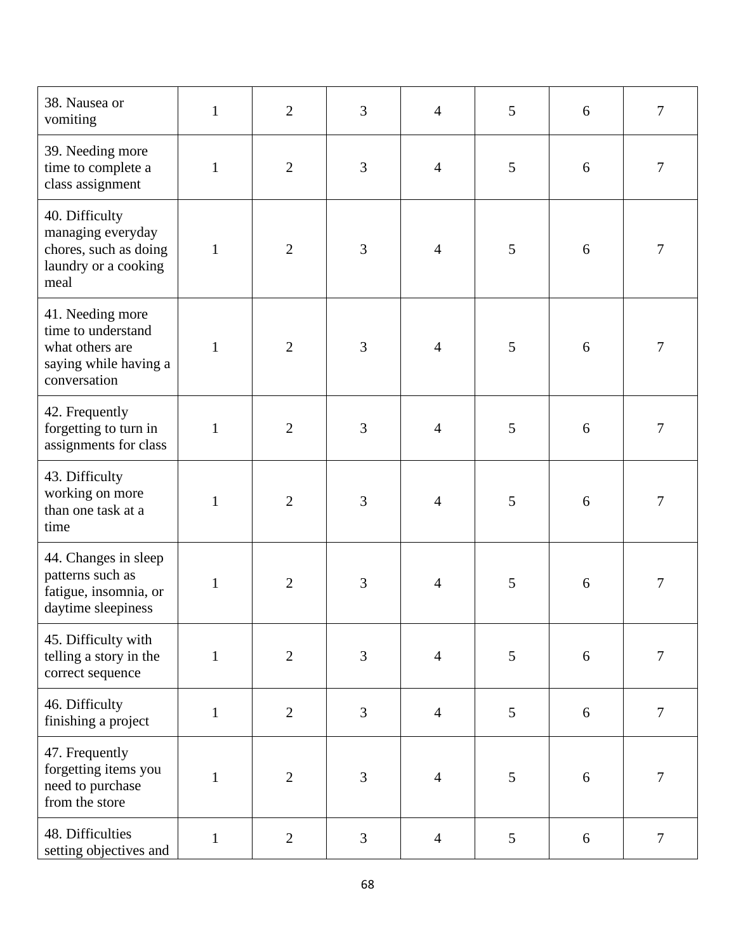| 38. Nausea or<br>vomiting                                                                          | $\mathbf{1}$ | $\mathbf{2}$   | 3              | $\overline{4}$ | 5 | 6 | 7                |
|----------------------------------------------------------------------------------------------------|--------------|----------------|----------------|----------------|---|---|------------------|
| 39. Needing more<br>time to complete a<br>class assignment                                         | $\mathbf{1}$ | $\mathbf{2}$   | 3              | $\overline{4}$ | 5 | 6 | $\boldsymbol{7}$ |
| 40. Difficulty<br>managing everyday<br>chores, such as doing<br>laundry or a cooking<br>meal       | $\mathbf{1}$ | $\overline{2}$ | 3              | $\overline{4}$ | 5 | 6 | $\overline{7}$   |
| 41. Needing more<br>time to understand<br>what others are<br>saying while having a<br>conversation | $\mathbf{1}$ | $\overline{2}$ | $\overline{3}$ | $\overline{4}$ | 5 | 6 | 7                |
| 42. Frequently<br>forgetting to turn in<br>assignments for class                                   | $\mathbf{1}$ | $\mathbf{2}$   | 3              | $\overline{4}$ | 5 | 6 | $\boldsymbol{7}$ |
| 43. Difficulty<br>working on more<br>than one task at a<br>time                                    | $\mathbf{1}$ | $\overline{2}$ | 3              | $\overline{4}$ | 5 | 6 | $\overline{7}$   |
| 44. Changes in sleep<br>patterns such as<br>fatigue, insomnia, or<br>daytime sleepiness            | 1            | $\overline{2}$ | $\overline{3}$ | $\overline{4}$ | 5 | 6 | $\tau$           |
| 45. Difficulty with<br>telling a story in the<br>correct sequence                                  | $\mathbf{1}$ | $\overline{2}$ | $\overline{3}$ | $\overline{4}$ | 5 | 6 | 7                |
| 46. Difficulty<br>finishing a project                                                              | $\mathbf{1}$ | $\mathbf{2}$   | $\overline{3}$ | $\overline{4}$ | 5 | 6 | $\boldsymbol{7}$ |
| 47. Frequently<br>forgetting items you<br>need to purchase<br>from the store                       | 1            | $\overline{2}$ | 3              | $\overline{4}$ | 5 | 6 | 7                |
| 48. Difficulties<br>setting objectives and                                                         | $\mathbf{1}$ | $\mathbf{2}$   | 3              | $\overline{4}$ | 5 | 6 | $\tau$           |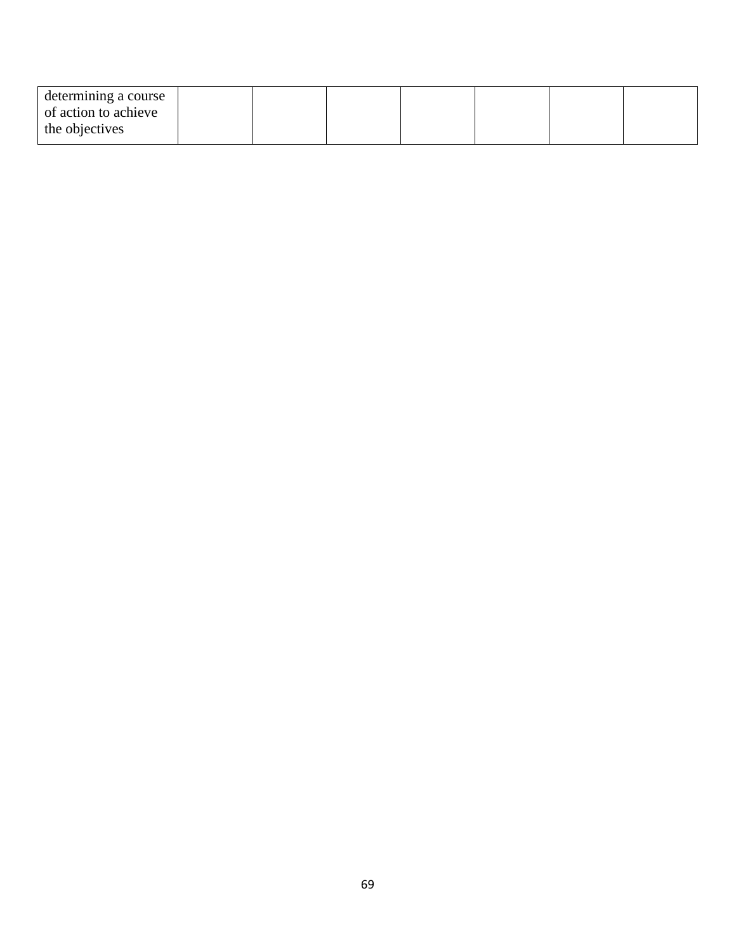| determining a course |  |  |  |  |
|----------------------|--|--|--|--|
| of action to achieve |  |  |  |  |
| the objectives       |  |  |  |  |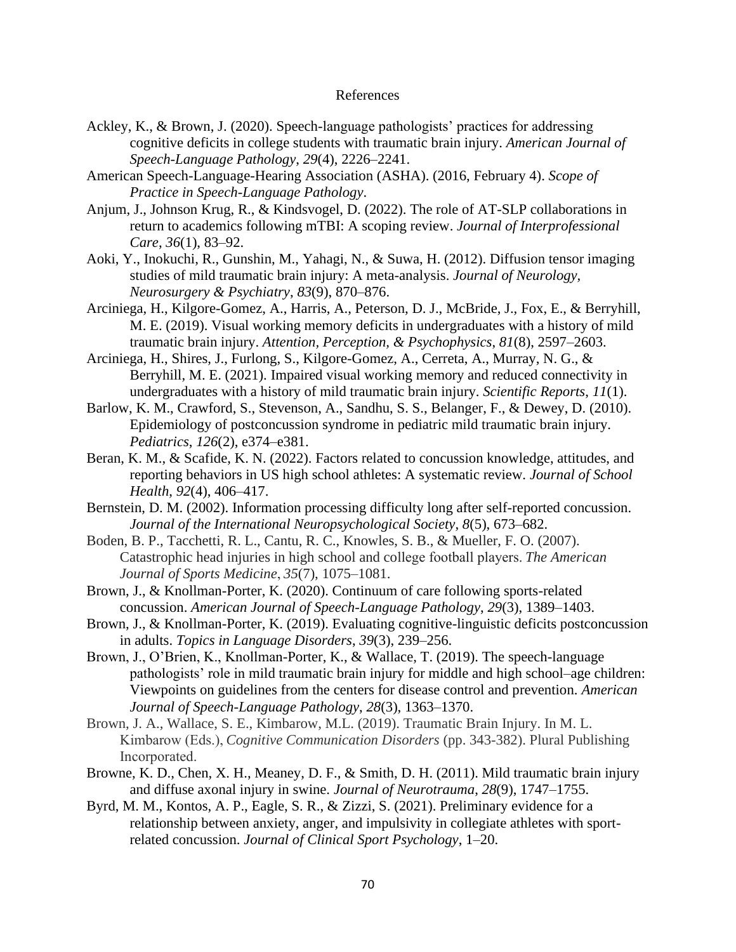#### References

- Ackley, K., & Brown, J. (2020). Speech-language pathologists' practices for addressing cognitive deficits in college students with traumatic brain injury. *American Journal of Speech-Language Pathology*, *29*(4), 2226–2241.
- American Speech-Language-Hearing Association (ASHA). (2016, February 4). *Scope of Practice in Speech-Language Pathology*.
- Anjum, J., Johnson Krug, R., & Kindsvogel, D. (2022). The role of AT-SLP collaborations in return to academics following mTBI: A scoping review. *Journal of Interprofessional Care*, *36*(1), 83–92.
- Aoki, Y., Inokuchi, R., Gunshin, M., Yahagi, N., & Suwa, H. (2012). Diffusion tensor imaging studies of mild traumatic brain injury: A meta-analysis. *Journal of Neurology, Neurosurgery & Psychiatry*, *83*(9), 870–876.
- Arciniega, H., Kilgore-Gomez, A., Harris, A., Peterson, D. J., McBride, J., Fox, E., & Berryhill, M. E. (2019). Visual working memory deficits in undergraduates with a history of mild traumatic brain injury. *Attention, Perception, & Psychophysics*, *81*(8), 2597–2603.
- Arciniega, H., Shires, J., Furlong, S., Kilgore-Gomez, A., Cerreta, A., Murray, N. G., & Berryhill, M. E. (2021). Impaired visual working memory and reduced connectivity in undergraduates with a history of mild traumatic brain injury. *Scientific Reports*, *11*(1).
- Barlow, K. M., Crawford, S., Stevenson, A., Sandhu, S. S., Belanger, F., & Dewey, D. (2010). Epidemiology of postconcussion syndrome in pediatric mild traumatic brain injury. *Pediatrics*, *126*(2), e374–e381.
- Beran, K. M., & Scafide, K. N. (2022). Factors related to concussion knowledge, attitudes, and reporting behaviors in US high school athletes: A systematic review. *Journal of School Health*, *92*(4), 406–417.
- Bernstein, D. M. (2002). Information processing difficulty long after self-reported concussion. *Journal of the International Neuropsychological Society*, *8*(5), 673–682.
- Boden, B. P., Tacchetti, R. L., Cantu, R. C., Knowles, S. B., & Mueller, F. O. (2007). Catastrophic head injuries in high school and college football players. *The American Journal of Sports Medicine*, *35*(7), 1075–1081.
- Brown, J., & Knollman-Porter, K. (2020). Continuum of care following sports-related concussion. *American Journal of Speech-Language Pathology*, *29*(3), 1389–1403.
- Brown, J., & Knollman-Porter, K. (2019). Evaluating cognitive-linguistic deficits postconcussion in adults. *Topics in Language Disorders*, *39*(3), 239–256.
- Brown, J., O'Brien, K., Knollman-Porter, K., & Wallace, T. (2019). The speech-language pathologists' role in mild traumatic brain injury for middle and high school–age children: Viewpoints on guidelines from the centers for disease control and prevention. *American Journal of Speech-Language Pathology*, *28*(3), 1363–1370.
- Brown, J. A., Wallace, S. E., Kimbarow, M.L. (2019). Traumatic Brain Injury. In M. L. Kimbarow (Eds.), *Cognitive Communication Disorders* (pp. 343-382). Plural Publishing Incorporated.
- Browne, K. D., Chen, X. H., Meaney, D. F., & Smith, D. H. (2011). Mild traumatic brain injury and diffuse axonal injury in swine. *Journal of Neurotrauma*, *28*(9), 1747–1755.
- Byrd, M. M., Kontos, A. P., Eagle, S. R., & Zizzi, S. (2021). Preliminary evidence for a relationship between anxiety, anger, and impulsivity in collegiate athletes with sportrelated concussion. *Journal of Clinical Sport Psychology*, 1–20.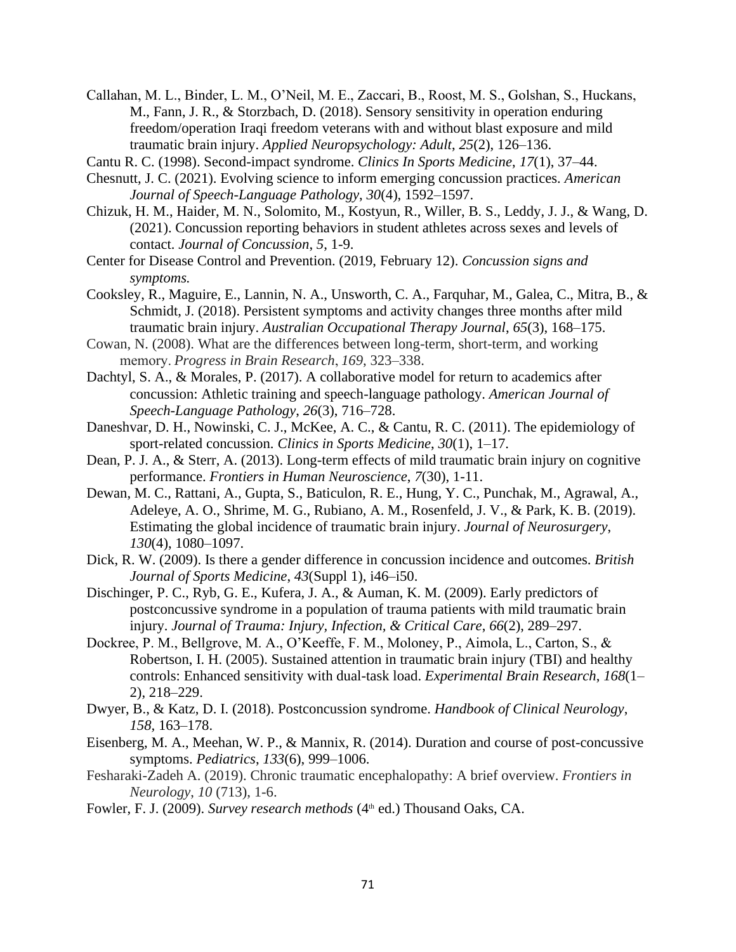- Callahan, M. L., Binder, L. M., O'Neil, M. E., Zaccari, B., Roost, M. S., Golshan, S., Huckans, M., Fann, J. R., & Storzbach, D. (2018). Sensory sensitivity in operation enduring freedom/operation Iraqi freedom veterans with and without blast exposure and mild traumatic brain injury. *Applied Neuropsychology: Adult*, *25*(2), 126–136.
- Cantu R. C. (1998). Second-impact syndrome. *Clinics In Sports Medicine*, *17*(1), 37–44.
- Chesnutt, J. C. (2021). Evolving science to inform emerging concussion practices. *American Journal of Speech-Language Pathology*, *30*(4), 1592–1597.
- Chizuk, H. M., Haider, M. N., Solomito, M., Kostyun, R., Willer, B. S., Leddy, J. J., & Wang, D. (2021). Concussion reporting behaviors in student athletes across sexes and levels of contact. *Journal of Concussion*, *5*, 1-9.
- Center for Disease Control and Prevention. (2019, February 12). *Concussion signs and symptoms.*
- Cooksley, R., Maguire, E., Lannin, N. A., Unsworth, C. A., Farquhar, M., Galea, C., Mitra, B., & Schmidt, J. (2018). Persistent symptoms and activity changes three months after mild traumatic brain injury. *Australian Occupational Therapy Journal*, *65*(3), 168–175.
- Cowan, N. (2008). What are the differences between long-term, short-term, and working memory. *Progress in Brain Research*, *169*, 323–338.
- Dachtyl, S. A., & Morales, P. (2017). A collaborative model for return to academics after concussion: Athletic training and speech-language pathology. *American Journal of Speech-Language Pathology*, *26*(3), 716–728.
- Daneshvar, D. H., Nowinski, C. J., McKee, A. C., & Cantu, R. C. (2011). The epidemiology of sport-related concussion. *Clinics in Sports Medicine*, *30*(1), 1–17.
- Dean, P. J. A., & Sterr, A. (2013). Long-term effects of mild traumatic brain injury on cognitive performance. *Frontiers in Human Neuroscience*, *7*(30), 1-11.
- Dewan, M. C., Rattani, A., Gupta, S., Baticulon, R. E., Hung, Y. C., Punchak, M., Agrawal, A., Adeleye, A. O., Shrime, M. G., Rubiano, A. M., Rosenfeld, J. V., & Park, K. B. (2019). Estimating the global incidence of traumatic brain injury. *Journal of Neurosurgery*, *130*(4), 1080–1097.
- Dick, R. W. (2009). Is there a gender difference in concussion incidence and outcomes. *British Journal of Sports Medicine*, *43*(Suppl 1), i46–i50.
- Dischinger, P. C., Ryb, G. E., Kufera, J. A., & Auman, K. M. (2009). Early predictors of postconcussive syndrome in a population of trauma patients with mild traumatic brain injury. *Journal of Trauma: Injury, Infection, & Critical Care*, *66*(2), 289–297.
- Dockree, P. M., Bellgrove, M. A., O'Keeffe, F. M., Moloney, P., Aimola, L., Carton, S., & Robertson, I. H. (2005). Sustained attention in traumatic brain injury (TBI) and healthy controls: Enhanced sensitivity with dual-task load. *Experimental Brain Research*, *168*(1– 2), 218–229.
- Dwyer, B., & Katz, D. I. (2018). Postconcussion syndrome. *Handbook of Clinical Neurology*, *158,* 163–178.
- Eisenberg, M. A., Meehan, W. P., & Mannix, R. (2014). Duration and course of post-concussive symptoms. *Pediatrics*, *133*(6), 999–1006.
- Fesharaki-Zadeh A. (2019). Chronic traumatic encephalopathy: A brief overview. *Frontiers in Neurology*, *10* (713), 1-6.
- Fowler, F. J. (2009). *Survey research methods* (4<sup>th</sup> ed.) Thousand Oaks, CA.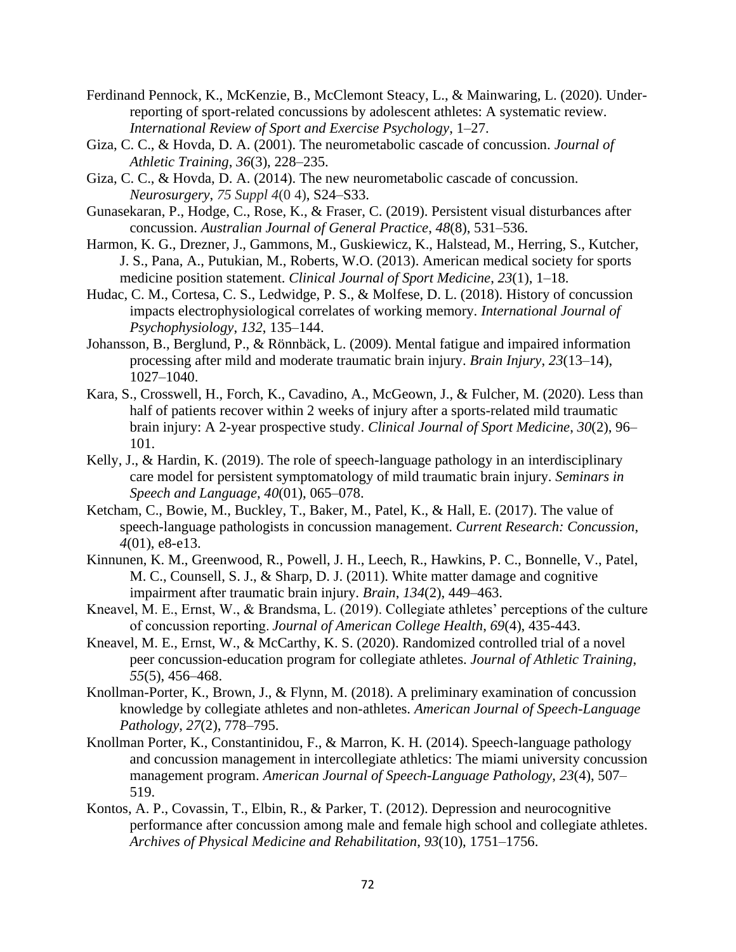- Ferdinand Pennock, K., McKenzie, B., McClemont Steacy, L., & Mainwaring, L. (2020). Underreporting of sport-related concussions by adolescent athletes: A systematic review. *International Review of Sport and Exercise Psychology*, 1–27.
- Giza, C. C., & Hovda, D. A. (2001). The neurometabolic cascade of concussion. *Journal of Athletic Training*, *36*(3), 228–235.
- Giza, C. C., & Hovda, D. A. (2014). The new neurometabolic cascade of concussion. *Neurosurgery*, *75 Suppl 4*(0 4), S24–S33.
- Gunasekaran, P., Hodge, C., Rose, K., & Fraser, C. (2019). Persistent visual disturbances after concussion. *Australian Journal of General Practice*, *48*(8), 531–536.
- Harmon, K. G., Drezner, J., Gammons, M., Guskiewicz, K., Halstead, M., Herring, S., Kutcher, J. S., Pana, A., Putukian, M., Roberts, W.O. (2013). American medical society for sports medicine position statement. *Clinical Journal of Sport Medicine*, *23*(1), 1–18.
- Hudac, C. M., Cortesa, C. S., Ledwidge, P. S., & Molfese, D. L. (2018). History of concussion impacts electrophysiological correlates of working memory. *International Journal of Psychophysiology*, *132*, 135–144.
- Johansson, B., Berglund, P., & Rönnbäck, L. (2009). Mental fatigue and impaired information processing after mild and moderate traumatic brain injury. *Brain Injury*, *23*(13–14), 1027–1040.
- Kara, S., Crosswell, H., Forch, K., Cavadino, A., McGeown, J., & Fulcher, M. (2020). Less than half of patients recover within 2 weeks of injury after a sports-related mild traumatic brain injury: A 2-year prospective study. *Clinical Journal of Sport Medicine*, *30*(2), 96– 101.
- Kelly, J., & Hardin, K. (2019). The role of speech-language pathology in an interdisciplinary care model for persistent symptomatology of mild traumatic brain injury. *Seminars in Speech and Language*, *40*(01), 065–078.
- Ketcham, C., Bowie, M., Buckley, T., Baker, M., Patel, K., & Hall, E. (2017). The value of speech-language pathologists in concussion management. *Current Research: Concussion*, *4*(01), e8-e13.
- Kinnunen, K. M., Greenwood, R., Powell, J. H., Leech, R., Hawkins, P. C., Bonnelle, V., Patel, M. C., Counsell, S. J., & Sharp, D. J. (2011). White matter damage and cognitive impairment after traumatic brain injury. *Brain*, *134*(2), 449–463.
- Kneavel, M. E., Ernst, W., & Brandsma, L. (2019). Collegiate athletes' perceptions of the culture of concussion reporting. *Journal of American College Health*, *69*(4), 435-443.
- Kneavel, M. E., Ernst, W., & McCarthy, K. S. (2020). Randomized controlled trial of a novel peer concussion-education program for collegiate athletes. *Journal of Athletic Training*, *55*(5), 456–468.
- Knollman-Porter, K., Brown, J., & Flynn, M. (2018). A preliminary examination of concussion knowledge by collegiate athletes and non-athletes. *American Journal of Speech-Language Pathology*, *27*(2), 778–795.
- Knollman Porter, K., Constantinidou, F., & Marron, K. H. (2014). Speech-language pathology and concussion management in intercollegiate athletics: The miami university concussion management program. *American Journal of Speech-Language Pathology*, *23*(4), 507– 519.
- Kontos, A. P., Covassin, T., Elbin, R., & Parker, T. (2012). Depression and neurocognitive performance after concussion among male and female high school and collegiate athletes. *Archives of Physical Medicine and Rehabilitation*, *93*(10), 1751–1756.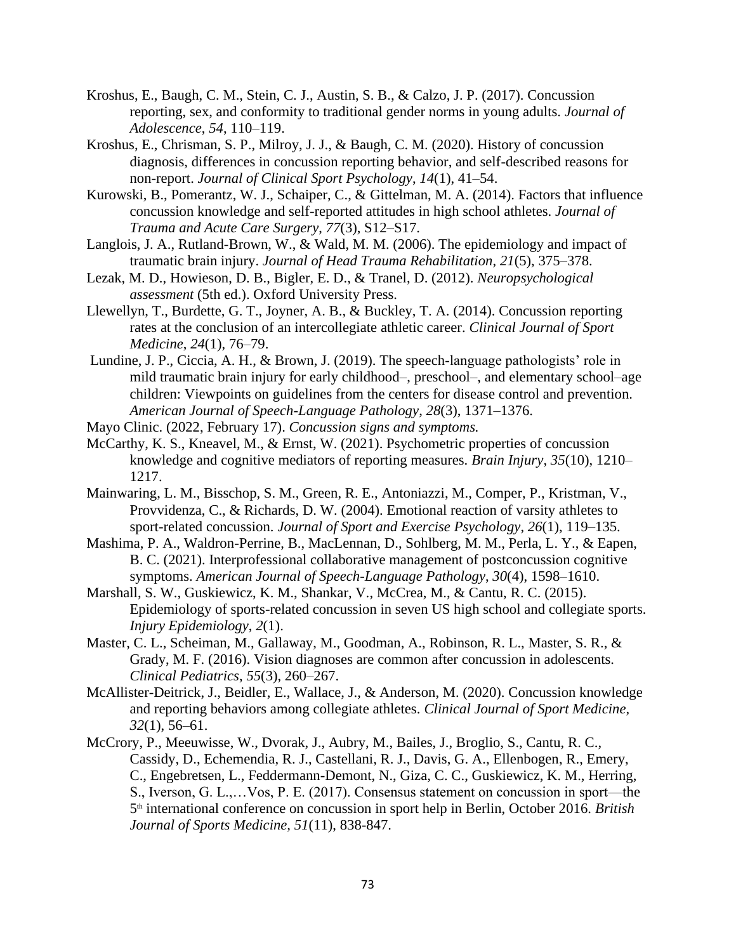- Kroshus, E., Baugh, C. M., Stein, C. J., Austin, S. B., & Calzo, J. P. (2017). Concussion reporting, sex, and conformity to traditional gender norms in young adults. *Journal of Adolescence*, *54*, 110–119.
- Kroshus, E., Chrisman, S. P., Milroy, J. J., & Baugh, C. M. (2020). History of concussion diagnosis, differences in concussion reporting behavior, and self-described reasons for non-report. *Journal of Clinical Sport Psychology*, *14*(1), 41–54.
- Kurowski, B., Pomerantz, W. J., Schaiper, C., & Gittelman, M. A. (2014). Factors that influence concussion knowledge and self-reported attitudes in high school athletes. *Journal of Trauma and Acute Care Surgery*, *77*(3), S12–S17.
- Langlois, J. A., Rutland-Brown, W., & Wald, M. M. (2006). The epidemiology and impact of traumatic brain injury. *Journal of Head Trauma Rehabilitation*, *21*(5), 375–378.
- Lezak, M. D., Howieson, D. B., Bigler, E. D., & Tranel, D. (2012). *Neuropsychological assessment* (5th ed.). Oxford University Press.
- Llewellyn, T., Burdette, G. T., Joyner, A. B., & Buckley, T. A. (2014). Concussion reporting rates at the conclusion of an intercollegiate athletic career. *Clinical Journal of Sport Medicine*, *24*(1), 76–79.
- Lundine, J. P., Ciccia, A. H., & Brown, J. (2019). The speech-language pathologists' role in mild traumatic brain injury for early childhood–, preschool–, and elementary school–age children: Viewpoints on guidelines from the centers for disease control and prevention. *American Journal of Speech-Language Pathology*, *28*(3), 1371–1376.
- Mayo Clinic. (2022, February 17). *Concussion signs and symptoms.*
- McCarthy, K. S., Kneavel, M., & Ernst, W. (2021). Psychometric properties of concussion knowledge and cognitive mediators of reporting measures. *Brain Injury*, *35*(10), 1210– 1217.
- Mainwaring, L. M., Bisschop, S. M., Green, R. E., Antoniazzi, M., Comper, P., Kristman, V., Provvidenza, C., & Richards, D. W. (2004). Emotional reaction of varsity athletes to sport-related concussion. *Journal of Sport and Exercise Psychology*, *26*(1), 119–135.
- Mashima, P. A., Waldron-Perrine, B., MacLennan, D., Sohlberg, M. M., Perla, L. Y., & Eapen, B. C. (2021). Interprofessional collaborative management of postconcussion cognitive symptoms. *American Journal of Speech-Language Pathology*, *30*(4), 1598–1610.
- Marshall, S. W., Guskiewicz, K. M., Shankar, V., McCrea, M., & Cantu, R. C. (2015). Epidemiology of sports-related concussion in seven US high school and collegiate sports. *Injury Epidemiology*, *2*(1).
- Master, C. L., Scheiman, M., Gallaway, M., Goodman, A., Robinson, R. L., Master, S. R., & Grady, M. F. (2016). Vision diagnoses are common after concussion in adolescents. *Clinical Pediatrics*, *55*(3), 260–267.
- McAllister-Deitrick, J., Beidler, E., Wallace, J., & Anderson, M. (2020). Concussion knowledge and reporting behaviors among collegiate athletes. *Clinical Journal of Sport Medicine*, *32*(1), 56–61.
- McCrory, P., Meeuwisse, W., Dvorak, J., Aubry, M., Bailes, J., Broglio, S., Cantu, R. C., Cassidy, D., Echemendia, R. J., Castellani, R. J., Davis, G. A., Ellenbogen, R., Emery, C., Engebretsen, L., Feddermann-Demont, N., Giza, C. C., Guskiewicz, K. M., Herring, S., Iverson, G. L.,…Vos, P. E. (2017). Consensus statement on concussion in sport—the 5 th international conference on concussion in sport help in Berlin, October 2016. *British Journal of Sports Medicine, 51*(11), 838-847.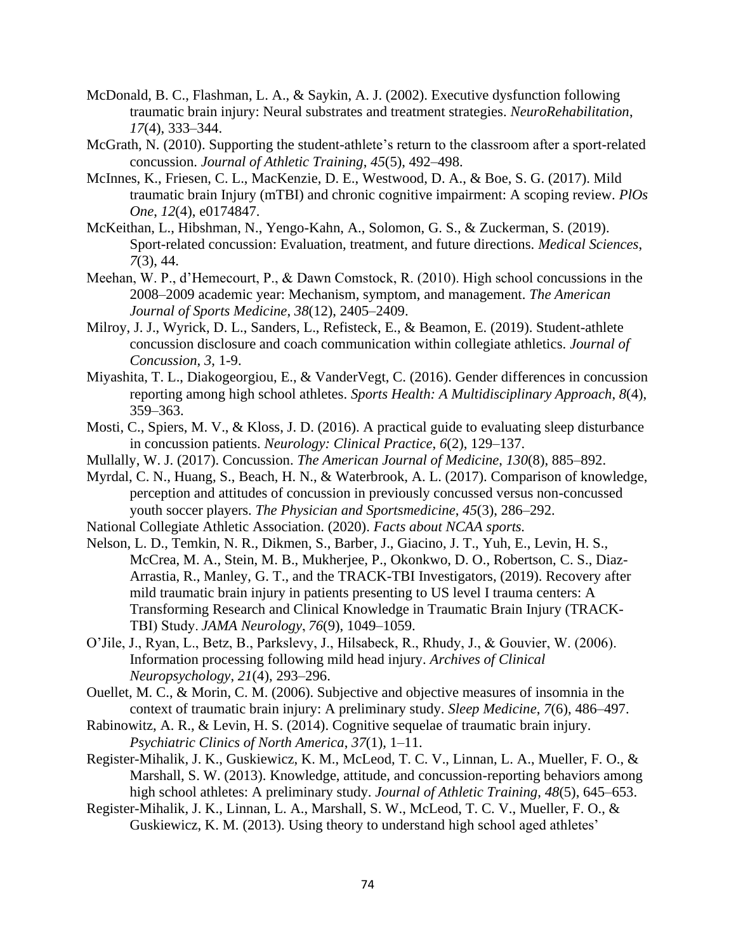- McDonald, B. C., Flashman, L. A., & Saykin, A. J. (2002). Executive dysfunction following traumatic brain injury: Neural substrates and treatment strategies. *NeuroRehabilitation*, *17*(4), 333–344.
- McGrath, N. (2010). Supporting the student-athlete's return to the classroom after a sport-related concussion. *Journal of Athletic Training*, *45*(5), 492–498.
- McInnes, K., Friesen, C. L., MacKenzie, D. E., Westwood, D. A., & Boe, S. G. (2017). Mild traumatic brain Injury (mTBI) and chronic cognitive impairment: A scoping review. *PlOs One*, *12*(4), e0174847.
- McKeithan, L., Hibshman, N., Yengo-Kahn, A., Solomon, G. S., & Zuckerman, S. (2019). Sport-related concussion: Evaluation, treatment, and future directions. *Medical Sciences*, *7*(3), 44.
- Meehan, W. P., d'Hemecourt, P., & Dawn Comstock, R. (2010). High school concussions in the 2008–2009 academic year: Mechanism, symptom, and management. *The American Journal of Sports Medicine*, *38*(12), 2405–2409.
- Milroy, J. J., Wyrick, D. L., Sanders, L., Refisteck, E., & Beamon, E. (2019). Student-athlete concussion disclosure and coach communication within collegiate athletics. *Journal of Concussion*, *3*, 1-9.
- Miyashita, T. L., Diakogeorgiou, E., & VanderVegt, C. (2016). Gender differences in concussion reporting among high school athletes. *Sports Health: A Multidisciplinary Approach*, *8*(4), 359–363.
- Mosti, C., Spiers, M. V., & Kloss, J. D. (2016). A practical guide to evaluating sleep disturbance in concussion patients. *Neurology: Clinical Practice*, *6*(2), 129–137.
- Mullally, W. J. (2017). Concussion. *The American Journal of Medicine*, *130*(8), 885–892.
- Myrdal, C. N., Huang, S., Beach, H. N., & Waterbrook, A. L. (2017). Comparison of knowledge, perception and attitudes of concussion in previously concussed versus non-concussed youth soccer players. *The Physician and Sportsmedicine*, *45*(3), 286–292.
- National Collegiate Athletic Association. (2020). *Facts about NCAA sports.*
- Nelson, L. D., Temkin, N. R., Dikmen, S., Barber, J., Giacino, J. T., Yuh, E., Levin, H. S., McCrea, M. A., Stein, M. B., Mukherjee, P., Okonkwo, D. O., Robertson, C. S., Diaz-Arrastia, R., Manley, G. T., and the TRACK-TBI Investigators, (2019). Recovery after mild traumatic brain injury in patients presenting to US level I trauma centers: A Transforming Research and Clinical Knowledge in Traumatic Brain Injury (TRACK-TBI) Study. *JAMA Neurology*, *76*(9), 1049–1059.
- O'Jile, J., Ryan, L., Betz, B., Parkslevy, J., Hilsabeck, R., Rhudy, J., & Gouvier, W. (2006). Information processing following mild head injury. *Archives of Clinical Neuropsychology*, *21*(4), 293–296.
- Ouellet, M. C., & Morin, C. M. (2006). Subjective and objective measures of insomnia in the context of traumatic brain injury: A preliminary study. *Sleep Medicine*, *7*(6), 486–497.
- Rabinowitz, A. R., & Levin, H. S. (2014). Cognitive sequelae of traumatic brain injury. *Psychiatric Clinics of North America*, *37*(1), 1–11.
- Register-Mihalik, J. K., Guskiewicz, K. M., McLeod, T. C. V., Linnan, L. A., Mueller, F. O., & Marshall, S. W. (2013). Knowledge, attitude, and concussion-reporting behaviors among high school athletes: A preliminary study. *Journal of Athletic Training*, *48*(5), 645–653.
- Register-Mihalik, J. K., Linnan, L. A., Marshall, S. W., McLeod, T. C. V., Mueller, F. O., & Guskiewicz, K. M. (2013). Using theory to understand high school aged athletes'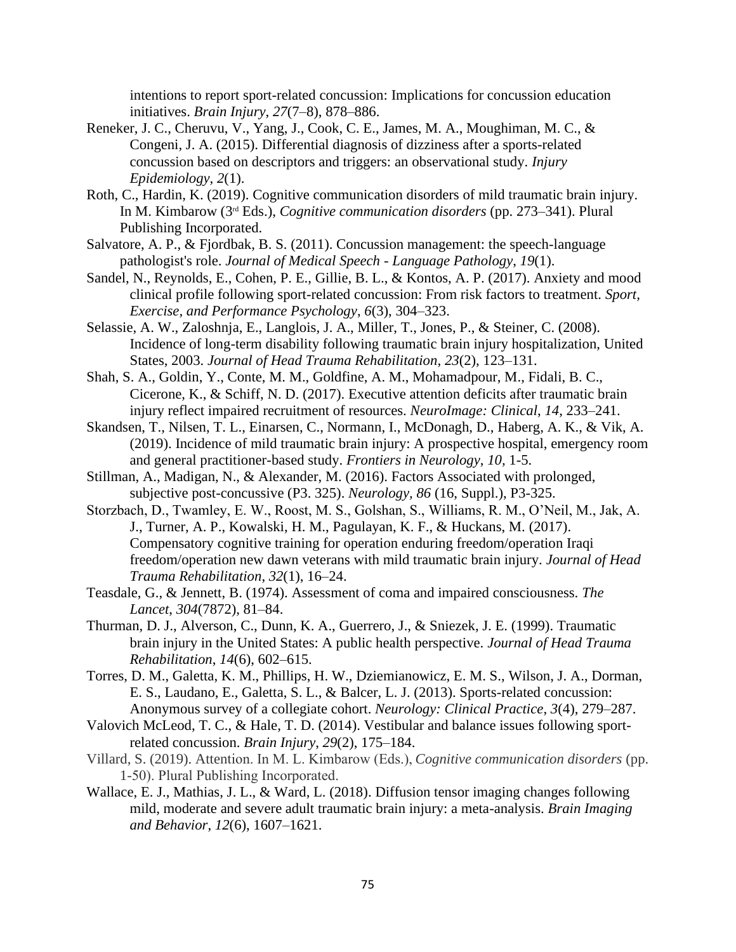intentions to report sport-related concussion: Implications for concussion education initiatives. *Brain Injury*, *27*(7–8), 878–886.

- Reneker, J. C., Cheruvu, V., Yang, J., Cook, C. E., James, M. A., Moughiman, M. C., & Congeni, J. A. (2015). Differential diagnosis of dizziness after a sports-related concussion based on descriptors and triggers: an observational study. *Injury Epidemiology*, *2*(1).
- Roth, C., Hardin, K. (2019). Cognitive communication disorders of mild traumatic brain injury. In M. Kimbarow (3rd Eds.), *Cognitive communication disorders* (pp. 273–341). Plural Publishing Incorporated.
- Salvatore, A. P., & Fjordbak, B. S. (2011). Concussion management: the speech-language pathologist's role. *Journal of Medical Speech - Language Pathology*, *19*(1).
- Sandel, N., Reynolds, E., Cohen, P. E., Gillie, B. L., & Kontos, A. P. (2017). Anxiety and mood clinical profile following sport-related concussion: From risk factors to treatment. *Sport, Exercise, and Performance Psychology*, *6*(3), 304–323.
- Selassie, A. W., Zaloshnja, E., Langlois, J. A., Miller, T., Jones, P., & Steiner, C. (2008). Incidence of long-term disability following traumatic brain injury hospitalization, United States, 2003. *Journal of Head Trauma Rehabilitation*, *23*(2), 123–131.
- Shah, S. A., Goldin, Y., Conte, M. M., Goldfine, A. M., Mohamadpour, M., Fidali, B. C., Cicerone, K., & Schiff, N. D. (2017). Executive attention deficits after traumatic brain injury reflect impaired recruitment of resources. *NeuroImage: Clinical*, *14*, 233–241.
- Skandsen, T., Nilsen, T. L., Einarsen, C., Normann, I., McDonagh, D., Haberg, A. K., & Vik, A. (2019). Incidence of mild traumatic brain injury: A prospective hospital, emergency room and general practitioner-based study. *Frontiers in Neurology*, *10,* 1-5.
- Stillman, A., Madigan, N., & Alexander, M. (2016). Factors Associated with prolonged, subjective post-concussive (P3. 325). *Neurology, 86* (16, Suppl.), P3-325.
- Storzbach, D., Twamley, E. W., Roost, M. S., Golshan, S., Williams, R. M., O'Neil, M., Jak, A. J., Turner, A. P., Kowalski, H. M., Pagulayan, K. F., & Huckans, M. (2017). Compensatory cognitive training for operation enduring freedom/operation Iraqi freedom/operation new dawn veterans with mild traumatic brain injury. *Journal of Head Trauma Rehabilitation*, *32*(1), 16–24.
- Teasdale, G., & Jennett, B. (1974). Assessment of coma and impaired consciousness. *The Lancet*, *304*(7872), 81–84.
- Thurman, D. J., Alverson, C., Dunn, K. A., Guerrero, J., & Sniezek, J. E. (1999). Traumatic brain injury in the United States: A public health perspective. *Journal of Head Trauma Rehabilitation*, *14*(6), 602–615.
- Torres, D. M., Galetta, K. M., Phillips, H. W., Dziemianowicz, E. M. S., Wilson, J. A., Dorman, E. S., Laudano, E., Galetta, S. L., & Balcer, L. J. (2013). Sports-related concussion: Anonymous survey of a collegiate cohort. *Neurology: Clinical Practice*, *3*(4), 279–287.
- Valovich McLeod, T. C., & Hale, T. D. (2014). Vestibular and balance issues following sportrelated concussion. *Brain Injury*, *29*(2), 175–184.
- Villard, S. (2019). Attention. In M. L. Kimbarow (Eds.), *Cognitive communication disorders* (pp. 1-50). Plural Publishing Incorporated.
- Wallace, E. J., Mathias, J. L., & Ward, L. (2018). Diffusion tensor imaging changes following mild, moderate and severe adult traumatic brain injury: a meta-analysis. *Brain Imaging and Behavior*, *12*(6), 1607–1621.